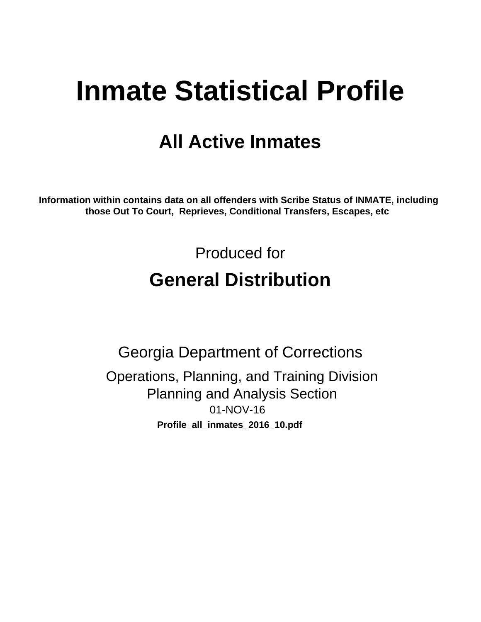# **Inmate Statistical Profile**

# **All Active Inmates**

Information within contains data on all offenders with Scribe Status of INMATE, including those Out To Court, Reprieves, Conditional Transfers, Escapes, etc

> Produced for **General Distribution**

**Georgia Department of Corrections** Operations, Planning, and Training Division **Planning and Analysis Section** 01-NOV-16 Profile\_all\_inmates\_2016\_10.pdf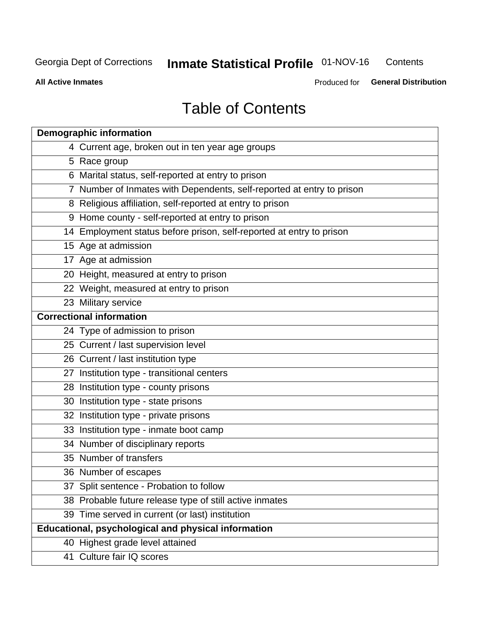#### **Inmate Statistical Profile 01-NOV-16** Contents

**All Active Inmates** 

Produced for General Distribution

# **Table of Contents**

| <b>Demographic information</b>                                        |
|-----------------------------------------------------------------------|
| 4 Current age, broken out in ten year age groups                      |
| 5 Race group                                                          |
| 6 Marital status, self-reported at entry to prison                    |
| 7 Number of Inmates with Dependents, self-reported at entry to prison |
| 8 Religious affiliation, self-reported at entry to prison             |
| 9 Home county - self-reported at entry to prison                      |
| 14 Employment status before prison, self-reported at entry to prison  |
| 15 Age at admission                                                   |
| 17 Age at admission                                                   |
| 20 Height, measured at entry to prison                                |
| 22 Weight, measured at entry to prison                                |
| 23 Military service                                                   |
| <b>Correctional information</b>                                       |
| 24 Type of admission to prison                                        |
| 25 Current / last supervision level                                   |
| 26 Current / last institution type                                    |
| 27 Institution type - transitional centers                            |
| 28 Institution type - county prisons                                  |
| 30 Institution type - state prisons                                   |
| 32 Institution type - private prisons                                 |
| 33 Institution type - inmate boot camp                                |
| 34 Number of disciplinary reports                                     |
| 35 Number of transfers                                                |
| 36 Number of escapes                                                  |
| 37 Split sentence - Probation to follow                               |
| 38 Probable future release type of still active inmates               |
| 39 Time served in current (or last) institution                       |
| Educational, psychological and physical information                   |
| 40 Highest grade level attained                                       |
| 41 Culture fair IQ scores                                             |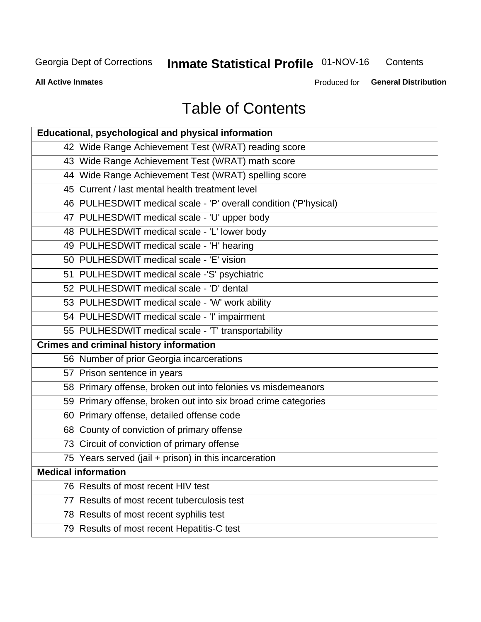# **Inmate Statistical Profile 01-NOV-16**

Contents

**All Active Inmates** 

Produced for General Distribution

# **Table of Contents**

| Educational, psychological and physical information              |
|------------------------------------------------------------------|
| 42 Wide Range Achievement Test (WRAT) reading score              |
| 43 Wide Range Achievement Test (WRAT) math score                 |
| 44 Wide Range Achievement Test (WRAT) spelling score             |
| 45 Current / last mental health treatment level                  |
| 46 PULHESDWIT medical scale - 'P' overall condition ('P'hysical) |
| 47 PULHESDWIT medical scale - 'U' upper body                     |
| 48 PULHESDWIT medical scale - 'L' lower body                     |
| 49 PULHESDWIT medical scale - 'H' hearing                        |
| 50 PULHESDWIT medical scale - 'E' vision                         |
| 51 PULHESDWIT medical scale -'S' psychiatric                     |
| 52 PULHESDWIT medical scale - 'D' dental                         |
| 53 PULHESDWIT medical scale - 'W' work ability                   |
| 54 PULHESDWIT medical scale - 'I' impairment                     |
| 55 PULHESDWIT medical scale - 'T' transportability               |
| <b>Crimes and criminal history information</b>                   |
| 56 Number of prior Georgia incarcerations                        |
| 57 Prison sentence in years                                      |
| 58 Primary offense, broken out into felonies vs misdemeanors     |
| 59 Primary offense, broken out into six broad crime categories   |
| 60 Primary offense, detailed offense code                        |
| 68 County of conviction of primary offense                       |
| 73 Circuit of conviction of primary offense                      |
| 75 Years served (jail + prison) in this incarceration            |
| <b>Medical information</b>                                       |
| 76 Results of most recent HIV test                               |
| 77 Results of most recent tuberculosis test                      |
| 78 Results of most recent syphilis test                          |
| 79 Results of most recent Hepatitis-C test                       |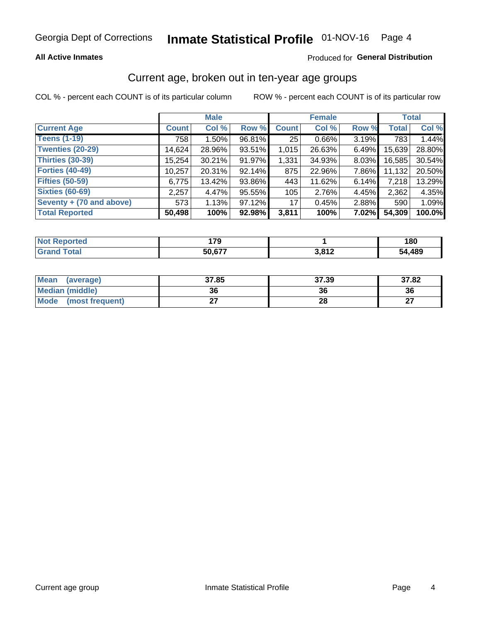# Inmate Statistical Profile 01-NOV-16 Page 4

### **All Active Inmates**

### Produced for General Distribution

### Current age, broken out in ten-year age groups

COL % - percent each COUNT is of its particular column

|                          | <b>Male</b>  |          |        | <b>Female</b> |          |          | <b>Total</b> |        |
|--------------------------|--------------|----------|--------|---------------|----------|----------|--------------|--------|
| <b>Current Age</b>       | <b>Count</b> | Col %    | Row %  | <b>Count</b>  | Col %    | Row %    | <b>Total</b> | Col %  |
| <b>Teens (1-19)</b>      | 758          | $1.50\%$ | 96.81% | 25            | $0.66\%$ | 3.19%    | 783          | 1.44%  |
| <b>Twenties (20-29)</b>  | 14,624       | 28.96%   | 93.51% | 1,015         | 26.63%   | $6.49\%$ | 15,639       | 28.80% |
| Thirties (30-39)         | 15,254       | 30.21%   | 91.97% | 1,331         | 34.93%   | $8.03\%$ | 16,585       | 30.54% |
| <b>Forties (40-49)</b>   | 10,257       | 20.31%   | 92.14% | 875           | 22.96%   | 7.86%    | 11,132       | 20.50% |
| <b>Fifties (50-59)</b>   | 6,775        | 13.42%   | 93.86% | 443           | 11.62%   | 6.14%    | 7,218        | 13.29% |
| <b>Sixties (60-69)</b>   | 2,257        | 4.47%    | 95.55% | 105           | 2.76%    | 4.45%    | 2,362        | 4.35%  |
| Seventy + (70 and above) | 573          | 1.13%    | 97.12% | 17            | 0.45%    | 2.88%    | 590          | 1.09%  |
| <b>Total Reported</b>    | 50,498       | 100%     | 92.98% | 3,811         | 100%     | 7.02%    | 54,309       | 100.0% |

| <b>Not Reported</b> | 170<br>. |                  | 180    |
|---------------------|----------|------------------|--------|
| <b>Total</b>        | 50.677   | 2.012<br>J,U I 4 | 54,489 |

| <b>Mean</b><br>(average)       | 37.85 | 37.39 | 37.82         |
|--------------------------------|-------|-------|---------------|
| Median (middle)                | 36    | 36    | 36            |
| <b>Mode</b><br>(most frequent) |       | 28    | $\sim$<br>. . |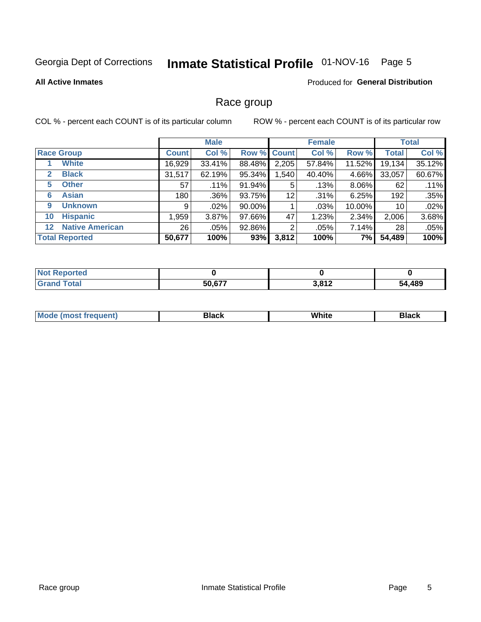# Inmate Statistical Profile 01-NOV-16 Page 5

#### **All Active Inmates**

### Produced for General Distribution

### Race group

COL % - percent each COUNT is of its particular column

|                                   |              | <b>Male</b> |        |                    | <b>Female</b> | <b>Total</b> |                 |        |
|-----------------------------------|--------------|-------------|--------|--------------------|---------------|--------------|-----------------|--------|
| <b>Race Group</b>                 | <b>Count</b> | Col %       |        | <b>Row % Count</b> | Col %         | Row %        | <b>Total</b>    | Col %  |
| <b>White</b>                      | 16,929       | 33.41%      | 88.48% | 2,205              | 57.84%        | 11.52%       | 19,134          | 35.12% |
| <b>Black</b><br>2                 | 31,517       | 62.19%      | 95.34% | .540               | 40.40%        | 4.66%        | 33,057          | 60.67% |
| <b>Other</b><br>5.                | 57           | .11%        | 91.94% | 5                  | .13%          | 8.06%        | 62              | .11%   |
| <b>Asian</b><br>6                 | 180          | .36%        | 93.75% | 12                 | .31%          | 6.25%        | 192             | .35%   |
| <b>Unknown</b><br>9               | 9            | $.02\%$     | 90.00% |                    | .03%          | 10.00%       | 10 <sup>°</sup> | .02%   |
| <b>Hispanic</b><br>10             | .959         | 3.87%       | 97.66% | 47                 | 1.23%         | 2.34%        | 2,006           | 3.68%  |
| <b>Native American</b><br>$12 \,$ | 26           | $.05\%$     | 92.86% | 2                  | .05%          | $7.14\%$     | 28              | .05%   |
| <b>Total Reported</b>             | 50,677       | 100%        | 93%    | 3,812              | 100%          | 7%           | 54,489          | 100%   |

| enorted<br>' NOT       |        |                         |        |
|------------------------|--------|-------------------------|--------|
| <b>Total</b><br>'Grano | 50,677 | <b>2.042</b><br>J.O I Z | 54,489 |

| m | <br>w |  |
|---|-------|--|
|   |       |  |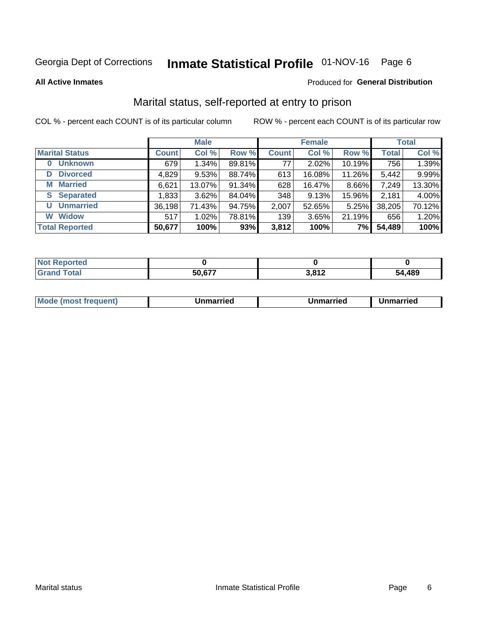# Inmate Statistical Profile 01-NOV-16 Page 6

**All Active Inmates** 

#### Produced for General Distribution

### Marital status, self-reported at entry to prison

COL % - percent each COUNT is of its particular column

|                            | <b>Male</b>  |          |        |              | <b>Female</b> | <b>Total</b> |              |        |
|----------------------------|--------------|----------|--------|--------------|---------------|--------------|--------------|--------|
| <b>Marital Status</b>      | <b>Count</b> | Col %    | Row %  | <b>Count</b> | Col %         | Row %        | <b>Total</b> | Col %  |
| <b>Unknown</b><br>$\bf{0}$ | 679          | $1.34\%$ | 89.81% | 77           | 2.02%         | 10.19%       | 756          | 1.39%  |
| <b>Divorced</b><br>D       | 4,829        | 9.53%    | 88.74% | 613          | 16.08%        | 11.26%       | 5,442        | 9.99%  |
| <b>Married</b><br>М        | 6,621        | 13.07%   | 91.34% | 628          | 16.47%        | 8.66%        | 7,249        | 13.30% |
| <b>Separated</b><br>S      | 1,833        | 3.62%    | 84.04% | 348          | 9.13%         | 15.96%       | 2,181        | 4.00%  |
| <b>Unmarried</b><br>U      | 36,198       | 71.43%   | 94.75% | 2,007        | 52.65%        | 5.25%        | 38,205       | 70.12% |
| <b>Widow</b><br>W          | 517          | 1.02%    | 78.81% | 139          | 3.65%         | 21.19%       | 656          | 1.20%  |
| <b>Total Reported</b>      | 50,677       | 100%     | 93%    | 3,812        | 100%          | 7%           | 54,489       | 100%   |

| <b>Not</b><br>norted |        |       |        |
|----------------------|--------|-------|--------|
| Гоtal                | 5N 677 | 3,812 | 54,489 |

|--|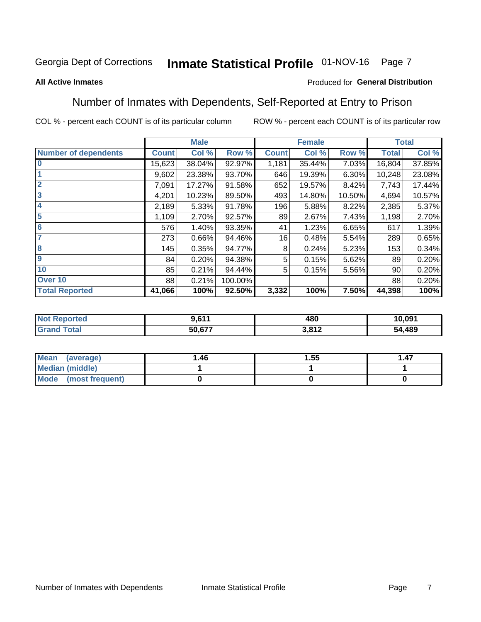#### Inmate Statistical Profile 01-NOV-16 Page 7

#### **All Active Inmates**

### Produced for General Distribution

### Number of Inmates with Dependents, Self-Reported at Entry to Prison

COL % - percent each COUNT is of its particular column

| <b>Male</b>                 |              |        | <b>Female</b> |              |        | <b>Total</b> |              |        |
|-----------------------------|--------------|--------|---------------|--------------|--------|--------------|--------------|--------|
| <b>Number of dependents</b> | <b>Count</b> | Col %  | Row %         | <b>Count</b> | Col %  | Row %        | <b>Total</b> | Col %  |
| l 0                         | 15,623       | 38.04% | 92.97%        | 1,181        | 35.44% | 7.03%        | 16,804       | 37.85% |
|                             | 9,602        | 23.38% | 93.70%        | 646          | 19.39% | 6.30%        | 10,248       | 23.08% |
| $\overline{2}$              | 7,091        | 17.27% | 91.58%        | 652          | 19.57% | 8.42%        | 7,743        | 17.44% |
| $\overline{\mathbf{3}}$     | 4,201        | 10.23% | 89.50%        | 493          | 14.80% | 10.50%       | 4,694        | 10.57% |
| 4                           | 2,189        | 5.33%  | 91.78%        | 196          | 5.88%  | 8.22%        | 2,385        | 5.37%  |
| 5                           | 1,109        | 2.70%  | 92.57%        | 89           | 2.67%  | 7.43%        | 1,198        | 2.70%  |
| 6                           | 576          | 1.40%  | 93.35%        | 41           | 1.23%  | 6.65%        | 617          | 1.39%  |
| 7                           | 273          | 0.66%  | 94.46%        | 16           | 0.48%  | 5.54%        | 289          | 0.65%  |
| $\overline{\mathbf{8}}$     | 145          | 0.35%  | 94.77%        | 8            | 0.24%  | 5.23%        | 153          | 0.34%  |
| 9                           | 84           | 0.20%  | 94.38%        | 5            | 0.15%  | 5.62%        | 89           | 0.20%  |
| 10                          | 85           | 0.21%  | 94.44%        | 5            | 0.15%  | 5.56%        | 90           | 0.20%  |
| Over 10                     | 88           | 0.21%  | 100.00%       |              |        |              | 88           | 0.20%  |
| <b>Total Reported</b>       | 41,066       | 100%   | 92.50%        | 3,332        | 100%   | 7.50%        | 44,398       | 100%   |

| τeα | n 647  | 480        | 10,091      |
|-----|--------|------------|-------------|
|     | 50,677 | 0.017<br>. | ,489<br>- 4 |

| Mean (average)         | 1.46 | 1.55 | 1.47 |
|------------------------|------|------|------|
| <b>Median (middle)</b> |      |      |      |
| Mode (most frequent)   |      |      |      |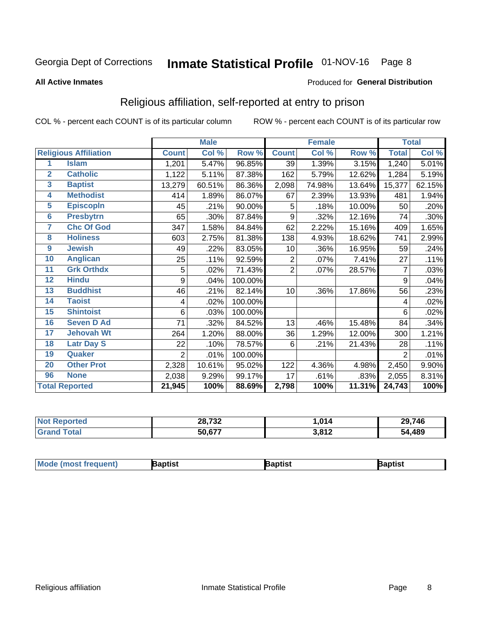# Inmate Statistical Profile 01-NOV-16 Page 8

#### **All Active Inmates**

#### Produced for General Distribution

### Religious affiliation, self-reported at entry to prison

COL % - percent each COUNT is of its particular column

|                         |                              |                | <b>Male</b> |         |                | <b>Female</b> |        |                | <b>Total</b> |
|-------------------------|------------------------------|----------------|-------------|---------|----------------|---------------|--------|----------------|--------------|
|                         | <b>Religious Affiliation</b> | <b>Count</b>   | Col %       | Row %   | <b>Count</b>   | Col %         | Row %  | <b>Total</b>   | Col %        |
| 1                       | <b>Islam</b>                 | 1,201          | 5.47%       | 96.85%  | 39             | 1.39%         | 3.15%  | 1,240          | 5.01%        |
| $\overline{2}$          | <b>Catholic</b>              | 1,122          | 5.11%       | 87.38%  | 162            | 5.79%         | 12.62% | 1,284          | 5.19%        |
| $\overline{\mathbf{3}}$ | <b>Baptist</b>               | 13,279         | 60.51%      | 86.36%  | 2,098          | 74.98%        | 13.64% | 15,377         | 62.15%       |
| $\overline{\mathbf{4}}$ | <b>Methodist</b>             | 414            | 1.89%       | 86.07%  | 67             | 2.39%         | 13.93% | 481            | 1.94%        |
| $\overline{\mathbf{5}}$ | <b>EpiscopIn</b>             | 45             | .21%        | 90.00%  | 5              | .18%          | 10.00% | 50             | .20%         |
| $6\overline{6}$         | <b>Presbytrn</b>             | 65             | .30%        | 87.84%  | 9              | .32%          | 12.16% | 74             | .30%         |
| 7                       | <b>Chc Of God</b>            | 347            | 1.58%       | 84.84%  | 62             | 2.22%         | 15.16% | 409            | 1.65%        |
| 8                       | <b>Holiness</b>              | 603            | 2.75%       | 81.38%  | 138            | 4.93%         | 18.62% | 741            | 2.99%        |
| $\boldsymbol{9}$        | <b>Jewish</b>                | 49             | .22%        | 83.05%  | 10             | .36%          | 16.95% | 59             | .24%         |
| 10                      | <b>Anglican</b>              | 25             | .11%        | 92.59%  | 2              | .07%          | 7.41%  | 27             | .11%         |
| 11                      | <b>Grk Orthdx</b>            | 5              | .02%        | 71.43%  | $\overline{2}$ | .07%          | 28.57% | 7              | .03%         |
| 12                      | <b>Hindu</b>                 | 9              | .04%        | 100.00% |                |               |        | 9              | .04%         |
| 13                      | <b>Buddhist</b>              | 46             | .21%        | 82.14%  | 10             | .36%          | 17.86% | 56             | .23%         |
| 14                      | <b>Taoist</b>                | 4              | .02%        | 100.00% |                |               |        | 4              | .02%         |
| 15                      | <b>Shintoist</b>             | 6              | .03%        | 100.00% |                |               |        | 6              | .02%         |
| 16                      | <b>Seven D Ad</b>            | 71             | .32%        | 84.52%  | 13             | .46%          | 15.48% | 84             | .34%         |
| 17                      | <b>Jehovah Wt</b>            | 264            | 1.20%       | 88.00%  | 36             | 1.29%         | 12.00% | 300            | 1.21%        |
| 18                      | <b>Latr Day S</b>            | 22             | .10%        | 78.57%  | 6              | .21%          | 21.43% | 28             | .11%         |
| 19                      | Quaker                       | $\overline{2}$ | .01%        | 100.00% |                |               |        | $\overline{2}$ | .01%         |
| 20                      | <b>Other Prot</b>            | 2,328          | 10.61%      | 95.02%  | 122            | 4.36%         | 4.98%  | 2,450          | 9.90%        |
| 96                      | <b>None</b>                  | 2,038          | 9.29%       | 99.17%  | 17             | .61%          | .83%   | 2,055          | 8.31%        |
|                         | <b>Total Reported</b>        | 21,945         | 100%        | 88.69%  | 2,798          | 100%          | 11.31% | 24,743         | 100%         |

| <b>eported</b><br>'Nr | 28,732        | .014          | 29,746 |
|-----------------------|---------------|---------------|--------|
| Total                 | c77<br>50,67. | 2012<br>0.012 | 54,489 |

|  | <b>Mode (most frequent)</b> | าptist | <b>3aptist</b> | 3aptist |
|--|-----------------------------|--------|----------------|---------|
|--|-----------------------------|--------|----------------|---------|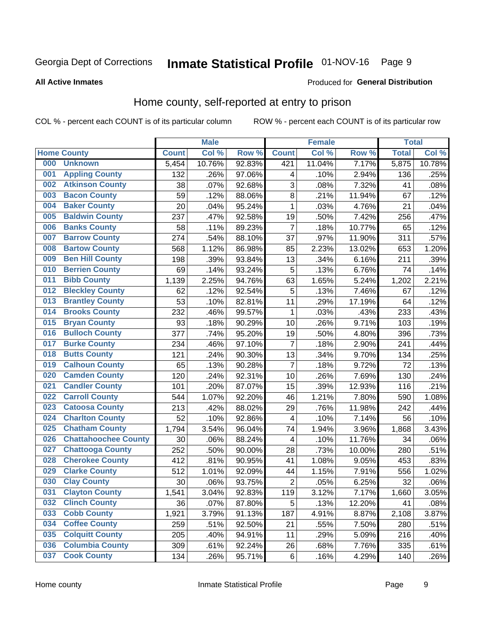# Inmate Statistical Profile 01-NOV-16 Page 9

#### **All Active Inmates**

### Produced for General Distribution

### Home county, self-reported at entry to prison

COL % - percent each COUNT is of its particular column

|     |                             |              | <b>Male</b> |                  |                | <b>Female</b> |        | <b>Total</b> |        |
|-----|-----------------------------|--------------|-------------|------------------|----------------|---------------|--------|--------------|--------|
|     | <b>Home County</b>          | <b>Count</b> | Col %       | Row <sup>%</sup> | <b>Count</b>   | Col %         | Row %  | <b>Total</b> | Col %  |
| 000 | <b>Unknown</b>              | 5,454        | 10.76%      | 92.83%           | 421            | 11.04%        | 7.17%  | 5,875        | 10.78% |
| 001 | <b>Appling County</b>       | 132          | .26%        | 97.06%           | 4              | .10%          | 2.94%  | 136          | .25%   |
| 002 | <b>Atkinson County</b>      | 38           | .07%        | 92.68%           | 3              | .08%          | 7.32%  | 41           | .08%   |
| 003 | <b>Bacon County</b>         | 59           | .12%        | 88.06%           | 8              | .21%          | 11.94% | 67           | .12%   |
| 004 | <b>Baker County</b>         | 20           | .04%        | 95.24%           | 1              | .03%          | 4.76%  | 21           | .04%   |
| 005 | <b>Baldwin County</b>       | 237          | .47%        | 92.58%           | 19             | .50%          | 7.42%  | 256          | .47%   |
| 006 | <b>Banks County</b>         | 58           | .11%        | 89.23%           | $\overline{7}$ | .18%          | 10.77% | 65           | .12%   |
| 007 | <b>Barrow County</b>        | 274          | .54%        | 88.10%           | 37             | .97%          | 11.90% | 311          | .57%   |
| 008 | <b>Bartow County</b>        | 568          | 1.12%       | 86.98%           | 85             | 2.23%         | 13.02% | 653          | 1.20%  |
| 009 | <b>Ben Hill County</b>      | 198          | .39%        | 93.84%           | 13             | .34%          | 6.16%  | 211          | .39%   |
| 010 | <b>Berrien County</b>       | 69           | .14%        | 93.24%           | 5              | .13%          | 6.76%  | 74           | .14%   |
| 011 | <b>Bibb County</b>          | 1,139        | 2.25%       | 94.76%           | 63             | 1.65%         | 5.24%  | 1,202        | 2.21%  |
| 012 | <b>Bleckley County</b>      | 62           | .12%        | 92.54%           | 5              | .13%          | 7.46%  | 67           | .12%   |
| 013 | <b>Brantley County</b>      | 53           | .10%        | 82.81%           | 11             | .29%          | 17.19% | 64           | .12%   |
| 014 | <b>Brooks County</b>        | 232          | .46%        | 99.57%           | 1              | .03%          | .43%   | 233          | .43%   |
| 015 | <b>Bryan County</b>         | 93           | .18%        | 90.29%           | 10             | .26%          | 9.71%  | 103          | .19%   |
| 016 | <b>Bulloch County</b>       | 377          | .74%        | 95.20%           | 19             | .50%          | 4.80%  | 396          | .73%   |
| 017 | <b>Burke County</b>         | 234          | .46%        | 97.10%           | $\overline{7}$ | .18%          | 2.90%  | 241          | .44%   |
| 018 | <b>Butts County</b>         | 121          | .24%        | 90.30%           | 13             | .34%          | 9.70%  | 134          | .25%   |
| 019 | <b>Calhoun County</b>       | 65           | .13%        | 90.28%           | $\overline{7}$ | .18%          | 9.72%  | 72           | .13%   |
| 020 | <b>Camden County</b>        | 120          | .24%        | 92.31%           | 10             | .26%          | 7.69%  | 130          | .24%   |
| 021 | <b>Candler County</b>       | 101          | .20%        | 87.07%           | 15             | .39%          | 12.93% | 116          | .21%   |
| 022 | <b>Carroll County</b>       | 544          | 1.07%       | 92.20%           | 46             | 1.21%         | 7.80%  | 590          | 1.08%  |
| 023 | <b>Catoosa County</b>       | 213          | .42%        | 88.02%           | 29             | .76%          | 11.98% | 242          | .44%   |
| 024 | <b>Charlton County</b>      | 52           | .10%        | 92.86%           | 4              | .10%          | 7.14%  | 56           | .10%   |
| 025 | <b>Chatham County</b>       | 1,794        | 3.54%       | 96.04%           | 74             | 1.94%         | 3.96%  | 1,868        | 3.43%  |
| 026 | <b>Chattahoochee County</b> | 30           | .06%        | 88.24%           | 4              | .10%          | 11.76% | 34           | .06%   |
| 027 | <b>Chattooga County</b>     | 252          | .50%        | 90.00%           | 28             | .73%          | 10.00% | 280          | .51%   |
| 028 | <b>Cherokee County</b>      | 412          | .81%        | 90.95%           | 41             | 1.08%         | 9.05%  | 453          | .83%   |
| 029 | <b>Clarke County</b>        | 512          | 1.01%       | 92.09%           | 44             | 1.15%         | 7.91%  | 556          | 1.02%  |
| 030 | <b>Clay County</b>          | 30           | .06%        | 93.75%           | $\overline{2}$ | .05%          | 6.25%  | 32           | .06%   |
| 031 | <b>Clayton County</b>       | 1,541        | 3.04%       | 92.83%           | 119            | 3.12%         | 7.17%  | 1,660        | 3.05%  |
| 032 | <b>Clinch County</b>        | 36           | .07%        | 87.80%           | 5              | .13%          | 12.20% | 41           | .08%   |
| 033 | <b>Cobb County</b>          | 1,921        | 3.79%       | 91.13%           | 187            | 4.91%         | 8.87%  | 2,108        | 3.87%  |
| 034 | <b>Coffee County</b>        | 259          | .51%        | 92.50%           | 21             | .55%          | 7.50%  | 280          | .51%   |
| 035 | <b>Colquitt County</b>      | 205          | .40%        | 94.91%           | 11             | .29%          | 5.09%  | 216          | .40%   |
| 036 | <b>Columbia County</b>      | 309          | .61%        | 92.24%           | 26             | .68%          | 7.76%  | 335          | .61%   |
| 037 | <b>Cook County</b>          | 134          | .26%        | 95.71%           | $\,6$          | .16%          | 4.29%  | 140          | .26%   |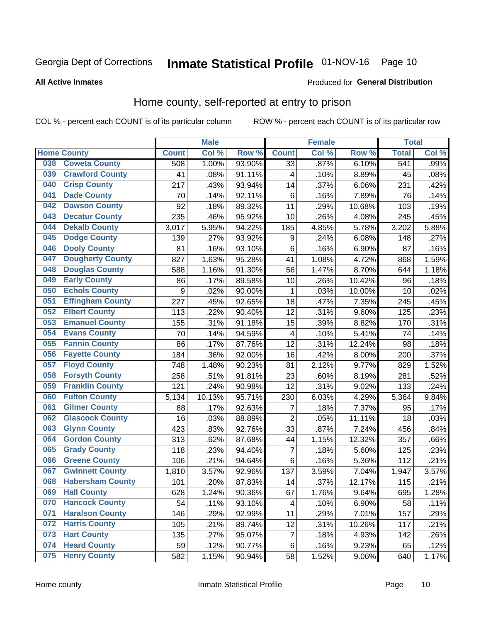# Inmate Statistical Profile 01-NOV-16 Page 10

### **All Active Inmates**

#### Produced for General Distribution

### Home county, self-reported at entry to prison

COL % - percent each COUNT is of its particular column

|     |                         |                  | <b>Male</b> |        |                 | <b>Female</b> |        | <b>Total</b> |       |
|-----|-------------------------|------------------|-------------|--------|-----------------|---------------|--------|--------------|-------|
|     | <b>Home County</b>      | <b>Count</b>     | Col %       | Row %  | <b>Count</b>    | Col %         | Row %  | <b>Total</b> | Col % |
| 038 | <b>Coweta County</b>    | 508              | 1.00%       | 93.90% | $\overline{33}$ | .87%          | 6.10%  | 541          | .99%  |
| 039 | <b>Crawford County</b>  | 41               | .08%        | 91.11% | 4               | .10%          | 8.89%  | 45           | .08%  |
| 040 | <b>Crisp County</b>     | 217              | .43%        | 93.94% | 14              | .37%          | 6.06%  | 231          | .42%  |
| 041 | <b>Dade County</b>      | 70               | .14%        | 92.11% | $\,6$           | .16%          | 7.89%  | 76           | .14%  |
| 042 | <b>Dawson County</b>    | 92               | .18%        | 89.32% | 11              | .29%          | 10.68% | 103          | .19%  |
| 043 | <b>Decatur County</b>   | 235              | .46%        | 95.92% | 10              | .26%          | 4.08%  | 245          | .45%  |
| 044 | <b>Dekalb County</b>    | 3,017            | 5.95%       | 94.22% | 185             | 4.85%         | 5.78%  | 3,202        | 5.88% |
| 045 | <b>Dodge County</b>     | 139              | .27%        | 93.92% | 9               | .24%          | 6.08%  | 148          | .27%  |
| 046 | <b>Dooly County</b>     | 81               | .16%        | 93.10% | 6               | .16%          | 6.90%  | 87           | .16%  |
| 047 | <b>Dougherty County</b> | 827              | 1.63%       | 95.28% | 41              | 1.08%         | 4.72%  | 868          | 1.59% |
| 048 | <b>Douglas County</b>   | 588              | 1.16%       | 91.30% | 56              | 1.47%         | 8.70%  | 644          | 1.18% |
| 049 | <b>Early County</b>     | 86               | .17%        | 89.58% | 10              | .26%          | 10.42% | 96           | .18%  |
| 050 | <b>Echols County</b>    | $\boldsymbol{9}$ | .02%        | 90.00% | 1               | .03%          | 10.00% | 10           | .02%  |
| 051 | <b>Effingham County</b> | 227              | .45%        | 92.65% | 18              | .47%          | 7.35%  | 245          | .45%  |
| 052 | <b>Elbert County</b>    | 113              | .22%        | 90.40% | 12              | .31%          | 9.60%  | 125          | .23%  |
| 053 | <b>Emanuel County</b>   | 155              | .31%        | 91.18% | 15              | .39%          | 8.82%  | 170          | .31%  |
| 054 | <b>Evans County</b>     | 70               | .14%        | 94.59% | 4               | .10%          | 5.41%  | 74           | .14%  |
| 055 | <b>Fannin County</b>    | 86               | .17%        | 87.76% | 12              | .31%          | 12.24% | 98           | .18%  |
| 056 | <b>Fayette County</b>   | 184              | .36%        | 92.00% | 16              | .42%          | 8.00%  | 200          | .37%  |
| 057 | <b>Floyd County</b>     | 748              | 1.48%       | 90.23% | 81              | 2.12%         | 9.77%  | 829          | 1.52% |
| 058 | <b>Forsyth County</b>   | 258              | .51%        | 91.81% | 23              | .60%          | 8.19%  | 281          | .52%  |
| 059 | <b>Franklin County</b>  | 121              | .24%        | 90.98% | 12              | .31%          | 9.02%  | 133          | .24%  |
| 060 | <b>Fulton County</b>    | 5,134            | 10.13%      | 95.71% | 230             | 6.03%         | 4.29%  | 5,364        | 9.84% |
| 061 | <b>Gilmer County</b>    | 88               | .17%        | 92.63% | $\overline{7}$  | .18%          | 7.37%  | 95           | .17%  |
| 062 | <b>Glascock County</b>  | 16               | .03%        | 88.89% | $\overline{2}$  | .05%          | 11.11% | 18           | .03%  |
| 063 | <b>Glynn County</b>     | 423              | .83%        | 92.76% | 33              | .87%          | 7.24%  | 456          | .84%  |
| 064 | <b>Gordon County</b>    | 313              | .62%        | 87.68% | 44              | 1.15%         | 12.32% | 357          | .66%  |
| 065 | <b>Grady County</b>     | 118              | .23%        | 94.40% | $\overline{7}$  | .18%          | 5.60%  | 125          | .23%  |
| 066 | <b>Greene County</b>    | 106              | .21%        | 94.64% | $\,6$           | .16%          | 5.36%  | 112          | .21%  |
| 067 | <b>Gwinnett County</b>  | 1,810            | 3.57%       | 92.96% | 137             | 3.59%         | 7.04%  | 1,947        | 3.57% |
| 068 | <b>Habersham County</b> | 101              | .20%        | 87.83% | 14              | .37%          | 12.17% | 115          | .21%  |
| 069 | <b>Hall County</b>      | 628              | 1.24%       | 90.36% | 67              | 1.76%         | 9.64%  | 695          | 1.28% |
| 070 | <b>Hancock County</b>   | 54               | .11%        | 93.10% | 4               | .10%          | 6.90%  | 58           | .11%  |
| 071 | <b>Haralson County</b>  | 146              | .29%        | 92.99% | 11              | .29%          | 7.01%  | 157          | .29%  |
| 072 | <b>Harris County</b>    | 105              | .21%        | 89.74% | 12              | .31%          | 10.26% | 117          | .21%  |
| 073 | <b>Hart County</b>      | 135              | .27%        | 95.07% | $\overline{7}$  | .18%          | 4.93%  | 142          | .26%  |
| 074 | <b>Heard County</b>     | 59               | .12%        | 90.77% | 6               | .16%          | 9.23%  | 65           | .12%  |
| 075 | <b>Henry County</b>     | 582              | 1.15%       | 90.94% | 58              | 1.52%         | 9.06%  | 640          | 1.17% |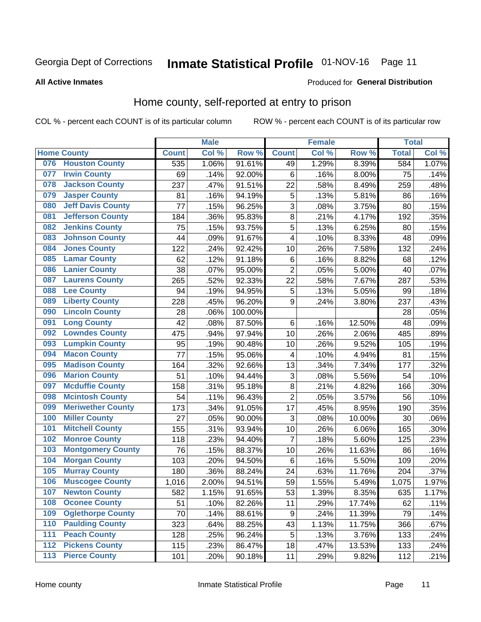# Inmate Statistical Profile 01-NOV-16 Page 11

**All Active Inmates** 

#### Produced for General Distribution

### Home county, self-reported at entry to prison

COL % - percent each COUNT is of its particular column

|                  |                          |              | <b>Male</b> |                  |                         | <b>Female</b> |        | <b>Total</b> |       |
|------------------|--------------------------|--------------|-------------|------------------|-------------------------|---------------|--------|--------------|-------|
|                  | <b>Home County</b>       | <b>Count</b> | Col %       | Row <sup>%</sup> | <b>Count</b>            | Col %         | Row %  | <b>Total</b> | Col % |
| 076              | <b>Houston County</b>    | 535          | 1.06%       | 91.61%           | 49                      | 1.29%         | 8.39%  | 584          | 1.07% |
| 077              | <b>Irwin County</b>      | 69           | .14%        | 92.00%           | $\,6$                   | .16%          | 8.00%  | 75           | .14%  |
| 078              | <b>Jackson County</b>    | 237          | .47%        | 91.51%           | 22                      | .58%          | 8.49%  | 259          | .48%  |
| 079              | <b>Jasper County</b>     | 81           | .16%        | 94.19%           | 5                       | .13%          | 5.81%  | 86           | .16%  |
| 080              | <b>Jeff Davis County</b> | 77           | .15%        | 96.25%           | 3                       | .08%          | 3.75%  | 80           | .15%  |
| 081              | <b>Jefferson County</b>  | 184          | .36%        | 95.83%           | $\overline{8}$          | .21%          | 4.17%  | 192          | .35%  |
| 082              | <b>Jenkins County</b>    | 75           | .15%        | 93.75%           | 5                       | .13%          | 6.25%  | 80           | .15%  |
| 083              | <b>Johnson County</b>    | 44           | .09%        | 91.67%           | $\overline{\mathbf{4}}$ | .10%          | 8.33%  | 48           | .09%  |
| 084              | <b>Jones County</b>      | 122          | .24%        | 92.42%           | 10                      | .26%          | 7.58%  | 132          | .24%  |
| 085              | <b>Lamar County</b>      | 62           | .12%        | 91.18%           | $\,6$                   | .16%          | 8.82%  | 68           | .12%  |
| 086              | <b>Lanier County</b>     | 38           | .07%        | 95.00%           | $\overline{2}$          | .05%          | 5.00%  | 40           | .07%  |
| 087              | <b>Laurens County</b>    | 265          | .52%        | 92.33%           | 22                      | .58%          | 7.67%  | 287          | .53%  |
| 088              | <b>Lee County</b>        | 94           | .19%        | 94.95%           | 5                       | .13%          | 5.05%  | 99           | .18%  |
| 089              | <b>Liberty County</b>    | 228          | .45%        | 96.20%           | 9                       | .24%          | 3.80%  | 237          | .43%  |
| 090              | <b>Lincoln County</b>    | 28           | .06%        | 100.00%          |                         |               |        | 28           | .05%  |
| 091              | <b>Long County</b>       | 42           | .08%        | 87.50%           | $\,6$                   | .16%          | 12.50% | 48           | .09%  |
| 092              | <b>Lowndes County</b>    | 475          | .94%        | 97.94%           | 10                      | .26%          | 2.06%  | 485          | .89%  |
| 093              | <b>Lumpkin County</b>    | 95           | .19%        | 90.48%           | 10                      | .26%          | 9.52%  | 105          | .19%  |
| 094              | <b>Macon County</b>      | 77           | .15%        | 95.06%           | 4                       | .10%          | 4.94%  | 81           | .15%  |
| 095              | <b>Madison County</b>    | 164          | .32%        | 92.66%           | 13                      | .34%          | 7.34%  | 177          | .32%  |
| 096              | <b>Marion County</b>     | 51           | .10%        | 94.44%           | 3                       | .08%          | 5.56%  | 54           | .10%  |
| 097              | <b>Mcduffie County</b>   | 158          | .31%        | 95.18%           | $\overline{8}$          | .21%          | 4.82%  | 166          | .30%  |
| 098              | <b>Mcintosh County</b>   | 54           | .11%        | 96.43%           | $\overline{2}$          | .05%          | 3.57%  | 56           | .10%  |
| 099              | <b>Meriwether County</b> | 173          | .34%        | 91.05%           | 17                      | .45%          | 8.95%  | 190          | .35%  |
| 100              | <b>Miller County</b>     | 27           | .05%        | 90.00%           | 3                       | .08%          | 10.00% | 30           | .06%  |
| 101              | <b>Mitchell County</b>   | 155          | .31%        | 93.94%           | 10                      | .26%          | 6.06%  | 165          | .30%  |
| 102              | <b>Monroe County</b>     | 118          | .23%        | 94.40%           | 7                       | .18%          | 5.60%  | 125          | .23%  |
| 103              | <b>Montgomery County</b> | 76           | .15%        | 88.37%           | 10                      | .26%          | 11.63% | 86           | .16%  |
| 104              | <b>Morgan County</b>     | 103          | .20%        | 94.50%           | 6                       | .16%          | 5.50%  | 109          | .20%  |
| 105              | <b>Murray County</b>     | 180          | .36%        | 88.24%           | 24                      | .63%          | 11.76% | 204          | .37%  |
| 106              | <b>Muscogee County</b>   | 1,016        | 2.00%       | 94.51%           | 59                      | 1.55%         | 5.49%  | 1,075        | 1.97% |
| 107              | <b>Newton County</b>     | 582          | 1.15%       | 91.65%           | 53                      | 1.39%         | 8.35%  | 635          | 1.17% |
| 108              | <b>Oconee County</b>     | 51           | .10%        | 82.26%           | 11                      | .29%          | 17.74% | 62           | .11%  |
| 109              | <b>Oglethorpe County</b> | 70           | .14%        | 88.61%           | $\boldsymbol{9}$        | .24%          | 11.39% | 79           | .14%  |
| 110              | <b>Paulding County</b>   | 323          | .64%        | 88.25%           | 43                      | 1.13%         | 11.75% | 366          | .67%  |
| 111              | <b>Peach County</b>      | 128          | .25%        | 96.24%           | 5                       | .13%          | 3.76%  | 133          | .24%  |
| $\overline{112}$ | <b>Pickens County</b>    | 115          | .23%        | 86.47%           | 18                      | .47%          | 13.53% | 133          | .24%  |
| 113              | <b>Pierce County</b>     | 101          | .20%        | 90.18%           | 11                      | .29%          | 9.82%  | 112          | .21%  |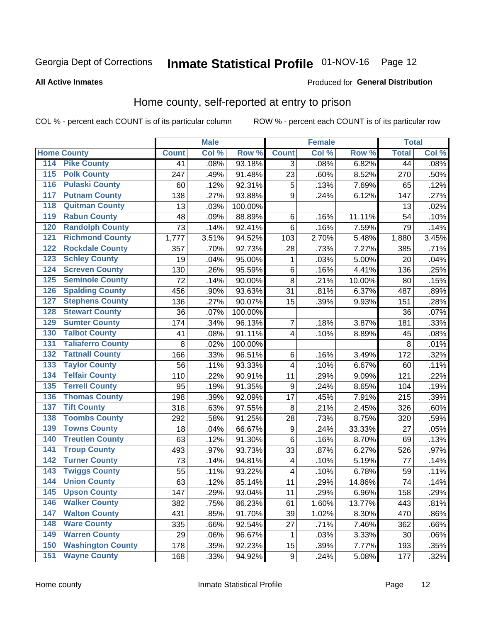# Inmate Statistical Profile 01-NOV-16 Page 12

### **All Active Inmates**

#### Produced for General Distribution

### Home county, self-reported at entry to prison

COL % - percent each COUNT is of its particular column

|                  |                          |              | <b>Male</b> |                  |                  | <b>Female</b> |           | <b>Total</b> |       |
|------------------|--------------------------|--------------|-------------|------------------|------------------|---------------|-----------|--------------|-------|
|                  | <b>Home County</b>       | <b>Count</b> | Col %       | Row <sup>%</sup> | <b>Count</b>     | Col %         | Row %     | <b>Total</b> | Col % |
| 114              | <b>Pike County</b>       | 41           | .08%        | 93.18%           | 3                | .08%          | 6.82%     | 44           | .08%  |
| 115              | <b>Polk County</b>       | 247          | .49%        | 91.48%           | 23               | .60%          | 8.52%     | 270          | .50%  |
| 116              | <b>Pulaski County</b>    | 60           | .12%        | 92.31%           | 5                | .13%          | 7.69%     | 65           | .12%  |
| 117              | <b>Putnam County</b>     | 138          | .27%        | 93.88%           | 9                | .24%          | 6.12%     | 147          | .27%  |
| 118              | <b>Quitman County</b>    | 13           | .03%        | 100.00%          |                  |               |           | 13           | .02%  |
| 119              | <b>Rabun County</b>      | 48           | .09%        | 88.89%           | $\,6$            | .16%          | $11.11\%$ | 54           | .10%  |
| 120              | <b>Randolph County</b>   | 73           | .14%        | 92.41%           | $\,6$            | .16%          | 7.59%     | 79           | .14%  |
| 121              | <b>Richmond County</b>   | 1,777        | 3.51%       | 94.52%           | 103              | 2.70%         | 5.48%     | 1,880        | 3.45% |
| 122              | <b>Rockdale County</b>   | 357          | .70%        | 92.73%           | 28               | .73%          | 7.27%     | 385          | .71%  |
| 123              | <b>Schley County</b>     | 19           | .04%        | 95.00%           | 1                | .03%          | 5.00%     | 20           | .04%  |
| 124              | <b>Screven County</b>    | 130          | .26%        | 95.59%           | $\,6$            | .16%          | 4.41%     | 136          | .25%  |
| 125              | <b>Seminole County</b>   | 72           | .14%        | 90.00%           | 8                | .21%          | 10.00%    | 80           | .15%  |
| 126              | <b>Spalding County</b>   | 456          | .90%        | 93.63%           | 31               | .81%          | 6.37%     | 487          | .89%  |
| 127              | <b>Stephens County</b>   | 136          | .27%        | 90.07%           | 15               | .39%          | 9.93%     | 151          | .28%  |
| 128              | <b>Stewart County</b>    | 36           | .07%        | 100.00%          |                  |               |           | 36           | .07%  |
| 129              | <b>Sumter County</b>     | 174          | .34%        | 96.13%           | 7                | .18%          | 3.87%     | 181          | .33%  |
| 130              | <b>Talbot County</b>     | 41           | .08%        | 91.11%           | 4                | .10%          | 8.89%     | 45           | .08%  |
| 131              | <b>Taliaferro County</b> | $\,8\,$      | .02%        | 100.00%          |                  |               |           | 8            | .01%  |
| 132              | <b>Tattnall County</b>   | 166          | .33%        | 96.51%           | $\,6$            | .16%          | 3.49%     | 172          | .32%  |
| 133              | <b>Taylor County</b>     | 56           | .11%        | 93.33%           | 4                | .10%          | 6.67%     | 60           | .11%  |
| 134              | <b>Telfair County</b>    | 110          | .22%        | 90.91%           | 11               | .29%          | 9.09%     | 121          | .22%  |
| $\overline{135}$ | <b>Terrell County</b>    | 95           | .19%        | 91.35%           | 9                | .24%          | 8.65%     | 104          | .19%  |
| 136              | <b>Thomas County</b>     | 198          | .39%        | 92.09%           | 17               | .45%          | 7.91%     | 215          | .39%  |
| 137              | <b>Tift County</b>       | 318          | .63%        | 97.55%           | 8                | .21%          | 2.45%     | 326          | .60%  |
| 138              | <b>Toombs County</b>     | 292          | .58%        | 91.25%           | 28               | .73%          | 8.75%     | 320          | .59%  |
| 139              | <b>Towns County</b>      | 18           | .04%        | 66.67%           | $\boldsymbol{9}$ | .24%          | 33.33%    | 27           | .05%  |
| 140              | <b>Treutlen County</b>   | 63           | .12%        | 91.30%           | $\,6$            | .16%          | 8.70%     | 69           | .13%  |
| 141              | <b>Troup County</b>      | 493          | .97%        | 93.73%           | 33               | .87%          | 6.27%     | 526          | .97%  |
| $\overline{142}$ | <b>Turner County</b>     | 73           | .14%        | 94.81%           | 4                | .10%          | 5.19%     | 77           | .14%  |
| 143              | <b>Twiggs County</b>     | 55           | .11%        | 93.22%           | 4                | .10%          | 6.78%     | 59           | .11%  |
| 144              | <b>Union County</b>      | 63           | .12%        | 85.14%           | 11               | .29%          | 14.86%    | 74           | .14%  |
| 145              | <b>Upson County</b>      | 147          | .29%        | 93.04%           | 11               | .29%          | 6.96%     | 158          | .29%  |
| 146              | <b>Walker County</b>     | 382          | .75%        | 86.23%           | 61               | 1.60%         | 13.77%    | 443          | .81%  |
| 147              | <b>Walton County</b>     | 431          | .85%        | 91.70%           | 39               | 1.02%         | 8.30%     | 470          | .86%  |
| 148              | <b>Ware County</b>       | 335          | .66%        | 92.54%           | 27               | .71%          | 7.46%     | 362          | .66%  |
| 149              | <b>Warren County</b>     | 29           | .06%        | 96.67%           | 1                | .03%          | 3.33%     | 30           | .06%  |
| 150              | <b>Washington County</b> | 178          | .35%        | 92.23%           | 15               | .39%          | 7.77%     | 193          | .35%  |
| 151              | <b>Wayne County</b>      | 168          | .33%        | 94.92%           | $\boldsymbol{9}$ | .24%          | 5.08%     | 177          | .32%  |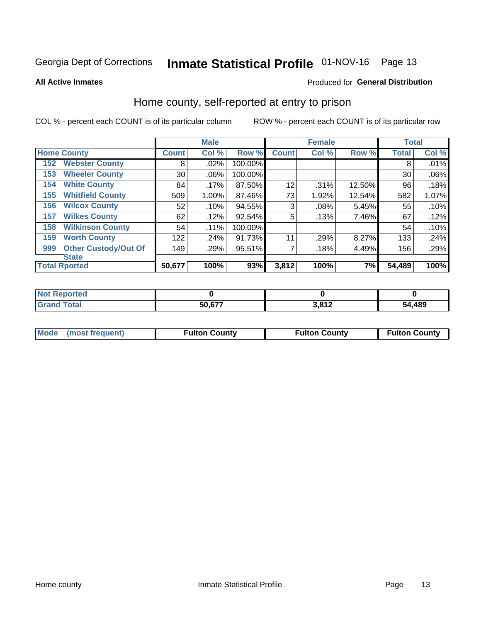# Inmate Statistical Profile 01-NOV-16 Page 13

**All Active Inmates** 

### Produced for General Distribution

### Home county, self-reported at entry to prison

COL % - percent each COUNT is of its particular column

|     |                             |              | <b>Male</b> |         |              | <b>Female</b> |        | <b>Total</b> |       |
|-----|-----------------------------|--------------|-------------|---------|--------------|---------------|--------|--------------|-------|
|     | <b>Home County</b>          | <b>Count</b> | Col %       | Row %   | <b>Count</b> | Col %         | Row %  | <b>Total</b> | Col % |
| 152 | <b>Webster County</b>       | 8            | .02%        | 100.00% |              |               |        | 8            | .01%  |
| 153 | <b>Wheeler County</b>       | 30           | .06%        | 100.00% |              |               |        | 30           | .06%  |
| 154 | <b>White County</b>         | 84           | .17%        | 87.50%  | 12           | .31%          | 12.50% | 96           | .18%  |
| 155 | <b>Whitfield County</b>     | 509          | 1.00%       | 87.46%  | 73           | 1.92%         | 12.54% | 582          | 1.07% |
| 156 | <b>Wilcox County</b>        | 52           | .10%        | 94.55%  | 3            | .08%          | 5.45%  | 55           | .10%  |
| 157 | <b>Wilkes County</b>        | 62           | .12%        | 92.54%  | 5            | .13%          | 7.46%  | 67           | .12%  |
| 158 | <b>Wilkinson County</b>     | 54           | .11%        | 100.00% |              |               |        | 54           | .10%  |
| 159 | <b>Worth County</b>         | 122          | .24%        | 91.73%  | 11           | .29%          | 8.27%  | 133          | .24%  |
| 999 | <b>Other Custody/Out Of</b> | 149          | .29%        | 95.51%  |              | .18%          | 4.49%  | 156          | .29%  |
|     | <b>State</b>                |              |             |         |              |               |        |              |       |
|     | <b>Total Rported</b>        | 50,677       | 100%        | 93%     | 3,812        | 100%          | 7%     | 54,489       | 100%  |

| <b>Not</b><br>Reported |        |      |        |
|------------------------|--------|------|--------|
| <b>c</b> otal          | 50,677 | 2012 | 54,489 |

| Mode (most frequent) | <b>Fulton County</b> | <b>Fulton County</b> | <b>Fulton County</b> |
|----------------------|----------------------|----------------------|----------------------|
|                      |                      |                      |                      |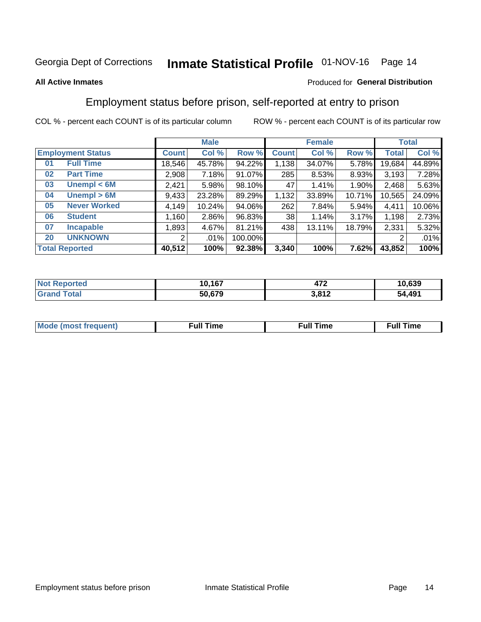# Inmate Statistical Profile 01-NOV-16 Page 14

### **All Active Inmates**

### Produced for General Distribution

### Employment status before prison, self-reported at entry to prison

COL % - percent each COUNT is of its particular column

|                           | <b>Male</b> |          |         | <b>Female</b> |        |        | <b>Total</b> |        |
|---------------------------|-------------|----------|---------|---------------|--------|--------|--------------|--------|
| <b>Employment Status</b>  | Count l     | Col %    | Row %   | <b>Count</b>  | Col %  | Row %  | Total        | Col %  |
| <b>Full Time</b><br>01    | 18,546      | 45.78%   | 94.22%  | 1,138         | 34.07% | 5.78%  | 19,684       | 44.89% |
| <b>Part Time</b><br>02    | 2,908       | 7.18%    | 91.07%  | 285           | 8.53%  | 8.93%  | 3.193        | 7.28%  |
| Unempl $<$ 6M<br>03       | 2,421       | 5.98%    | 98.10%  | 47            | 1.41%  | 1.90%  | 2,468        | 5.63%  |
| Unempl $> 6M$<br>04       | 9,433       | 23.28%   | 89.29%  | 1,132         | 33.89% | 10.71% | 10,565       | 24.09% |
| <b>Never Worked</b><br>05 | 4,149       | 10.24%   | 94.06%  | 262           | 7.84%  | 5.94%  | 4,411        | 10.06% |
| <b>Student</b><br>06      | 1,160       | $2.86\%$ | 96.83%  | 38            | 1.14%  | 3.17%  | 1,198        | 2.73%  |
| <b>Incapable</b><br>07    | 1,893       | 4.67%    | 81.21%  | 438           | 13.11% | 18.79% | 2,331        | 5.32%  |
| <b>UNKNOWN</b><br>20      | 2           | $.01\%$  | 100.00% |               |        |        | 2            | .01%   |
| <b>Total Reported</b>     | 40,512      | 100%     | 92.38%  | 3,340         | 100%   | 7.62%  | 43,852       | 100%   |

| <b>Not Reported</b> | 10,167 | יי<br>$-41-$ | 10,639 |
|---------------------|--------|--------------|--------|
| <b>Grand Total</b>  | 50,679 | 3,812        | 54,491 |

| <b>Mode (most frequent)</b> | $^{\prime\prime}$ Time | <b>Time</b><br>rull i |
|-----------------------------|------------------------|-----------------------|
|                             |                        |                       |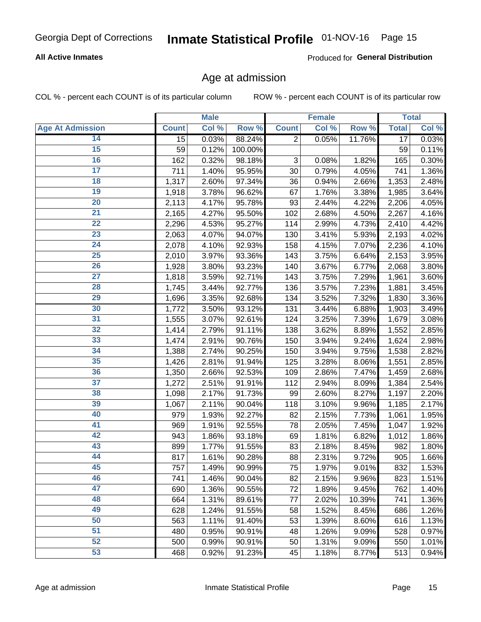# Inmate Statistical Profile 01-NOV-16 Page 15

### **All Active Inmates**

Produced for General Distribution

### Age at admission

COL % - percent each COUNT is of its particular column

|                         |              | <b>Male</b> |         |              | Female |        |              | <b>Total</b> |
|-------------------------|--------------|-------------|---------|--------------|--------|--------|--------------|--------------|
| <b>Age At Admission</b> | <b>Count</b> | Col %       | Row %   | <b>Count</b> | Col %  | Row %  | <b>Total</b> | Col %        |
| 14                      | 15           | 0.03%       | 88.24%  | 2            | 0.05%  | 11.76% | 17           | 0.03%        |
| 15                      | 59           | 0.12%       | 100.00% |              |        |        | 59           | 0.11%        |
| 16                      | 162          | 0.32%       | 98.18%  | 3            | 0.08%  | 1.82%  | 165          | 0.30%        |
| $\overline{17}$         | 711          | 1.40%       | 95.95%  | 30           | 0.79%  | 4.05%  | 741          | 1.36%        |
| $\overline{18}$         | 1,317        | 2.60%       | 97.34%  | 36           | 0.94%  | 2.66%  | 1,353        | 2.48%        |
| 19                      | 1,918        | 3.78%       | 96.62%  | 67           | 1.76%  | 3.38%  | 1,985        | 3.64%        |
| $\overline{20}$         | 2,113        | 4.17%       | 95.78%  | 93           | 2.44%  | 4.22%  | 2,206        | 4.05%        |
| $\overline{21}$         | 2,165        | 4.27%       | 95.50%  | 102          | 2.68%  | 4.50%  | 2,267        | 4.16%        |
| $\overline{22}$         | 2,296        | 4.53%       | 95.27%  | 114          | 2.99%  | 4.73%  | 2,410        | 4.42%        |
| 23                      | 2,063        | 4.07%       | 94.07%  | 130          | 3.41%  | 5.93%  | 2,193        | 4.02%        |
| $\overline{24}$         | 2,078        | 4.10%       | 92.93%  | 158          | 4.15%  | 7.07%  | 2,236        | 4.10%        |
| 25                      | 2,010        | 3.97%       | 93.36%  | 143          | 3.75%  | 6.64%  | 2,153        | 3.95%        |
| $\overline{26}$         | 1,928        | 3.80%       | 93.23%  | 140          | 3.67%  | 6.77%  | 2,068        | 3.80%        |
| $\overline{27}$         | 1,818        | 3.59%       | 92.71%  | 143          | 3.75%  | 7.29%  | 1,961        | 3.60%        |
| 28                      | 1,745        | 3.44%       | 92.77%  | 136          | 3.57%  | 7.23%  | 1,881        | 3.45%        |
| 29                      | 1,696        | 3.35%       | 92.68%  | 134          | 3.52%  | 7.32%  | 1,830        | 3.36%        |
| 30                      | 1,772        | 3.50%       | 93.12%  | 131          | 3.44%  | 6.88%  | 1,903        | 3.49%        |
| $\overline{31}$         | 1,555        | 3.07%       | 92.61%  | 124          | 3.25%  | 7.39%  | 1,679        | 3.08%        |
| 32                      | 1,414        | 2.79%       | 91.11%  | 138          | 3.62%  | 8.89%  | 1,552        | 2.85%        |
| 33                      | 1,474        | 2.91%       | 90.76%  | 150          | 3.94%  | 9.24%  | 1,624        | 2.98%        |
| 34                      | 1,388        | 2.74%       | 90.25%  | 150          | 3.94%  | 9.75%  | 1,538        | 2.82%        |
| 35                      | 1,426        | 2.81%       | 91.94%  | 125          | 3.28%  | 8.06%  | 1,551        | 2.85%        |
| 36                      | 1,350        | 2.66%       | 92.53%  | 109          | 2.86%  | 7.47%  | 1,459        | 2.68%        |
| $\overline{37}$         | 1,272        | 2.51%       | 91.91%  | 112          | 2.94%  | 8.09%  | 1,384        | 2.54%        |
| 38                      | 1,098        | 2.17%       | 91.73%  | 99           | 2.60%  | 8.27%  | 1,197        | 2.20%        |
| 39                      | 1,067        | 2.11%       | 90.04%  | 118          | 3.10%  | 9.96%  | 1,185        | 2.17%        |
| 40                      | 979          | 1.93%       | 92.27%  | 82           | 2.15%  | 7.73%  | 1,061        | 1.95%        |
| 41                      | 969          | 1.91%       | 92.55%  | 78           | 2.05%  | 7.45%  | 1,047        | 1.92%        |
| 42                      | 943          | 1.86%       | 93.18%  | 69           | 1.81%  | 6.82%  | 1,012        | 1.86%        |
| 43                      | 899          | 1.77%       | 91.55%  | 83           | 2.18%  | 8.45%  | 982          | 1.80%        |
| 44                      | 817          | 1.61%       | 90.28%  | 88           | 2.31%  | 9.72%  | 905          | 1.66%        |
| 45                      | 757          | 1.49%       | 90.99%  | 75           | 1.97%  | 9.01%  | 832          | 1.53%        |
| 46                      | 741          | 1.46%       | 90.04%  | 82           | 2.15%  | 9.96%  | 823          | 1.51%        |
| 47                      | 690          | 1.36%       | 90.55%  | 72           | 1.89%  | 9.45%  | 762          | 1.40%        |
| 48                      | 664          | 1.31%       | 89.61%  | 77           | 2.02%  | 10.39% | 741          | 1.36%        |
| 49                      | 628          | 1.24%       | 91.55%  | 58           | 1.52%  | 8.45%  | 686          | 1.26%        |
| 50                      | 563          | 1.11%       | 91.40%  | 53           | 1.39%  | 8.60%  | 616          | 1.13%        |
| 51                      | 480          | 0.95%       | 90.91%  | 48           | 1.26%  | 9.09%  | 528          | 0.97%        |
| 52                      | 500          | 0.99%       | 90.91%  | 50           | 1.31%  | 9.09%  | 550          | 1.01%        |
| 53                      | 468          | 0.92%       | 91.23%  | 45           | 1.18%  | 8.77%  | 513          | 0.94%        |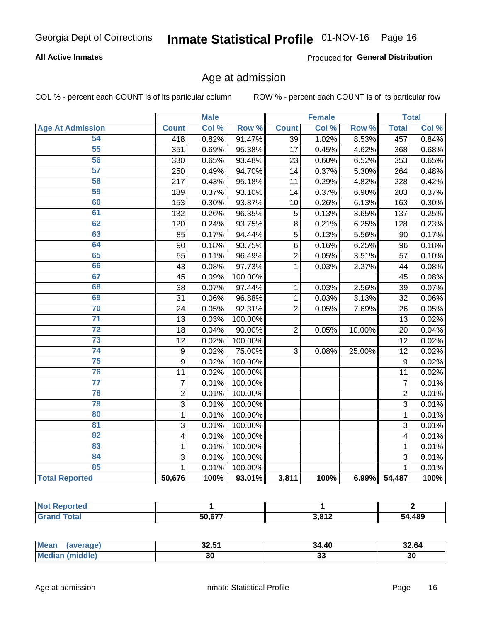# Inmate Statistical Profile 01-NOV-16 Page 16

### **All Active Inmates**

Produced for General Distribution

### Age at admission

COL % - percent each COUNT is of its particular column

|                         |                         | <b>Male</b> |         |                 | <b>Female</b> |                  |                 | <b>Total</b> |
|-------------------------|-------------------------|-------------|---------|-----------------|---------------|------------------|-----------------|--------------|
| <b>Age At Admission</b> | <b>Count</b>            | Col %       | Row %   | <b>Count</b>    | Col %         | Row <sup>%</sup> | <b>Total</b>    | Col %        |
| 54                      | $\overline{418}$        | 0.82%       | 91.47%  | $\overline{39}$ | 1.02%         | 8.53%            | 457             | 0.84%        |
| 55                      | 351                     | 0.69%       | 95.38%  | 17              | 0.45%         | 4.62%            | 368             | 0.68%        |
| 56                      | 330                     | 0.65%       | 93.48%  | 23              | 0.60%         | 6.52%            | 353             | 0.65%        |
| $\overline{57}$         | 250                     | 0.49%       | 94.70%  | $\overline{14}$ | 0.37%         | 5.30%            | 264             | 0.48%        |
| 58                      | 217                     | 0.43%       | 95.18%  | 11              | 0.29%         | 4.82%            | 228             | 0.42%        |
| 59                      | 189                     | 0.37%       | 93.10%  | 14              | 0.37%         | 6.90%            | 203             | 0.37%        |
| 60                      | 153                     | 0.30%       | 93.87%  | 10              | 0.26%         | 6.13%            | 163             | 0.30%        |
| 61                      | 132                     | 0.26%       | 96.35%  | 5               | 0.13%         | 3.65%            | 137             | 0.25%        |
| 62                      | 120                     | 0.24%       | 93.75%  | 8               | 0.21%         | 6.25%            | 128             | 0.23%        |
| 63                      | 85                      | 0.17%       | 94.44%  | 5               | 0.13%         | 5.56%            | 90              | 0.17%        |
| 64                      | 90                      | 0.18%       | 93.75%  | $\,6$           | 0.16%         | 6.25%            | 96              | 0.18%        |
| 65                      | 55                      | 0.11%       | 96.49%  | $\overline{c}$  | 0.05%         | 3.51%            | 57              | 0.10%        |
| 66                      | 43                      | 0.08%       | 97.73%  | $\overline{1}$  | 0.03%         | 2.27%            | 44              | 0.08%        |
| 67                      | 45                      | 0.09%       | 100.00% |                 |               |                  | 45              | 0.08%        |
| 68                      | 38                      | 0.07%       | 97.44%  | 1               | 0.03%         | 2.56%            | 39              | 0.07%        |
| 69                      | 31                      | 0.06%       | 96.88%  | 1               | 0.03%         | 3.13%            | 32              | 0.06%        |
| 70                      | 24                      | 0.05%       | 92.31%  | $\overline{2}$  | 0.05%         | 7.69%            | 26              | 0.05%        |
| $\overline{71}$         | 13                      | 0.03%       | 100.00% |                 |               |                  | 13              | 0.02%        |
| $\overline{72}$         | 18                      | 0.04%       | 90.00%  | $\overline{2}$  | 0.05%         | 10.00%           | 20              | 0.04%        |
| $\overline{73}$         | 12                      | 0.02%       | 100.00% |                 |               |                  | $\overline{12}$ | 0.02%        |
| $\overline{74}$         | $\boldsymbol{9}$        | 0.02%       | 75.00%  | 3               | 0.08%         | 25.00%           | 12              | 0.02%        |
| $\overline{75}$         | 9                       | 0.02%       | 100.00% |                 |               |                  | 9               | 0.02%        |
| 76                      | 11                      | 0.02%       | 100.00% |                 |               |                  | 11              | 0.02%        |
| $\overline{77}$         | $\overline{7}$          | 0.01%       | 100.00% |                 |               |                  | $\overline{7}$  | 0.01%        |
| 78                      | $\overline{2}$          | 0.01%       | 100.00% |                 |               |                  | $\overline{2}$  | 0.01%        |
| 79                      | 3                       | 0.01%       | 100.00% |                 |               |                  | $\overline{3}$  | 0.01%        |
| 80                      | $\mathbf{1}$            | 0.01%       | 100.00% |                 |               |                  | $\mathbf{1}$    | 0.01%        |
| 81                      | 3                       | 0.01%       | 100.00% |                 |               |                  | 3               | 0.01%        |
| $\overline{82}$         | $\overline{\mathbf{4}}$ | 0.01%       | 100.00% |                 |               |                  | 4               | 0.01%        |
| 83                      | 1                       | 0.01%       | 100.00% |                 |               |                  | 1               | 0.01%        |
| 84                      | 3                       | 0.01%       | 100.00% |                 |               |                  | 3               | 0.01%        |
| 85                      | $\mathbf{1}$            | 0.01%       | 100.00% |                 |               |                  | $\mathbf{1}$    | 0.01%        |
| <b>Total Reported</b>   | 50,676                  | 100%        | 93.01%  | 3,811           | 100%          | 6.99%            | 54,487          | 100%         |

| <b>I</b> NOT REDOFTED<br>⋯ |        |             |        |
|----------------------------|--------|-------------|--------|
| <i>i</i> otal              | 50.677 | <b>2012</b> | 54,489 |

| Mean<br>average),         | 50 F.A<br>JZ.J. | 34.40    | 32.64 |
|---------------------------|-----------------|----------|-------|
| 'middle)<br><b>Mediar</b> | 30              | ~<br>-JJ | 30    |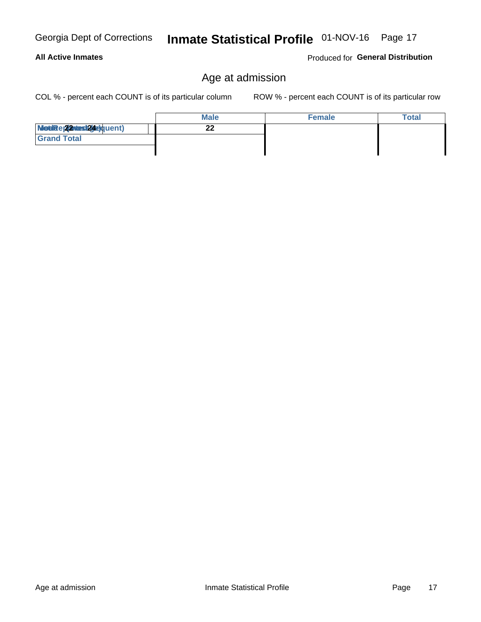# Inmate Statistical Profile 01-NOV-16 Page 17

### Produced for General Distribution

### Age at admission

COL % - percent each COUNT is of its particular column

|                          | <b>Male</b> | <b>Female</b> | Total |
|--------------------------|-------------|---------------|-------|
| Modiae 22 Mast24e)quent) | ົ<br>- -    |               |       |
| <b>Grand Total</b>       |             |               |       |
|                          |             |               |       |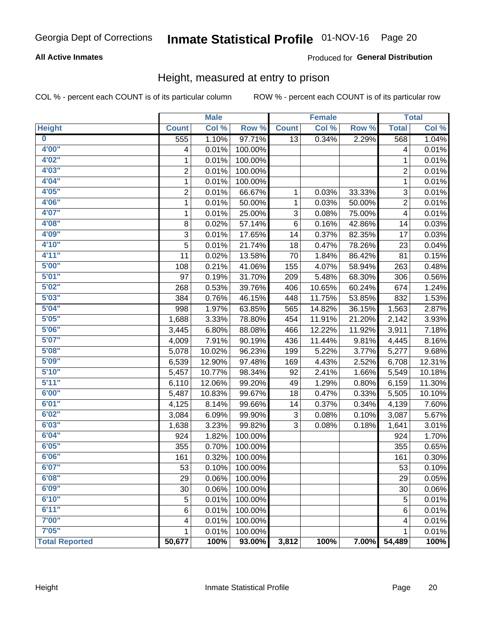# Inmate Statistical Profile 01-NOV-16 Page 20

### **All Active Inmates**

### Produced for General Distribution

### Height, measured at entry to prison

COL % - percent each COUNT is of its particular column

|                         |                | <b>Male</b> |         |                 | <b>Female</b> |        |                | <b>Total</b> |
|-------------------------|----------------|-------------|---------|-----------------|---------------|--------|----------------|--------------|
| <b>Height</b>           | <b>Count</b>   | Col %       | Row %   | <b>Count</b>    | Col %         | Row %  | <b>Total</b>   | Col %        |
| $\overline{\mathbf{0}}$ | 555            | 1.10%       | 97.71%  | $\overline{13}$ | 0.34%         | 2.29%  | 568            | 1.04%        |
| 4'00"                   | 4              | 0.01%       | 100.00% |                 |               |        | 4              | 0.01%        |
| 4'02''                  | 1              | 0.01%       | 100.00% |                 |               |        | 1              | 0.01%        |
| 4'03''                  | $\overline{c}$ | 0.01%       | 100.00% |                 |               |        | $\overline{c}$ | 0.01%        |
| 4'04"                   | 1              | 0.01%       | 100.00% |                 |               |        | 1              | 0.01%        |
| 4'05"                   | $\overline{2}$ | 0.01%       | 66.67%  | $\mathbf{1}$    | 0.03%         | 33.33% | $\sqrt{3}$     | 0.01%        |
| 4'06"                   | 1              | 0.01%       | 50.00%  | 1               | 0.03%         | 50.00% | $\overline{c}$ | 0.01%        |
| 4'07"                   | 1              | 0.01%       | 25.00%  | 3               | 0.08%         | 75.00% | 4              | 0.01%        |
| 4'08"                   | 8              | 0.02%       | 57.14%  | 6               | 0.16%         | 42.86% | 14             | 0.03%        |
| 4'09"                   | 3              | 0.01%       | 17.65%  | 14              | 0.37%         | 82.35% | 17             | 0.03%        |
| 4'10''                  | 5              | 0.01%       | 21.74%  | 18              | 0.47%         | 78.26% | 23             | 0.04%        |
| 4'11''                  | 11             | 0.02%       | 13.58%  | 70              | 1.84%         | 86.42% | 81             | 0.15%        |
| 5'00''                  | 108            | 0.21%       | 41.06%  | 155             | 4.07%         | 58.94% | 263            | 0.48%        |
| 5'01"                   | 97             | 0.19%       | 31.70%  | 209             | 5.48%         | 68.30% | 306            | 0.56%        |
| 5'02"                   | 268            | 0.53%       | 39.76%  | 406             | 10.65%        | 60.24% | 674            | 1.24%        |
| 5'03''                  | 384            | 0.76%       | 46.15%  | 448             | 11.75%        | 53.85% | 832            | 1.53%        |
| 5'04"                   | 998            | 1.97%       | 63.85%  | 565             | 14.82%        | 36.15% | 1,563          | 2.87%        |
| 5'05"                   | 1,688          | 3.33%       | 78.80%  | 454             | 11.91%        | 21.20% | 2,142          | 3.93%        |
| 5'06''                  | 3,445          | 6.80%       | 88.08%  | 466             | 12.22%        | 11.92% | 3,911          | 7.18%        |
| 5'07''                  | 4,009          | 7.91%       | 90.19%  | 436             | 11.44%        | 9.81%  | 4,445          | 8.16%        |
| 5'08''                  | 5,078          | 10.02%      | 96.23%  | 199             | 5.22%         | 3.77%  | 5,277          | 9.68%        |
| 5'09''                  | 6,539          | 12.90%      | 97.48%  | 169             | 4.43%         | 2.52%  | 6,708          | 12.31%       |
| 5'10''                  | 5,457          | 10.77%      | 98.34%  | 92              | 2.41%         | 1.66%  | 5,549          | 10.18%       |
| 5'11"                   | 6,110          | 12.06%      | 99.20%  | 49              | 1.29%         | 0.80%  | 6,159          | 11.30%       |
| 6'00''                  | 5,487          | 10.83%      | 99.67%  | 18              | 0.47%         | 0.33%  | 5,505          | 10.10%       |
| 6'01''                  | 4,125          | 8.14%       | 99.66%  | 14              | 0.37%         | 0.34%  | 4,139          | 7.60%        |
| 6'02"                   | 3,084          | 6.09%       | 99.90%  | 3               | 0.08%         | 0.10%  | 3,087          | 5.67%        |
| 6'03''                  | 1,638          | 3.23%       | 99.82%  | 3               | 0.08%         | 0.18%  | 1,641          | 3.01%        |
| 6'04"                   | 924            | 1.82%       | 100.00% |                 |               |        | 924            | 1.70%        |
| 6'05"                   | 355            | 0.70%       | 100.00% |                 |               |        | 355            | 0.65%        |
| 6'06''                  | 161            | 0.32%       | 100.00% |                 |               |        | 161            | 0.30%        |
| 6'07"                   | 53             | 0.10%       | 100.00% |                 |               |        | 53             | 0.10%        |
| 6'08"                   | 29             | 0.06%       | 100.00% |                 |               |        | 29             | 0.05%        |
| 6'09''                  | 30             | 0.06%       | 100.00% |                 |               |        | 30             | 0.06%        |
| 6'10''                  | 5              | 0.01%       | 100.00% |                 |               |        | 5              | 0.01%        |
| 6'11''                  | 6              | 0.01%       | 100.00% |                 |               |        | 6              | 0.01%        |
| 7'00"                   | 4              | 0.01%       | 100.00% |                 |               |        | 4              | 0.01%        |
| 7'05"                   | $\mathbf{1}$   | 0.01%       | 100.00% |                 |               |        | 1              | 0.01%        |
| <b>Total Reported</b>   | 50,677         | 100%        | 93.00%  | 3,812           | 100%          | 7.00%  | 54,489         | 100%         |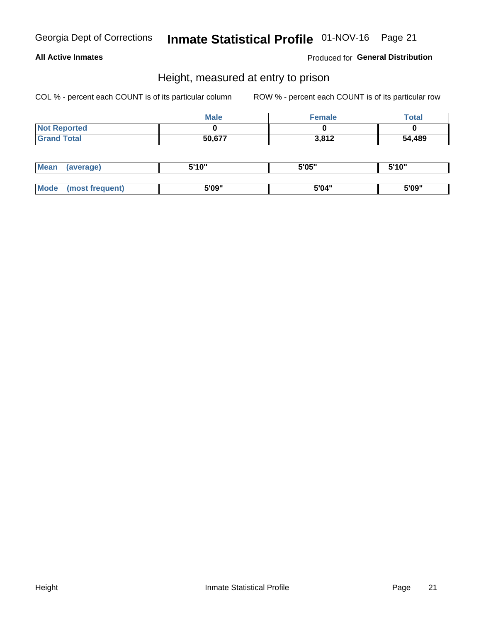# Inmate Statistical Profile 01-NOV-16 Page 21

### **All Active Inmates**

Produced for General Distribution

### Height, measured at entry to prison

COL % - percent each COUNT is of its particular column

|                     | <b>Male</b> | <b>Female</b> | <b>Total</b> |
|---------------------|-------------|---------------|--------------|
| <b>Not Reported</b> |             |               |              |
| <b>Grand Total</b>  | 50,677      | 3,812         | 54,489       |

| <b>Mean</b> | 'average) | EI4 OIL | 5'05" | 5'10" |
|-------------|-----------|---------|-------|-------|
|             |           |         |       |       |
| $M_{\odot}$ | frequent) | 5'09"   | 5'04" | 5'09" |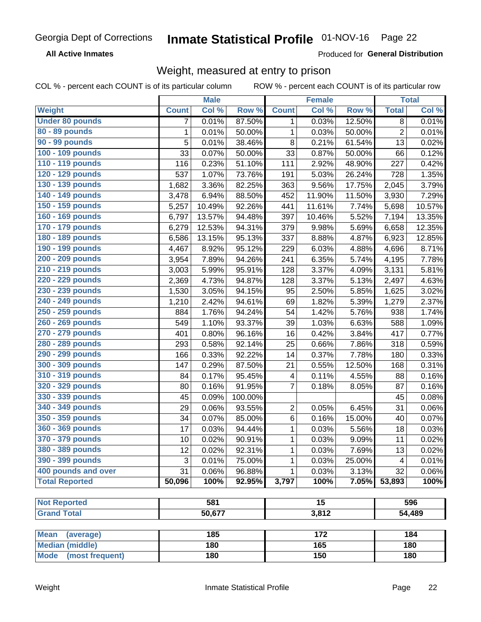#### Inmate Statistical Profile 01-NOV-16 Page 22

**All Active Inmates** 

Produced for General Distribution

### Weight, measured at entry to prison

COL % - percent each COUNT is of its particular column

|                          |              | <b>Male</b> |         |                         | <b>Female</b>   |        |                | <b>Total</b> |
|--------------------------|--------------|-------------|---------|-------------------------|-----------------|--------|----------------|--------------|
| Weight                   | <b>Count</b> | Col %       | Row %   | <b>Count</b>            | Col %           | Row %  | <b>Total</b>   | Col %        |
| <b>Under 80 pounds</b>   | 7            | 0.01%       | 87.50%  | 1                       | 0.03%           | 12.50% | 8              | 0.01%        |
| 80 - 89 pounds           | $\mathbf{1}$ | 0.01%       | 50.00%  | 1                       | 0.03%           | 50.00% | $\overline{2}$ | 0.01%        |
| 90 - 99 pounds           | 5            | 0.01%       | 38.46%  | 8                       | 0.21%           | 61.54% | 13             | 0.02%        |
| 100 - 109 pounds         | 33           | 0.07%       | 50.00%  | 33                      | 0.87%           | 50.00% | 66             | 0.12%        |
| 110 - 119 pounds         | 116          | 0.23%       | 51.10%  | 111                     | 2.92%           | 48.90% | 227            | 0.42%        |
| 120 - 129 pounds         | 537          | 1.07%       | 73.76%  | 191                     | 5.03%           | 26.24% | 728            | 1.35%        |
| 130 - 139 pounds         | 1,682        | 3.36%       | 82.25%  | 363                     | 9.56%           | 17.75% | 2,045          | 3.79%        |
| 140 - 149 pounds         | 3,478        | 6.94%       | 88.50%  | 452                     | 11.90%          | 11.50% | 3,930          | 7.29%        |
| 150 - 159 pounds         | 5,257        | 10.49%      | 92.26%  | 441                     | 11.61%          | 7.74%  | 5,698          | 10.57%       |
| 160 - 169 pounds         | 6,797        | 13.57%      | 94.48%  | 397                     | 10.46%          | 5.52%  | 7,194          | 13.35%       |
| 170 - 179 pounds         | 6,279        | 12.53%      | 94.31%  | 379                     | 9.98%           | 5.69%  | 6,658          | 12.35%       |
| 180 - 189 pounds         | 6,586        | 13.15%      | 95.13%  | 337                     | 8.88%           | 4.87%  | 6,923          | 12.85%       |
| 190 - 199 pounds         | 4,467        | 8.92%       | 95.12%  | 229                     | 6.03%           | 4.88%  | 4,696          | 8.71%        |
| 200 - 209 pounds         | 3,954        | 7.89%       | 94.26%  | 241                     | 6.35%           | 5.74%  | 4,195          | 7.78%        |
| 210 - 219 pounds         | 3,003        | 5.99%       | 95.91%  | 128                     | 3.37%           | 4.09%  | 3,131          | 5.81%        |
| 220 - 229 pounds         | 2,369        | 4.73%       | 94.87%  | 128                     | 3.37%           | 5.13%  | 2,497          | 4.63%        |
| 230 - 239 pounds         | 1,530        | 3.05%       | 94.15%  | 95                      | 2.50%           | 5.85%  | 1,625          | 3.02%        |
| 240 - 249 pounds         | 1,210        | 2.42%       | 94.61%  | 69                      | 1.82%           | 5.39%  | 1,279          | 2.37%        |
| 250 - 259 pounds         | 884          | 1.76%       | 94.24%  | 54                      | 1.42%           | 5.76%  | 938            | 1.74%        |
| 260 - 269 pounds         | 549          | 1.10%       | 93.37%  | 39                      | 1.03%           | 6.63%  | 588            | 1.09%        |
| 270 - 279 pounds         | 401          | 0.80%       | 96.16%  | 16                      | 0.42%           | 3.84%  | 417            | 0.77%        |
| 280 - 289 pounds         | 293          | 0.58%       | 92.14%  | 25                      | 0.66%           | 7.86%  | 318            | 0.59%        |
| 290 - 299 pounds         | 166          | 0.33%       | 92.22%  | 14                      | 0.37%           | 7.78%  | 180            | 0.33%        |
| 300 - 309 pounds         | 147          | 0.29%       | 87.50%  | 21                      | 0.55%           | 12.50% | 168            | 0.31%        |
| 310 - 319 pounds         | 84           | 0.17%       | 95.45%  | $\overline{\mathbf{4}}$ | 0.11%           | 4.55%  | 88             | 0.16%        |
| 320 - 329 pounds         | 80           | 0.16%       | 91.95%  | $\overline{7}$          | 0.18%           | 8.05%  | 87             | 0.16%        |
| 330 - 339 pounds         | 45           | 0.09%       | 100.00% |                         |                 |        | 45             | 0.08%        |
| 340 - 349 pounds         | 29           | 0.06%       | 93.55%  | $\overline{2}$          | 0.05%           | 6.45%  | 31             | 0.06%        |
| 350 - 359 pounds         | 34           | 0.07%       | 85.00%  | 6                       | 0.16%           | 15.00% | 40             | 0.07%        |
| 360 - 369 pounds         | 17           | 0.03%       | 94.44%  | 1                       | 0.03%           | 5.56%  | 18             | 0.03%        |
| 370 - 379 pounds         | 10           | 0.02%       | 90.91%  | 1                       | 0.03%           | 9.09%  | 11             | 0.02%        |
| 380 - 389 pounds         | 12           | 0.02%       | 92.31%  | 1                       | 0.03%           | 7.69%  | 13             | 0.02%        |
| 390 - 399 pounds         | 3            | 0.01%       | 75.00%  | 1                       | 0.03%           | 25.00% | 4              | 0.01%        |
| 400 pounds and over      | 31           | 0.06%       | 96.88%  | 1                       | 0.03%           | 3.13%  | 32             | $0.06\%$     |
| <b>Total Reported</b>    | 50,096       | 100%        | 92.95%  | 3,797                   | 100%            | 7.05%  | 53,893         | 100%         |
|                          |              |             |         |                         |                 |        |                |              |
| <b>Not Reported</b>      |              | 581         |         |                         | $\overline{15}$ |        | 596            |              |
| <b>Grand Total</b>       |              | 50,677      |         |                         | 3,812           |        | 54,489         |              |
|                          |              |             |         |                         |                 |        |                |              |
| <b>Mean</b><br>(average) |              | 185         |         |                         | 172             |        |                | 184          |
| <b>Median (middle)</b>   |              | 180         |         |                         | 165             |        |                | 180          |
| Mode (most frequent)     |              | 180         |         |                         | 150             |        |                | 180          |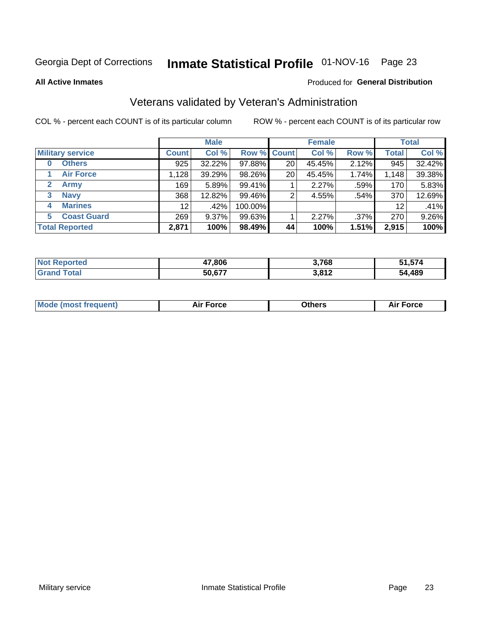# Inmate Statistical Profile 01-NOV-16 Page 23

**All Active Inmates** 

### Produced for General Distribution

### Veterans validated by Veteran's Administration

COL % - percent each COUNT is of its particular column

|                          |                 | <b>Male</b> |             |    | <b>Female</b> |       |                   | <b>Total</b> |
|--------------------------|-----------------|-------------|-------------|----|---------------|-------|-------------------|--------------|
| <b>Military service</b>  | <b>Count</b>    | Col %       | Row % Count |    | Col %         | Row % | <b>Total</b>      | Col %        |
| <b>Others</b><br>0       | 925             | 32.22%      | 97.88%      | 20 | 45.45%        | 2.12% | 945               | 32.42%       |
| <b>Air Force</b>         | 1,128           | 39.29%      | 98.26%      | 20 | 45.45%        | 1.74% | 1,148             | 39.38%       |
| 2<br><b>Army</b>         | 169             | 5.89%       | 99.41%      |    | 2.27%         | .59%  | 170               | 5.83%        |
| <b>Navy</b><br>3         | 368             | 12.82%      | 99.46%      | 2  | 4.55%         | .54%  | 370               | 12.69%       |
| <b>Marines</b><br>4      | 12 <sup>2</sup> | .42%        | 100.00%     |    |               |       | $12 \overline{ }$ | .41%         |
| <b>Coast Guard</b><br>5. | 269             | 9.37%       | 99.63%      |    | 2.27%         | .37%  | 270               | 9.26%        |
| <b>Total Reported</b>    | 2,871           | 100%        | 98.49%      | 44 | 100%          | 1.51% | 2,915             | 100%         |

| <b>Not</b><br>Reported | 17,806 | 3,768           | <u>ra rya</u><br>710, ا |
|------------------------|--------|-----------------|-------------------------|
| ™ota⊾                  | 50,677 | 2012<br>3.O I Z | 54,489                  |

|  |  | <b>Mode (most frequent)</b> | <b>Force</b><br>Aır | วthers | orce |
|--|--|-----------------------------|---------------------|--------|------|
|--|--|-----------------------------|---------------------|--------|------|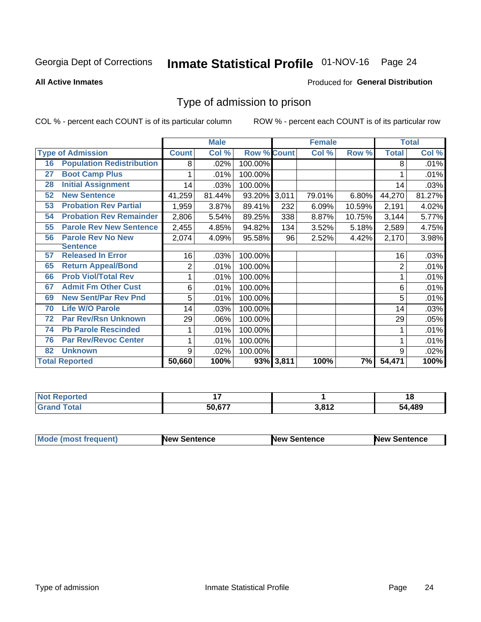# Inmate Statistical Profile 01-NOV-16 Page 24

#### **All Active Inmates**

#### Produced for General Distribution

### Type of admission to prison

COL % - percent each COUNT is of its particular column

|    |                                  |                | <b>Male</b> |                    |           | <b>Female</b> |        |                | <b>Total</b> |
|----|----------------------------------|----------------|-------------|--------------------|-----------|---------------|--------|----------------|--------------|
|    | <b>Type of Admission</b>         | <b>Count</b>   | Col %       | <b>Row % Count</b> |           | Col %         | Row %  | <b>Total</b>   | Col %        |
| 16 | <b>Population Redistribution</b> | 8              | $.02\%$     | 100.00%            |           |               |        | 8              | .01%         |
| 27 | <b>Boot Camp Plus</b>            |                | .01%        | 100.00%            |           |               |        |                | .01%         |
| 28 | <b>Initial Assignment</b>        | 14             | .03%        | 100.00%            |           |               |        | 14             | .03%         |
| 52 | <b>New Sentence</b>              | 41,259         | 81.44%      | 93.20% 3,011       |           | 79.01%        | 6.80%  | 44,270         | 81.27%       |
| 53 | <b>Probation Rev Partial</b>     | 1,959          | 3.87%       | 89.41%             | 232       | 6.09%         | 10.59% | 2,191          | 4.02%        |
| 54 | <b>Probation Rev Remainder</b>   | 2,806          | 5.54%       | 89.25%             | 338       | 8.87%         | 10.75% | 3,144          | 5.77%        |
| 55 | <b>Parole Rev New Sentence</b>   | 2,455          | 4.85%       | 94.82%             | 134       | 3.52%         | 5.18%  | 2,589          | 4.75%        |
| 56 | <b>Parole Rev No New</b>         | 2,074          | 4.09%       | 95.58%             | 96        | 2.52%         | 4.42%  | 2,170          | 3.98%        |
|    | <b>Sentence</b>                  |                |             |                    |           |               |        |                |              |
| 57 | <b>Released In Error</b>         | 16             | .03%        | 100.00%            |           |               |        | 16             | .03%         |
| 65 | <b>Return Appeal/Bond</b>        | $\overline{2}$ | .01%        | 100.00%            |           |               |        | $\overline{2}$ | .01%         |
| 66 | <b>Prob Viol/Total Rev</b>       | 1              | .01%        | 100.00%            |           |               |        |                | .01%         |
| 67 | <b>Admit Fm Other Cust</b>       | 6              | .01%        | 100.00%            |           |               |        | 6              | .01%         |
| 69 | <b>New Sent/Par Rev Pnd</b>      | 5              | .01%        | 100.00%            |           |               |        | 5              | .01%         |
| 70 | <b>Life W/O Parole</b>           | 14             | .03%        | 100.00%            |           |               |        | 14             | .03%         |
| 72 | <b>Par Rev/Rsn Unknown</b>       | 29             | .06%        | 100.00%            |           |               |        | 29             | .05%         |
| 74 | <b>Pb Parole Rescinded</b>       | 1              | .01%        | 100.00%            |           |               |        |                | .01%         |
| 76 | <b>Par Rev/Revoc Center</b>      | 1              | .01%        | 100.00%            |           |               |        |                | .01%         |
| 82 | <b>Unknown</b>                   | 9              | .02%        | 100.00%            |           |               |        | 9              | .02%         |
|    | <b>Total Reported</b>            | 50,660         | 100%        |                    | 93% 3,811 | 100%          | 7%     | 54,471         | 100%         |

| тео<br>N.   |        |            | 1 Q         |
|-------------|--------|------------|-------------|
| $C = 4 - 7$ | 50.677 | 0.01c<br>. | ,489<br>5Л. |

| Mode (most frequent) | <b>New Sentence</b> | <b>New Sentence</b> | <b>New Sentence</b> |
|----------------------|---------------------|---------------------|---------------------|
|                      |                     |                     |                     |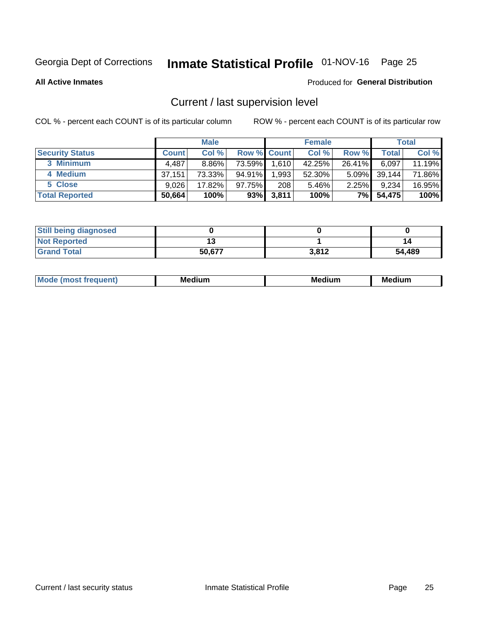# Inmate Statistical Profile 01-NOV-16 Page 25

**All Active Inmates** 

#### Produced for General Distribution

### Current / last supervision level

COL % - percent each COUNT is of its particular column

|                        |              | <b>Male</b> |                    |       | <b>Female</b> |          |        | <b>Total</b> |
|------------------------|--------------|-------------|--------------------|-------|---------------|----------|--------|--------------|
| <b>Security Status</b> | <b>Count</b> | Col %       | <b>Row % Count</b> |       | Col %         | Row %    | Total  | Col %        |
| 3 Minimum              | 4,487        | $8.86\%$    | 73.59%             | 1,610 | 42.25%        | 26.41%   | 6,097  | 11.19%       |
| 4 Medium               | 37,151       | 73.33%      | 94.91%             | .993  | 52.30%        | $5.09\%$ | 39,144 | 71.86%       |
| 5 Close                | 9.026        | 17.82%      | 97.75%             | 208   | 5.46%         | 2.25%    | 9,234  | 16.95%       |
| <b>Total Reported</b>  | 50,664       | 100%        | 93%                | 3,811 | 100%          | 7%       | 54,475 | 100%         |

| <b>Still being diagnosed</b> |        |       |        |
|------------------------------|--------|-------|--------|
| <b>Not Reported</b>          |        |       | 14     |
| <b>Grand Total</b>           | 50,677 | 3,812 | 54,489 |

| M | . | -- |
|---|---|----|
|   |   |    |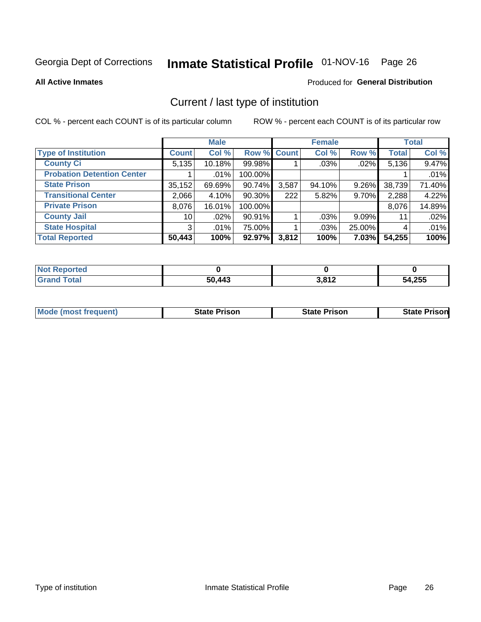# Inmate Statistical Profile 01-NOV-16 Page 26

**All Active Inmates** 

#### Produced for General Distribution

### Current / last type of institution

COL % - percent each COUNT is of its particular column

|                                   |              | <b>Male</b> |             |       | <b>Female</b> |        |              | <b>Total</b> |
|-----------------------------------|--------------|-------------|-------------|-------|---------------|--------|--------------|--------------|
| <b>Type of Institution</b>        | <b>Count</b> | Col %       | Row % Count |       | Col %         | Row %  | <b>Total</b> | Col %        |
| <b>County Ci</b>                  | 5,135        | 10.18%      | 99.98%      |       | .03%          | .02%   | 5,136        | 9.47%        |
| <b>Probation Detention Center</b> |              | $.01\%$     | 100.00%     |       |               |        |              | .01%         |
| <b>State Prison</b>               | 35,152       | 69.69%      | 90.74%      | 3,587 | 94.10%        | 9.26%  | 38,739       | 71.40%       |
| <b>Transitional Center</b>        | 2,066        | 4.10%       | $90.30\%$   | 222   | 5.82%         | 9.70%  | 2,288        | 4.22%        |
| <b>Private Prison</b>             | 8,076        | 16.01%      | 100.00%     |       |               |        | 8,076        | 14.89%       |
| <b>County Jail</b>                | 10 l         | .02%        | 90.91%      |       | .03%          | 9.09%  | 11           | .02%         |
| <b>State Hospital</b>             | 3            | $.01\%$     | 75.00%      |       | .03%          | 25.00% | 4            | .01%         |
| <b>Total Reported</b>             | 50,443       | 100%        | 92.97%      | 3,812 | 100%          | 7.03%  | 54,255       | 100%         |

| oorted<br>NOT |        |                          |        |
|---------------|--------|--------------------------|--------|
| <b>otal</b>   | 50,443 | 2012<br>J.C<br><u>גו</u> | 54,255 |

| <b>Mode (most frequent)</b> | <b>State Prison</b> | <b>State Prison</b> | <b>State Prison</b> |
|-----------------------------|---------------------|---------------------|---------------------|
|                             |                     |                     |                     |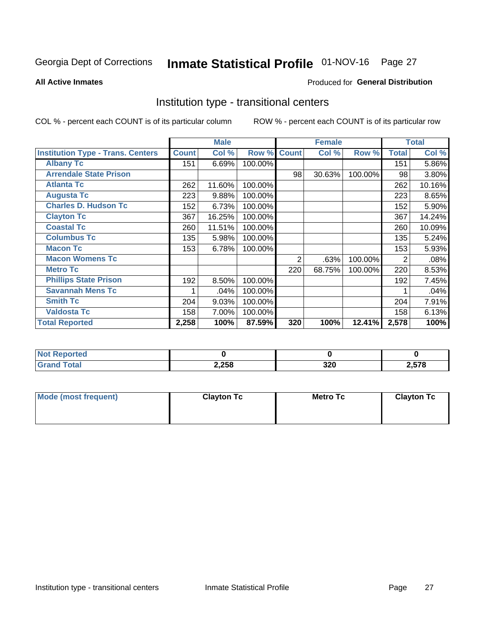# Inmate Statistical Profile 01-NOV-16 Page 27

#### **All Active Inmates**

### Produced for General Distribution

### Institution type - transitional centers

COL % - percent each COUNT is of its particular column

|                                          |              | <b>Male</b> |         |              | <b>Female</b> |         |              | <b>Total</b> |
|------------------------------------------|--------------|-------------|---------|--------------|---------------|---------|--------------|--------------|
| <b>Institution Type - Trans. Centers</b> | <b>Count</b> | Col %       | Row %   | <b>Count</b> | Col %         | Row %   | <b>Total</b> | Col %        |
| <b>Albany Tc</b>                         | 151          | 6.69%       | 100.00% |              |               |         | 151          | 5.86%        |
| <b>Arrendale State Prison</b>            |              |             |         | 98           | 30.63%        | 100.00% | 98           | 3.80%        |
| <b>Atlanta Tc</b>                        | 262          | 11.60%      | 100.00% |              |               |         | 262          | 10.16%       |
| <b>Augusta Tc</b>                        | 223          | 9.88%       | 100.00% |              |               |         | 223          | 8.65%        |
| <b>Charles D. Hudson Tc</b>              | 152          | 6.73%       | 100.00% |              |               |         | 152          | 5.90%        |
| <b>Clayton Tc</b>                        | 367          | 16.25%      | 100.00% |              |               |         | 367          | 14.24%       |
| <b>Coastal Tc</b>                        | 260          | 11.51%      | 100.00% |              |               |         | 260          | 10.09%       |
| <b>Columbus Tc</b>                       | 135          | 5.98%       | 100.00% |              |               |         | 135          | 5.24%        |
| <b>Macon Tc</b>                          | 153          | 6.78%       | 100.00% |              |               |         | 153          | 5.93%        |
| <b>Macon Womens Tc</b>                   |              |             |         | 2            | .63%          | 100.00% | 2            | .08%         |
| <b>Metro Tc</b>                          |              |             |         | 220          | 68.75%        | 100.00% | 220          | 8.53%        |
| <b>Phillips State Prison</b>             | 192          | 8.50%       | 100.00% |              |               |         | 192          | 7.45%        |
| <b>Savannah Mens Tc</b>                  |              | .04%        | 100.00% |              |               |         |              | .04%         |
| <b>Smith Tc</b>                          | 204          | 9.03%       | 100.00% |              |               |         | 204          | 7.91%        |
| <b>Valdosta Tc</b>                       | 158          | 7.00%       | 100.00% |              |               |         | 158          | 6.13%        |
| <b>Total Reported</b>                    | 2,258        | 100%        | 87.59%  | 320          | 100%          | 12.41%  | 2,578        | 100%         |

| τeς.            |       |            |            |
|-----------------|-------|------------|------------|
| $\sim$ - $\sim$ | 2,258 | 220<br>JZU | <b>E70</b> |

| Mode (most frequent) | <b>Clayton Tc</b> | Metro Tc | <b>Clayton Tc</b> |
|----------------------|-------------------|----------|-------------------|
|                      |                   |          |                   |
|                      |                   |          |                   |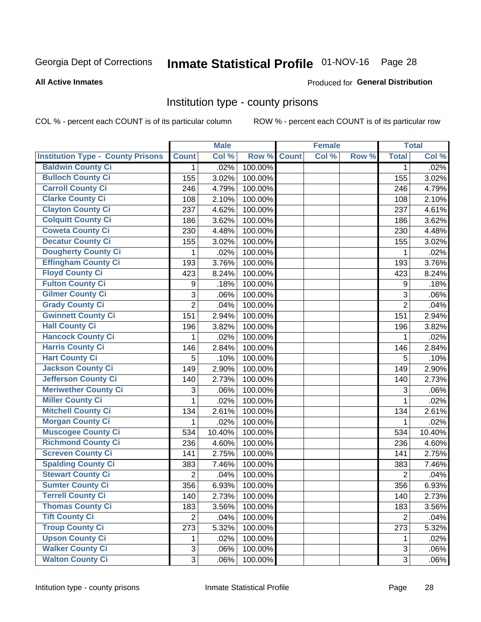# Inmate Statistical Profile 01-NOV-16 Page 28

#### **All Active Inmates**

#### Produced for General Distribution

### Institution type - county prisons

COL % - percent each COUNT is of its particular column

|                                          |                | <b>Male</b> |         |              | <b>Female</b> |       |                | <b>Total</b> |
|------------------------------------------|----------------|-------------|---------|--------------|---------------|-------|----------------|--------------|
| <b>Institution Type - County Prisons</b> | <b>Count</b>   | Col %       | Row %   | <b>Count</b> | Col %         | Row % | <b>Total</b>   | Col %        |
| <b>Baldwin County Ci</b>                 | $\mathbf{1}$   | .02%        | 100.00% |              |               |       | $\mathbf 1$    | .02%         |
| <b>Bulloch County Ci</b>                 | 155            | 3.02%       | 100.00% |              |               |       | 155            | 3.02%        |
| <b>Carroll County Ci</b>                 | 246            | 4.79%       | 100.00% |              |               |       | 246            | 4.79%        |
| <b>Clarke County Ci</b>                  | 108            | 2.10%       | 100.00% |              |               |       | 108            | 2.10%        |
| <b>Clayton County Ci</b>                 | 237            | 4.62%       | 100.00% |              |               |       | 237            | 4.61%        |
| <b>Colquitt County Ci</b>                | 186            | 3.62%       | 100.00% |              |               |       | 186            | 3.62%        |
| <b>Coweta County Ci</b>                  | 230            | 4.48%       | 100.00% |              |               |       | 230            | 4.48%        |
| <b>Decatur County Ci</b>                 | 155            | 3.02%       | 100.00% |              |               |       | 155            | 3.02%        |
| <b>Dougherty County Ci</b>               | 1              | .02%        | 100.00% |              |               |       | 1              | .02%         |
| <b>Effingham County Ci</b>               | 193            | 3.76%       | 100.00% |              |               |       | 193            | 3.76%        |
| <b>Floyd County Ci</b>                   | 423            | 8.24%       | 100.00% |              |               |       | 423            | 8.24%        |
| <b>Fulton County Ci</b>                  | 9              | .18%        | 100.00% |              |               |       | 9              | .18%         |
| <b>Gilmer County Ci</b>                  | $\mathbf{3}$   | .06%        | 100.00% |              |               |       | 3              | .06%         |
| <b>Grady County Ci</b>                   | $\overline{c}$ | .04%        | 100.00% |              |               |       | $\overline{2}$ | .04%         |
| <b>Gwinnett County Ci</b>                | 151            | 2.94%       | 100.00% |              |               |       | 151            | 2.94%        |
| <b>Hall County Ci</b>                    | 196            | 3.82%       | 100.00% |              |               |       | 196            | 3.82%        |
| <b>Hancock County Ci</b>                 | 1              | .02%        | 100.00% |              |               |       | 1              | .02%         |
| <b>Harris County Ci</b>                  | 146            | 2.84%       | 100.00% |              |               |       | 146            | 2.84%        |
| <b>Hart County Ci</b>                    | 5              | .10%        | 100.00% |              |               |       | 5              | .10%         |
| <b>Jackson County Ci</b>                 | 149            | 2.90%       | 100.00% |              |               |       | 149            | 2.90%        |
| <b>Jefferson County Ci</b>               | 140            | 2.73%       | 100.00% |              |               |       | 140            | 2.73%        |
| <b>Meriwether County Ci</b>              | 3              | .06%        | 100.00% |              |               |       | 3              | .06%         |
| <b>Miller County Ci</b>                  | 1              | .02%        | 100.00% |              |               |       | 1              | .02%         |
| <b>Mitchell County Ci</b>                | 134            | 2.61%       | 100.00% |              |               |       | 134            | 2.61%        |
| <b>Morgan County Ci</b>                  | 1              | .02%        | 100.00% |              |               |       | 1              | .02%         |
| <b>Muscogee County Ci</b>                | 534            | 10.40%      | 100.00% |              |               |       | 534            | 10.40%       |
| <b>Richmond County Ci</b>                | 236            | 4.60%       | 100.00% |              |               |       | 236            | 4.60%        |
| <b>Screven County Ci</b>                 | 141            | 2.75%       | 100.00% |              |               |       | 141            | 2.75%        |
| <b>Spalding County Ci</b>                | 383            | 7.46%       | 100.00% |              |               |       | 383            | 7.46%        |
| <b>Stewart County Ci</b>                 | $\overline{2}$ | .04%        | 100.00% |              |               |       | $\overline{2}$ | .04%         |
| <b>Sumter County Ci</b>                  | 356            | 6.93%       | 100.00% |              |               |       | 356            | 6.93%        |
| <b>Terrell County Ci</b>                 | 140            | 2.73%       | 100.00% |              |               |       | 140            | 2.73%        |
| <b>Thomas County Ci</b>                  | 183            | 3.56%       | 100.00% |              |               |       | 183            | 3.56%        |
| <b>Tift County Ci</b>                    | 2              | .04%        | 100.00% |              |               |       | $\overline{2}$ | .04%         |
| <b>Troup County Ci</b>                   | 273            | 5.32%       | 100.00% |              |               |       | 273            | 5.32%        |
| <b>Upson County Ci</b>                   | 1              | .02%        | 100.00% |              |               |       | 1              | .02%         |
| <b>Walker County Ci</b>                  | $\mathfrak{B}$ | .06%        | 100.00% |              |               |       | 3              | .06%         |
| <b>Walton County Ci</b>                  | 3              | .06%        | 100.00% |              |               |       | 3              | .06%         |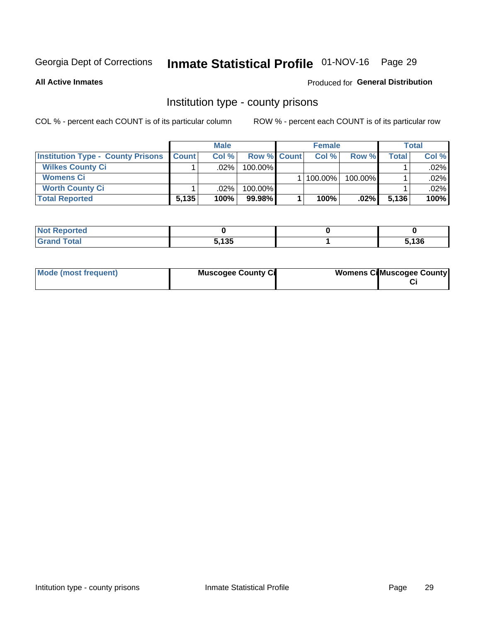# Inmate Statistical Profile 01-NOV-16 Page 29

**All Active Inmates** 

#### Produced for General Distribution

### Institution type - county prisons

COL % - percent each COUNT is of its particular column

|                                          |              | <b>Male</b> |                    | <b>Female</b> |         |       | <b>Total</b> |
|------------------------------------------|--------------|-------------|--------------------|---------------|---------|-------|--------------|
| <b>Institution Type - County Prisons</b> | <b>Count</b> | Col%        | <b>Row % Count</b> | Col%          | Row %   | Total | Col %        |
| <b>Wilkes County Ci</b>                  |              | .02%        | 100.00%            |               |         |       | $.02\%$      |
| <b>Womens Ci</b>                         |              |             |                    | 100.00%       | 100.00% |       | .02%         |
| <b>Worth County Ci</b>                   |              | $.02\%$     | 100.00%            |               |         |       | $.02\%$      |
| <b>Total Reported</b>                    | 5,135        | 100%        | $99.98\%$          | 100%          | $.02\%$ | 5,136 | 100%         |

| τeα                         |                    |       |
|-----------------------------|--------------------|-------|
| $\sim$ $\sim$ $\sim$ $\sim$ | <b>EADE</b><br>າວວ | 5,136 |

| Mode (most frequent) | <b>Muscogee County Ci</b> | <b>Womens CilMuscogee County</b> |
|----------------------|---------------------------|----------------------------------|
|----------------------|---------------------------|----------------------------------|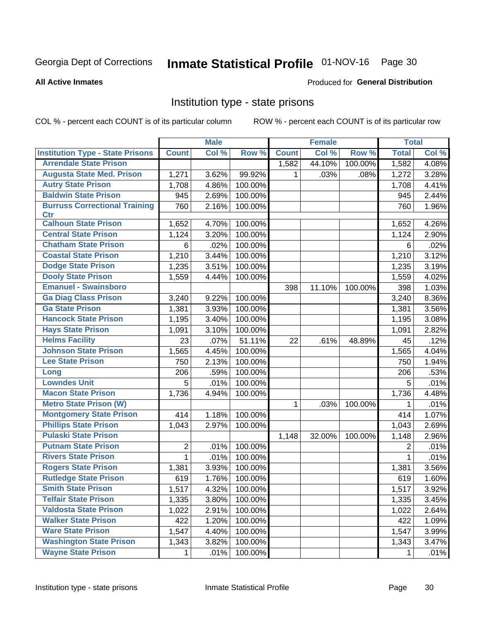# Inmate Statistical Profile 01-NOV-16 Page 30

#### **All Active Inmates**

#### Produced for General Distribution

### Institution type - state prisons

COL % - percent each COUNT is of its particular column

|                                         |              | <b>Male</b> |         |              | <b>Female</b> |         | <b>Total</b> |       |
|-----------------------------------------|--------------|-------------|---------|--------------|---------------|---------|--------------|-------|
| <b>Institution Type - State Prisons</b> | <b>Count</b> | Col %       | Row %   | <b>Count</b> | Col %         | Row %   | <b>Total</b> | Col % |
| <b>Arrendale State Prison</b>           |              |             |         | 1,582        | 44.10%        | 100.00% | 1,582        | 4.08% |
| <b>Augusta State Med. Prison</b>        | 1,271        | 3.62%       | 99.92%  | 1.           | .03%          | .08%    | 1,272        | 3.28% |
| <b>Autry State Prison</b>               | 1,708        | 4.86%       | 100.00% |              |               |         | 1,708        | 4.41% |
| <b>Baldwin State Prison</b>             | 945          | 2.69%       | 100.00% |              |               |         | 945          | 2.44% |
| <b>Burruss Correctional Training</b>    | 760          | 2.16%       | 100.00% |              |               |         | 760          | 1.96% |
| <b>Ctr</b>                              |              |             |         |              |               |         |              |       |
| <b>Calhoun State Prison</b>             | 1,652        | 4.70%       | 100.00% |              |               |         | 1,652        | 4.26% |
| <b>Central State Prison</b>             | 1,124        | 3.20%       | 100.00% |              |               |         | 1,124        | 2.90% |
| <b>Chatham State Prison</b>             | 6            | .02%        | 100.00% |              |               |         | 6            | .02%  |
| <b>Coastal State Prison</b>             | 1,210        | 3.44%       | 100.00% |              |               |         | 1,210        | 3.12% |
| <b>Dodge State Prison</b>               | 1,235        | 3.51%       | 100.00% |              |               |         | 1,235        | 3.19% |
| <b>Dooly State Prison</b>               | 1,559        | 4.44%       | 100.00% |              |               |         | 1,559        | 4.02% |
| <b>Emanuel - Swainsboro</b>             |              |             |         | 398          | 11.10%        | 100.00% | 398          | 1.03% |
| <b>Ga Diag Class Prison</b>             | 3,240        | 9.22%       | 100.00% |              |               |         | 3,240        | 8.36% |
| <b>Ga State Prison</b>                  | 1,381        | 3.93%       | 100.00% |              |               |         | 1,381        | 3.56% |
| <b>Hancock State Prison</b>             | 1,195        | 3.40%       | 100.00% |              |               |         | 1,195        | 3.08% |
| <b>Hays State Prison</b>                | 1,091        | 3.10%       | 100.00% |              |               |         | 1,091        | 2.82% |
| <b>Helms Facility</b>                   | 23           | .07%        | 51.11%  | 22           | .61%          | 48.89%  | 45           | .12%  |
| <b>Johnson State Prison</b>             | 1,565        | 4.45%       | 100.00% |              |               |         | 1,565        | 4.04% |
| <b>Lee State Prison</b>                 | 750          | 2.13%       | 100.00% |              |               |         | 750          | 1.94% |
| Long                                    | 206          | .59%        | 100.00% |              |               |         | 206          | .53%  |
| <b>Lowndes Unit</b>                     | 5            | .01%        | 100.00% |              |               |         | 5            | .01%  |
| <b>Macon State Prison</b>               | 1,736        | 4.94%       | 100.00% |              |               |         | 1,736        | 4.48% |
| <b>Metro State Prison (W)</b>           |              |             |         | 1            | .03%          | 100.00% | 1            | .01%  |
| <b>Montgomery State Prison</b>          | 414          | 1.18%       | 100.00% |              |               |         | 414          | 1.07% |
| <b>Phillips State Prison</b>            | 1,043        | 2.97%       | 100.00% |              |               |         | 1,043        | 2.69% |
| <b>Pulaski State Prison</b>             |              |             |         | 1,148        | 32.00%        | 100.00% | 1,148        | 2.96% |
| <b>Putnam State Prison</b>              | 2            | .01%        | 100.00% |              |               |         | 2            | .01%  |
| <b>Rivers State Prison</b>              | $\mathbf{1}$ | .01%        | 100.00% |              |               |         | 1            | .01%  |
| <b>Rogers State Prison</b>              | 1,381        | 3.93%       | 100.00% |              |               |         | 1,381        | 3.56% |
| <b>Rutledge State Prison</b>            | 619          | 1.76%       | 100.00% |              |               |         | 619          | 1.60% |
| <b>Smith State Prison</b>               | 1,517        | $4.32\%$    | 100.00% |              |               |         | 1,517        | 3.92% |
| <b>Telfair State Prison</b>             | 1,335        | 3.80%       | 100.00% |              |               |         | 1,335        | 3.45% |
| <b>Valdosta State Prison</b>            | 1,022        | 2.91%       | 100.00% |              |               |         | 1,022        | 2.64% |
| <b>Walker State Prison</b>              | 422          | 1.20%       | 100.00% |              |               |         | 422          | 1.09% |
| <b>Ware State Prison</b>                | 1,547        | 4.40%       | 100.00% |              |               |         | 1,547        | 3.99% |
| <b>Washington State Prison</b>          | 1,343        | 3.82%       | 100.00% |              |               |         | 1,343        | 3.47% |
| <b>Wayne State Prison</b>               | 1            | .01%        | 100.00% |              |               |         | 1            | .01%  |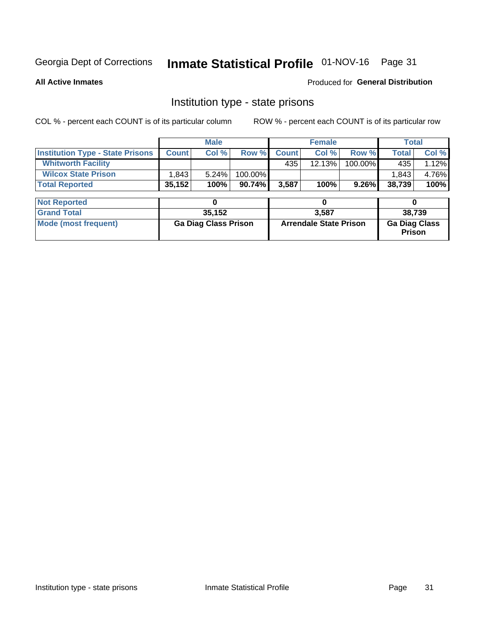# Inmate Statistical Profile 01-NOV-16 Page 31

**All Active Inmates** 

#### Produced for General Distribution

### Institution type - state prisons

COL % - percent each COUNT is of its particular column

|                                         |              | <b>Male</b>                 |           |              | <b>Female</b>                 |          | <b>Total</b>                   |       |
|-----------------------------------------|--------------|-----------------------------|-----------|--------------|-------------------------------|----------|--------------------------------|-------|
| <b>Institution Type - State Prisons</b> | <b>Count</b> | Col %                       | Row %     | <b>Count</b> | Col %                         | Row %    | <b>Total</b>                   | Col % |
| <b>Whitworth Facility</b>               |              |                             |           | 435          | 12.13%                        | 100.00%  | 435                            | 1.12% |
| <b>Wilcox State Prison</b>              | 1,843        | 5.24%                       | 100.00%   |              |                               |          | 1,843                          | 4.76% |
| <b>Total Reported</b>                   | 35,152       | 100%                        | $90.74\%$ | 3,587        | 100%                          | $9.26\%$ | 38,739                         | 100%  |
|                                         |              |                             |           |              |                               |          |                                |       |
| <b>Not Reported</b>                     |              | 0                           |           |              | 0                             |          | 0                              |       |
| <b>Grand Total</b>                      |              | 35,152                      |           |              | 3,587                         |          | 38,739                         |       |
| <b>Mode (most frequent)</b>             |              | <b>Ga Diag Class Prison</b> |           |              | <b>Arrendale State Prison</b> |          | <b>Ga Diag Class</b><br>Prison |       |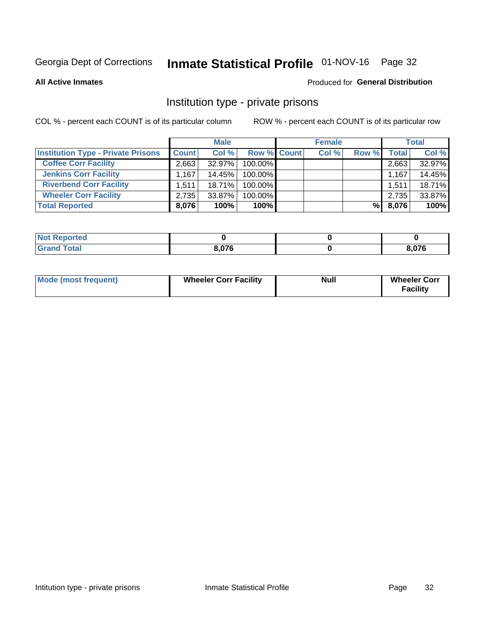# Inmate Statistical Profile 01-NOV-16 Page 32

**All Active Inmates** 

#### Produced for General Distribution

### Institution type - private prisons

COL % - percent each COUNT is of its particular column

|                                           |              | <b>Male</b> |             | <b>Female</b> |       |              | <b>Total</b> |
|-------------------------------------------|--------------|-------------|-------------|---------------|-------|--------------|--------------|
| <b>Institution Type - Private Prisons</b> | <b>Count</b> | Col %       | Row % Count | Col %         | Row % | <b>Total</b> | Col %        |
| <b>Coffee Corr Facility</b>               | 2,663        | $32.97\%$   | 100.00%     |               |       | 2,663        | 32.97%       |
| <b>Jenkins Corr Facility</b>              | 1.167        | 14.45%      | 100.00%     |               |       | 1,167        | 14.45%       |
| <b>Riverbend Corr Facility</b>            | 1.511        | $18.71\%$   | 100.00%     |               |       | 1,511        | 18.71%       |
| <b>Wheeler Corr Facility</b>              | 2,735        | $33.87\%$   | 100.00%     |               |       | 2,735        | 33.87%       |
| <b>Total Reported</b>                     | 8,076        | 100%        | $100\%$     |               | %     | 8,076        | 100%         |

| <b>Not Reported</b> |       |       |
|---------------------|-------|-------|
| <b>Total</b>        | 8,076 | 3,076 |

| <b>Mode (most frequent)</b> | <b>Wheeler Corr Facility</b> | <b>Null</b> | <b>Wheeler Corr</b><br><b>Facility</b> |
|-----------------------------|------------------------------|-------------|----------------------------------------|
|-----------------------------|------------------------------|-------------|----------------------------------------|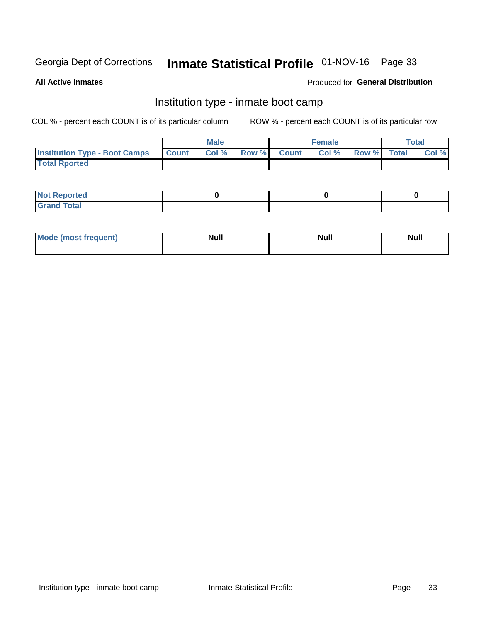# Inmate Statistical Profile 01-NOV-16 Page 33

**All Active Inmates** 

### Produced for General Distribution

### Institution type - inmate boot camp

COL % - percent each COUNT is of its particular column

|                                            | <b>Male</b> |                    | <b>Female</b> |             | <b>Total</b> |
|--------------------------------------------|-------------|--------------------|---------------|-------------|--------------|
| <b>Institution Type - Boot Camps Count</b> | Col%        | <b>Row % Count</b> | Col%          | Row % Total | Col %        |
| <b>Total Rported</b>                       |             |                    |               |             |              |

| <b>Not Reported</b>            |  |  |
|--------------------------------|--|--|
| <b>Total</b><br>C <sub>r</sub> |  |  |

| Mod<br>uamo | Nul.<br>$- - - - - -$ | <b>Null</b> | . .<br>uu.<br>------ |
|-------------|-----------------------|-------------|----------------------|
|             |                       |             |                      |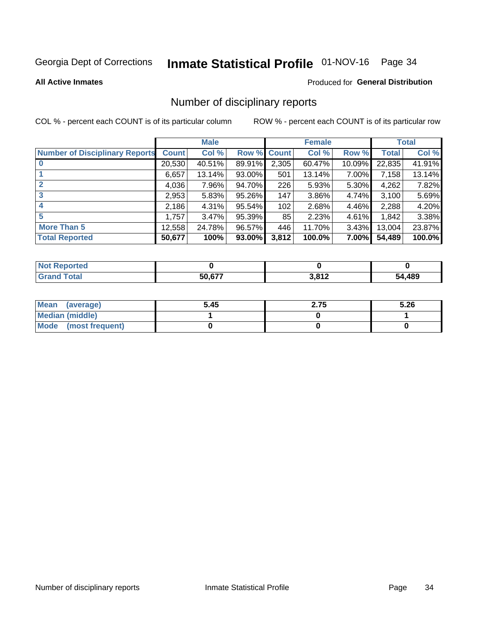# Inmate Statistical Profile 01-NOV-16 Page 34

#### **All Active Inmates**

#### Produced for General Distribution

### Number of disciplinary reports

COL % - percent each COUNT is of its particular column

|                                       |              | <b>Male</b> |        |       | <b>Female</b> |          |              | <b>Total</b> |
|---------------------------------------|--------------|-------------|--------|-------|---------------|----------|--------------|--------------|
| <b>Number of Disciplinary Reports</b> | <b>Count</b> | Col %       | Row %  | Count | Col %         | Row %    | <b>Total</b> | Col %        |
| $\bf{0}$                              | 20,530       | 40.51%      | 89.91% | 2,305 | 60.47%        | 10.09%   | 22,835       | 41.91%       |
|                                       | 6,657        | 13.14%      | 93.00% | 501   | 13.14%        | $7.00\%$ | 7,158        | 13.14%       |
| $\overline{2}$                        | 4,036        | 7.96%       | 94.70% | 226   | 5.93%         | 5.30%    | 4,262        | 7.82%        |
| 3                                     | 2,953        | 5.83%       | 95.26% | 147   | 3.86%         | 4.74%    | 3,100        | 5.69%        |
| 4                                     | 2,186        | 4.31%       | 95.54% | 102   | 2.68%         | 4.46%    | 2,288        | 4.20%        |
| 5                                     | 1,757        | $3.47\%$    | 95.39% | 85    | 2.23%         | $4.61\%$ | 1,842        | 3.38%        |
| <b>More Than 5</b>                    | 12,558       | 24.78%      | 96.57% | 446   | 11.70%        | $3.43\%$ | 13,004       | 23.87%       |
| <b>Total Reported</b>                 | 50,677       | 100%        | 93.00% | 3,812 | 100.0%        | $7.00\%$ | 54,489       | 100.0%       |

| <b>Not Reported</b> |        |       |            |
|---------------------|--------|-------|------------|
| <b>Total</b>        | 50 677 | 3,812 | ,489<br>54 |

| Mean (average)       | 5.45 | 2.75 | 5.26 |
|----------------------|------|------|------|
| Median (middle)      |      |      |      |
| Mode (most frequent) |      |      |      |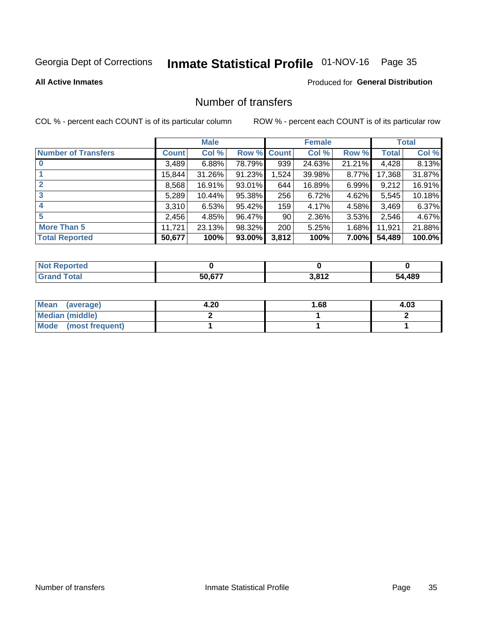# Inmate Statistical Profile 01-NOV-16 Page 35

#### **All Active Inmates**

#### Produced for General Distribution

### Number of transfers

COL % - percent each COUNT is of its particular column

|                            |         | <b>Male</b> |                    |       | <b>Female</b> |          |              | <b>Total</b> |
|----------------------------|---------|-------------|--------------------|-------|---------------|----------|--------------|--------------|
| <b>Number of Transfers</b> | Count l | Col %       | <b>Row % Count</b> |       | Col %         | Row %    | <b>Total</b> | Col %        |
|                            | 3,489   | 6.88%       | 78.79%             | 939   | 24.63%        | 21.21%   | 4,428        | 8.13%        |
|                            | 15,844  | 31.26%      | 91.23%             | 1,524 | 39.98%        | $8.77\%$ | 17,368       | 31.87%       |
| $\mathbf{2}$               | 8,568   | 16.91%      | 93.01%             | 644   | 16.89%        | $6.99\%$ | 9,212        | 16.91%       |
| 3                          | 5,289   | 10.44%      | 95.38%             | 256   | 6.72%         | 4.62%    | 5,545        | 10.18%       |
| 4                          | 3,310   | 6.53%       | 95.42%             | 159   | 4.17%         | 4.58%    | 3,469        | 6.37%        |
| 5                          | 2,456   | 4.85%       | 96.47%             | 90    | 2.36%         | $3.53\%$ | 2,546        | 4.67%        |
| <b>More Than 5</b>         | 11,721  | 23.13%      | 98.32%             | 200   | 5.25%         | 1.68%    | 11,921       | 21.88%       |
| <b>Total Reported</b>      | 50,677  | 100%        | 93.00%             | 3,812 | 100%          | $7.00\%$ | 54,489       | 100.0%       |

| <b>Not Reported</b> |        |       |            |
|---------------------|--------|-------|------------|
| <b>Total</b>        | 50 677 | 3,812 | ,489<br>54 |

| Mean (average)         | 4.20 | l.68 | 4.03 |
|------------------------|------|------|------|
| <b>Median (middle)</b> |      |      |      |
| Mode (most frequent)   |      |      |      |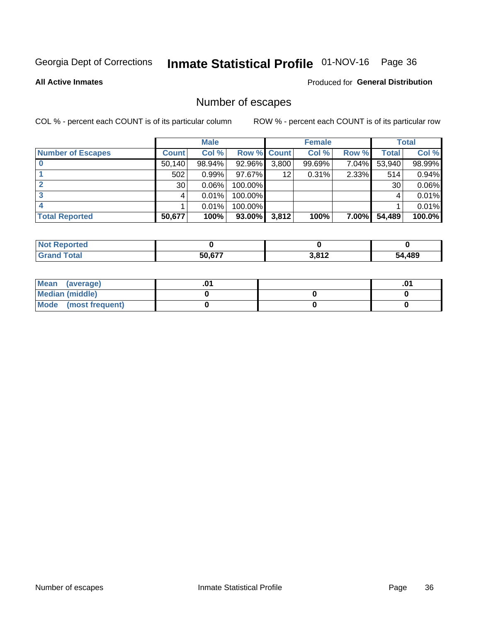# Inmate Statistical Profile 01-NOV-16 Page 36

**All Active Inmates** 

#### Produced for General Distribution

### Number of escapes

COL % - percent each COUNT is of its particular column

|                          |              | <b>Male</b> |             |       | <b>Female</b> |          |        | <b>Total</b> |
|--------------------------|--------------|-------------|-------------|-------|---------------|----------|--------|--------------|
| <b>Number of Escapes</b> | <b>Count</b> | Col %       | Row % Count |       | Col %         | Row %    | Total  | Col %        |
|                          | 50,140       | 98.94%      | 92.96%      | 3,800 | 99.69%        | 7.04%    | 53,940 | 98.99%       |
|                          | 502          | 0.99%       | 97.67%      | 12    | 0.31%         | 2.33%    | 514    | 0.94%        |
|                          | 30           | 0.06%       | 100.00%     |       |               |          | 30     | 0.06%        |
|                          |              | 0.01%       | 100.00%     |       |               |          |        | 0.01%        |
|                          |              | 0.01%       | 100.00%     |       |               |          |        | 0.01%        |
| <b>Total Reported</b>    | 50,677       | 100%        | 93.00%      | 3,812 | 100%          | $7.00\%$ | 54,489 | 100.0%       |

| Reported<br>Not. |               |                  |        |
|------------------|---------------|------------------|--------|
| <b>Total</b>     | <b>50 677</b> | 2012<br>ـ⊾ 1 ס,כ | 54,489 |

| Mean (average)       |  | .01 |
|----------------------|--|-----|
| Median (middle)      |  |     |
| Mode (most frequent) |  |     |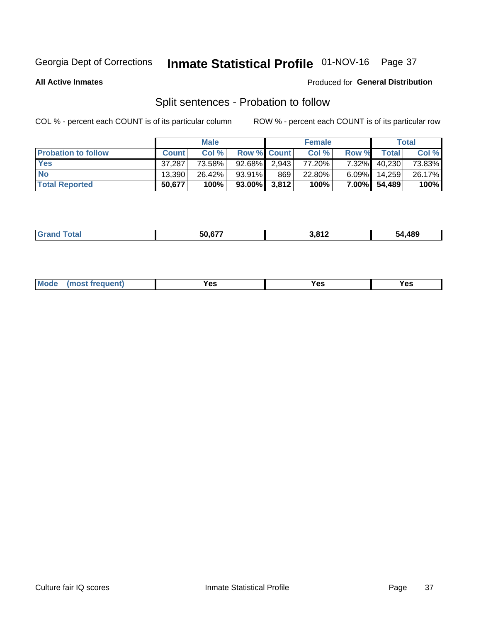# Inmate Statistical Profile 01-NOV-16 Page 37

**All Active Inmates** 

### Produced for General Distribution

### Split sentences - Probation to follow

COL % - percent each COUNT is of its particular column

|                            |              | <b>Male</b> |                    |       | <b>Female</b> |          |              | <b>Total</b> |
|----------------------------|--------------|-------------|--------------------|-------|---------------|----------|--------------|--------------|
| <b>Probation to follow</b> | <b>Count</b> | Col%        | <b>Row % Count</b> |       | Col %         | Row %    | <b>Total</b> | Col %        |
| <b>Yes</b>                 | 37.287       | 73.58%      | $92.68\%$          | 2,943 | 77.20%        | $7.32\%$ | 40,230       | 73.83%       |
| <b>No</b>                  | 13.390       | 26.42%      | $93.91\%$          | 869   | 22.80%        | $6.09\%$ | 14,259       | 26.17%       |
| <b>Total Reported</b>      | 50,677       | 100%        | $93.00\%$ 3,812    |       | 100%          |          | 7.00% 54,489 | 100%         |

|  |  | $F^{\wedge}$ $F^{\wedge}$<br>50.DZ | 817.د<br>. | .489<br>54. |
|--|--|------------------------------------|------------|-------------|
|--|--|------------------------------------|------------|-------------|

| M<br>reauent)<br>/٥<br>$\sim$<br>v.,<br>.<br>w<br>$\cdot$ - $\cdot$ |  |  |  |  |  |
|---------------------------------------------------------------------|--|--|--|--|--|
|---------------------------------------------------------------------|--|--|--|--|--|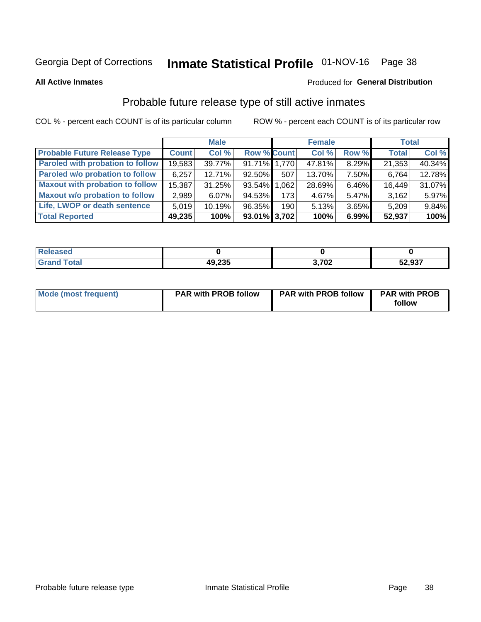# Inmate Statistical Profile 01-NOV-16 Page 38

**All Active Inmates** 

#### Produced for General Distribution

### Probable future release type of still active inmates

COL % - percent each COUNT is of its particular column

|                                         |              | <b>Male</b> |                    |                  | <b>Female</b> |          | <b>Total</b> |        |
|-----------------------------------------|--------------|-------------|--------------------|------------------|---------------|----------|--------------|--------|
| <b>Probable Future Release Type</b>     | <b>Count</b> | Col %       | <b>Row % Count</b> |                  | Col %         | Row %    | <b>Total</b> | Col %  |
| <b>Paroled with probation to follow</b> | 19,583       | 39.77%      | 91.71% 1,770       |                  | 47.81%        | 8.29%    | 21,353       | 40.34% |
| Paroled w/o probation to follow         | 6,257        | 12.71%      | 92.50%             | 507              | 13.70%        | 7.50%    | 6,764        | 12.78% |
| <b>Maxout with probation to follow</b>  | 15,387       | 31.25%      | 93.54% 1.062       |                  | 28.69%        | 6.46%    | 16,449       | 31.07% |
| <b>Maxout w/o probation to follow</b>   | 2,989        | $6.07\%$    | 94.53%             | 173 <sup>1</sup> | 4.67%         | $5.47\%$ | 3,162        | 5.97%  |
| Life, LWOP or death sentence            | 5,019        | 10.19%      | 96.35%             | 190 <sub>l</sub> | 5.13%         | 3.65%    | 5,209        | 9.84%  |
| <b>Total Reported</b>                   | 49,235       | 100%        | $93.01\%$ 3,702    |                  | 100%          | 6.99%    | 52,937       | 100%   |

| eleased |        |          |                    |
|---------|--------|----------|--------------------|
| otal    | 49,235 | 202<br>v | $E0$ 007<br>ว∠,937 |

| <b>Mode (most frequent)</b> | <b>PAR with PROB follow</b> | <b>PAR with PROB follow</b> | <b>PAR with PROB</b> |
|-----------------------------|-----------------------------|-----------------------------|----------------------|
|                             |                             |                             | follow               |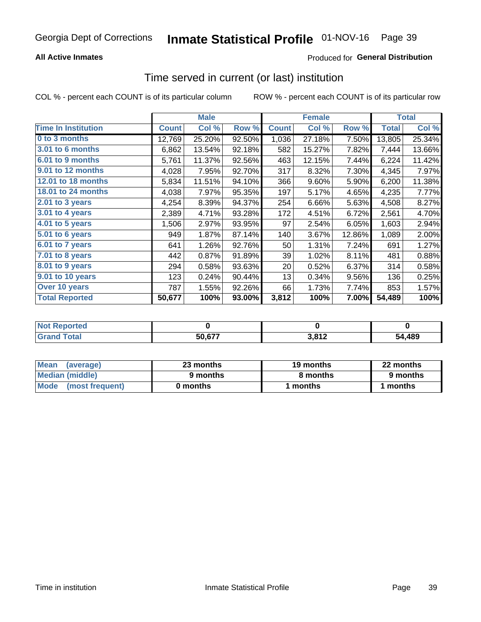### **All Active Inmates**

### Produced for General Distribution

### Time served in current (or last) institution

COL % - percent each COUNT is of its particular column

|                            |              | <b>Male</b> |        |              | <b>Female</b> |        |              | <b>Total</b> |
|----------------------------|--------------|-------------|--------|--------------|---------------|--------|--------------|--------------|
| <b>Time In Institution</b> | <b>Count</b> | Col %       | Row %  | <b>Count</b> | Col %         | Row %  | <b>Total</b> | Col %        |
| 0 to 3 months              | 12,769       | 25.20%      | 92.50% | 1,036        | 27.18%        | 7.50%  | 13,805       | 25.34%       |
| <b>3.01 to 6 months</b>    | 6,862        | 13.54%      | 92.18% | 582          | 15.27%        | 7.82%  | 7,444        | 13.66%       |
| 6.01 to 9 months           | 5,761        | 11.37%      | 92.56% | 463          | 12.15%        | 7.44%  | 6,224        | 11.42%       |
| 9.01 to 12 months          | 4,028        | 7.95%       | 92.70% | 317          | 8.32%         | 7.30%  | 4,345        | 7.97%        |
| 12.01 to 18 months         | 5,834        | 11.51%      | 94.10% | 366          | 9.60%         | 5.90%  | 6,200        | 11.38%       |
| <b>18.01 to 24 months</b>  | 4,038        | 7.97%       | 95.35% | 197          | 5.17%         | 4.65%  | 4,235        | 7.77%        |
| $2.01$ to 3 years          | 4,254        | 8.39%       | 94.37% | 254          | 6.66%         | 5.63%  | 4,508        | 8.27%        |
| 3.01 to 4 years            | 2,389        | 4.71%       | 93.28% | 172          | 4.51%         | 6.72%  | 2,561        | 4.70%        |
| $4.01$ to 5 years          | 1,506        | 2.97%       | 93.95% | 97           | 2.54%         | 6.05%  | 1,603        | 2.94%        |
| 5.01 to 6 years            | 949          | 1.87%       | 87.14% | 140          | 3.67%         | 12.86% | 1,089        | 2.00%        |
| $6.01$ to 7 years          | 641          | 1.26%       | 92.76% | 50           | 1.31%         | 7.24%  | 691          | 1.27%        |
| 7.01 to 8 years            | 442          | 0.87%       | 91.89% | 39           | 1.02%         | 8.11%  | 481          | 0.88%        |
| $8.01$ to 9 years          | 294          | 0.58%       | 93.63% | 20           | 0.52%         | 6.37%  | 314          | 0.58%        |
| 9.01 to 10 years           | 123          | 0.24%       | 90.44% | 13           | 0.34%         | 9.56%  | 136          | 0.25%        |
| Over 10 years              | 787          | 1.55%       | 92.26% | 66           | 1.73%         | 7.74%  | 853          | 1.57%        |
| <b>Total Reported</b>      | 50,677       | 100%        | 93.00% | 3,812        | 100%          | 7.00%  | 54,489       | 100%         |

| orted<br><b>NOT</b> |        |                    |            |
|---------------------|--------|--------------------|------------|
| ota <sub>i</sub>    | 50 677 | <b>2.042</b><br>__ | .489<br>51 |

| <b>Mean</b><br>(average) | 23 months | 19 months | 22 months |
|--------------------------|-----------|-----------|-----------|
| Median (middle)          | 9 months  | 8 months  | 9 months  |
| Mode<br>(most frequent)  | 0 months  | months    | ∖ months  |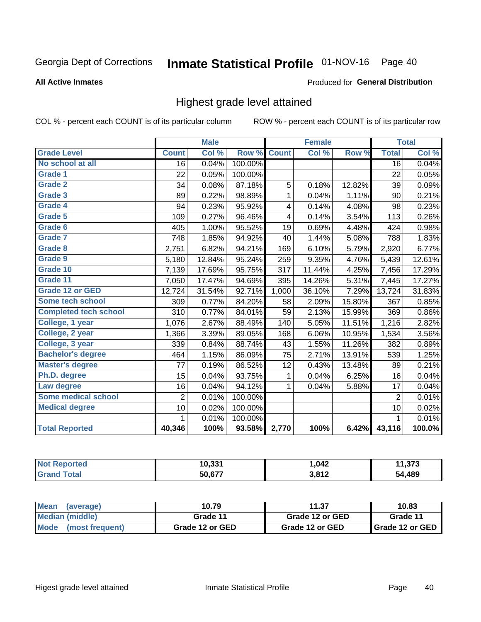# Inmate Statistical Profile 01-NOV-16 Page 40

### **All Active Inmates**

### Produced for General Distribution

### Highest grade level attained

COL % - percent each COUNT is of its particular column

|                              |                 | <b>Male</b> |         |              | <b>Female</b> |        |                 | <b>Total</b> |
|------------------------------|-----------------|-------------|---------|--------------|---------------|--------|-----------------|--------------|
| <b>Grade Level</b>           | <b>Count</b>    | Col %       | Row %   | <b>Count</b> | Col %         | Row %  | <b>Total</b>    | Col %        |
| No school at all             | $\overline{16}$ | 0.04%       | 100.00% |              |               |        | $\overline{16}$ | 0.04%        |
| <b>Grade 1</b>               | 22              | 0.05%       | 100.00% |              |               |        | 22              | 0.05%        |
| <b>Grade 2</b>               | 34              | 0.08%       | 87.18%  | 5            | 0.18%         | 12.82% | 39              | 0.09%        |
| Grade 3                      | 89              | 0.22%       | 98.89%  | 1            | 0.04%         | 1.11%  | 90              | 0.21%        |
| <b>Grade 4</b>               | 94              | 0.23%       | 95.92%  | 4            | 0.14%         | 4.08%  | 98              | 0.23%        |
| Grade 5                      | 109             | 0.27%       | 96.46%  | 4            | 0.14%         | 3.54%  | 113             | 0.26%        |
| Grade 6                      | 405             | 1.00%       | 95.52%  | 19           | 0.69%         | 4.48%  | 424             | 0.98%        |
| <b>Grade 7</b>               | 748             | 1.85%       | 94.92%  | 40           | 1.44%         | 5.08%  | 788             | 1.83%        |
| Grade 8                      | 2,751           | 6.82%       | 94.21%  | 169          | 6.10%         | 5.79%  | 2,920           | 6.77%        |
| Grade 9                      | 5,180           | 12.84%      | 95.24%  | 259          | 9.35%         | 4.76%  | 5,439           | 12.61%       |
| Grade 10                     | 7,139           | 17.69%      | 95.75%  | 317          | 11.44%        | 4.25%  | 7,456           | 17.29%       |
| Grade 11                     | 7,050           | 17.47%      | 94.69%  | 395          | 14.26%        | 5.31%  | 7,445           | 17.27%       |
| <b>Grade 12 or GED</b>       | 12,724          | 31.54%      | 92.71%  | 1,000        | 36.10%        | 7.29%  | 13,724          | 31.83%       |
| <b>Some tech school</b>      | 309             | 0.77%       | 84.20%  | 58           | 2.09%         | 15.80% | 367             | 0.85%        |
| <b>Completed tech school</b> | 310             | 0.77%       | 84.01%  | 59           | 2.13%         | 15.99% | 369             | 0.86%        |
| College, 1 year              | 1,076           | 2.67%       | 88.49%  | 140          | 5.05%         | 11.51% | 1,216           | 2.82%        |
| College, 2 year              | 1,366           | 3.39%       | 89.05%  | 168          | 6.06%         | 10.95% | 1,534           | 3.56%        |
| College, 3 year              | 339             | 0.84%       | 88.74%  | 43           | 1.55%         | 11.26% | 382             | 0.89%        |
| <b>Bachelor's degree</b>     | 464             | 1.15%       | 86.09%  | 75           | 2.71%         | 13.91% | 539             | 1.25%        |
| <b>Master's degree</b>       | 77              | 0.19%       | 86.52%  | 12           | 0.43%         | 13.48% | 89              | 0.21%        |
| Ph.D. degree                 | 15              | 0.04%       | 93.75%  | $\mathbf{1}$ | 0.04%         | 6.25%  | 16              | 0.04%        |
| Law degree                   | 16              | 0.04%       | 94.12%  | $\mathbf{1}$ | 0.04%         | 5.88%  | 17              | 0.04%        |
| <b>Some medical school</b>   | $\overline{2}$  | 0.01%       | 100.00% |              |               |        | $\overline{2}$  | 0.01%        |
| <b>Medical degree</b>        | 10              | 0.02%       | 100.00% |              |               |        | 10              | 0.02%        |
|                              | $\mathbf 1$     | 0.01%       | 100.00% |              |               |        | 1               | 0.01%        |
| <b>Total Reported</b>        | 40,346          | 100%        | 93.58%  | 2,770        | 100%          | 6.42%  | 43,116          | 100.0%       |

| 10,331                    | ,042                 | $\sim$<br>ن ان ا |
|---------------------------|----------------------|------------------|
| $E \cap E \neq \emptyset$ | 2012<br>, <u>. .</u> | $\overline{ABO}$ |

| Mean<br>(average)    | 10.79           | 11.37           | 10.83           |
|----------------------|-----------------|-----------------|-----------------|
| Median (middle)      | Grade 11        | Grade 12 or GED | Grade 11        |
| Mode (most frequent) | Grade 12 or GED | Grade 12 or GED | Grade 12 or GED |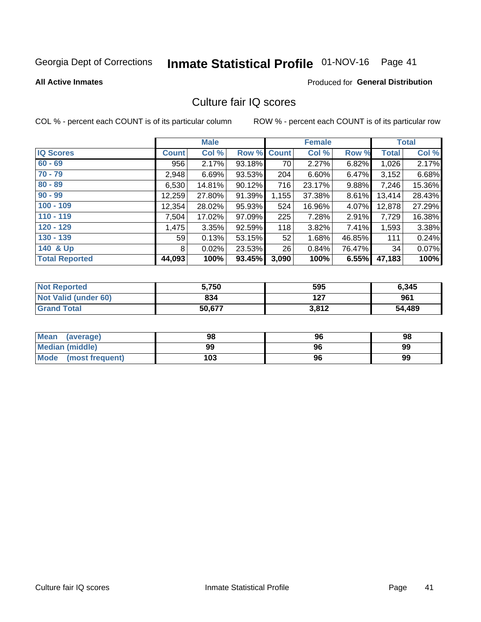# Inmate Statistical Profile 01-NOV-16 Page 41

#### **All Active Inmates**

### **Produced for General Distribution**

## Culture fair IQ scores

COL % - percent each COUNT is of its particular column

|                       |              | <b>Male</b> |             |       | <b>Female</b> |          |              | <b>Total</b> |
|-----------------------|--------------|-------------|-------------|-------|---------------|----------|--------------|--------------|
| <b>IQ Scores</b>      | <b>Count</b> | Col %       | Row % Count |       | Col %         | Row %    | <b>Total</b> | Col %        |
| $60 - 69$             | 956          | 2.17%       | 93.18%      | 70    | 2.27%         | 6.82%    | 1,026        | 2.17%        |
| $70 - 79$             | 2,948        | 6.69%       | 93.53%      | 204   | 6.60%         | 6.47%    | 3,152        | 6.68%        |
| $80 - 89$             | 6,530        | 14.81%      | 90.12%      | 716   | 23.17%        | $9.88\%$ | 7,246        | 15.36%       |
| $90 - 99$             | 12,259       | 27.80%      | 91.39%      | 1,155 | 37.38%        | 8.61%    | 13,414       | 28.43%       |
| $100 - 109$           | 12,354       | 28.02%      | 95.93%      | 524   | 16.96%        | 4.07%    | 12,878       | 27.29%       |
| $110 - 119$           | 7,504        | 17.02%      | 97.09%      | 225   | 7.28%         | 2.91%    | 7,729        | 16.38%       |
| $120 - 129$           | 1,475        | 3.35%       | 92.59%      | 118   | 3.82%         | 7.41%    | 1,593        | 3.38%        |
| $130 - 139$           | 59           | 0.13%       | 53.15%      | 52    | 1.68%         | 46.85%   | 111          | 0.24%        |
| 140 & Up              | 8            | 0.02%       | 23.53%      | 26    | 0.84%         | 76.47%   | 34           | 0.07%        |
| <b>Total Reported</b> | 44,093       | 100%        | 93.45%      | 3,090 | 100%          | 6.55%    | 47,183       | 100%         |

| <b>Not Reported</b>         | 5,750  | 595   | 6,345  |
|-----------------------------|--------|-------|--------|
| <b>Not Valid (under 60)</b> | 834    | 127   | 961    |
| <b>Grand Total</b>          | 50,677 | 3,812 | 54,489 |

| <b>Mean</b><br>(average) | 98  | 96 | 98 |
|--------------------------|-----|----|----|
| <b>Median (middle)</b>   | 99  | 96 | 99 |
| Mode<br>(most frequent)  | 103 | 96 | 99 |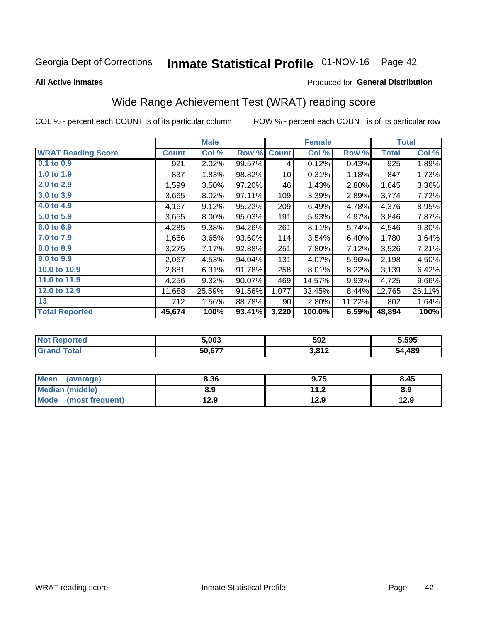# Inmate Statistical Profile 01-NOV-16 Page 42

### **All Active Inmates**

### Produced for General Distribution

## Wide Range Achievement Test (WRAT) reading score

COL % - percent each COUNT is of its particular column

|                           |              | <b>Male</b> |        |              | <b>Female</b> |        |              | <b>Total</b> |
|---------------------------|--------------|-------------|--------|--------------|---------------|--------|--------------|--------------|
| <b>WRAT Reading Score</b> | <b>Count</b> | Col %       | Row %  | <b>Count</b> | Col %         | Row %  | <b>Total</b> | Col %        |
| $0.1$ to $0.9$            | 921          | 2.02%       | 99.57% | 4            | 0.12%         | 0.43%  | 925          | 1.89%        |
| 1.0 to 1.9                | 837          | 1.83%       | 98.82% | 10           | 0.31%         | 1.18%  | 847          | 1.73%        |
| 2.0 to 2.9                | 1,599        | 3.50%       | 97.20% | 46           | 1.43%         | 2.80%  | 1,645        | 3.36%        |
| 3.0 to 3.9                | 3,665        | 8.02%       | 97.11% | 109          | 3.39%         | 2.89%  | 3,774        | 7.72%        |
| 4.0 to 4.9                | 4,167        | 9.12%       | 95.22% | 209          | 6.49%         | 4.78%  | 4,376        | 8.95%        |
| 5.0 to 5.9                | 3,655        | 8.00%       | 95.03% | 191          | 5.93%         | 4.97%  | 3,846        | 7.87%        |
| 6.0 to 6.9                | 4,285        | 9.38%       | 94.26% | 261          | 8.11%         | 5.74%  | 4,546        | $9.30\%$     |
| 7.0 to 7.9                | 1,666        | 3.65%       | 93.60% | 114          | 3.54%         | 6.40%  | 1,780        | 3.64%        |
| 8.0 to 8.9                | 3,275        | 7.17%       | 92.88% | 251          | 7.80%         | 7.12%  | 3,526        | 7.21%        |
| 9.0 to 9.9                | 2,067        | 4.53%       | 94.04% | 131          | 4.07%         | 5.96%  | 2,198        | 4.50%        |
| 10.0 to 10.9              | 2,881        | 6.31%       | 91.78% | 258          | 8.01%         | 8.22%  | 3,139        | 6.42%        |
| 11.0 to 11.9              | 4,256        | 9.32%       | 90.07% | 469          | 14.57%        | 9.93%  | 4,725        | 9.66%        |
| 12.0 to 12.9              | 11,688       | 25.59%      | 91.56% | 1,077        | 33.45%        | 8.44%  | 12,765       | 26.11%       |
| 13                        | 712          | 1.56%       | 88.78% | 90           | 2.80%         | 11.22% | 802          | 1.64%        |
| <b>Total Reported</b>     | 45,674       | 100%        | 93.41% | 3,220        | 100.0%        | 6.59%  | 48,894       | 100%         |

| NO | 5.003                     | 592   | 5,595      |
|----|---------------------------|-------|------------|
|    | $E \cap E \neq \emptyset$ | 3,812 | .489<br>54 |

| <b>Mean</b><br>(average)       | 8.36 | 9.75                     | 8.45 |
|--------------------------------|------|--------------------------|------|
| <b>Median (middle)</b>         | 8.9  | 11 <sub>2</sub><br>. . Z | 8.9  |
| <b>Mode</b><br>(most frequent) | 12.9 | 12.9                     | 12.9 |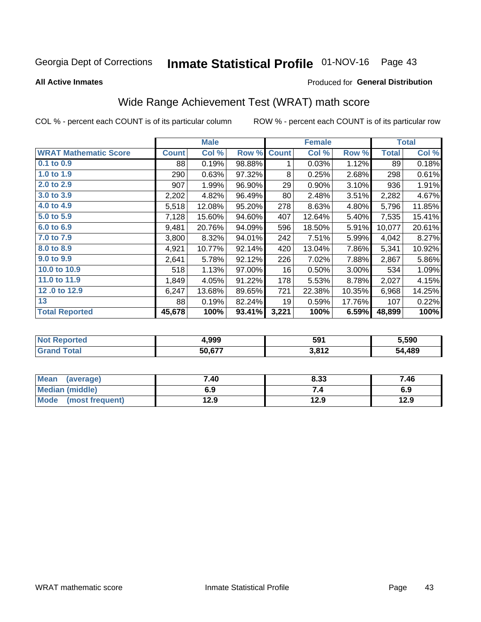# Inmate Statistical Profile 01-NOV-16 Page 43

**All Active Inmates** 

### Produced for General Distribution

## Wide Range Achievement Test (WRAT) math score

COL % - percent each COUNT is of its particular column

|                              |              | <b>Male</b> |        |              | <b>Female</b> |          |              | <b>Total</b> |
|------------------------------|--------------|-------------|--------|--------------|---------------|----------|--------------|--------------|
| <b>WRAT Mathematic Score</b> | <b>Count</b> | Col %       | Row %  | <b>Count</b> | Col %         | Row %    | <b>Total</b> | Col %        |
| 0.1 to 0.9                   | 88           | 0.19%       | 98.88% | 1            | 0.03%         | 1.12%    | 89           | 0.18%        |
| 1.0 to 1.9                   | 290          | 0.63%       | 97.32% | 8            | 0.25%         | 2.68%    | 298          | 0.61%        |
| 2.0 to 2.9                   | 907          | 1.99%       | 96.90% | 29           | 0.90%         | 3.10%    | 936          | 1.91%        |
| 3.0 to 3.9                   | 2,202        | 4.82%       | 96.49% | 80           | 2.48%         | 3.51%    | 2,282        | 4.67%        |
| 4.0 to 4.9                   | 5,518        | 12.08%      | 95.20% | 278          | 8.63%         | 4.80%    | 5,796        | 11.85%       |
| 5.0 to 5.9                   | 7,128        | 15.60%      | 94.60% | 407          | 12.64%        | 5.40%    | 7,535        | 15.41%       |
| 6.0 to 6.9                   | 9,481        | 20.76%      | 94.09% | 596          | 18.50%        | 5.91%    | 10,077       | 20.61%       |
| 7.0 to 7.9                   | 3,800        | 8.32%       | 94.01% | 242          | 7.51%         | 5.99%    | 4,042        | 8.27%        |
| 8.0 to 8.9                   | 4,921        | 10.77%      | 92.14% | 420          | 13.04%        | 7.86%    | 5,341        | 10.92%       |
| 9.0 to 9.9                   | 2,641        | 5.78%       | 92.12% | 226          | 7.02%         | 7.88%    | 2,867        | 5.86%        |
| 10.0 to 10.9                 | 518          | 1.13%       | 97.00% | 16           | 0.50%         | $3.00\%$ | 534          | 1.09%        |
| 11.0 to 11.9                 | 1,849        | 4.05%       | 91.22% | 178          | 5.53%         | 8.78%    | 2,027        | 4.15%        |
| 12.0 to 12.9                 | 6,247        | 13.68%      | 89.65% | 721          | 22.38%        | 10.35%   | 6,968        | 14.25%       |
| 13                           | 88           | 0.19%       | 82.24% | 19           | 0.59%         | 17.76%   | 107          | 0.22%        |
| <b>Total Reported</b>        | 45,678       | 100%        | 93.41% | 3,221        | 100%          | 6.59%    | 48,899       | 100%         |

| rteo<br>NO | 4,999                              | 591             | 5,590  |
|------------|------------------------------------|-----------------|--------|
|            | $F^{\wedge}$ $F^{\wedge}$<br>50.67 | 2812<br>⊾ ا 0,د | 54,489 |

| <b>Mean</b><br>(average) | 7.40 | 8.33 | 7.46 |
|--------------------------|------|------|------|
| Median (middle)          | 6.9  | ۰.,  | 6.9  |
| Mode<br>(most frequent)  | 12.9 | 12.9 | 12.9 |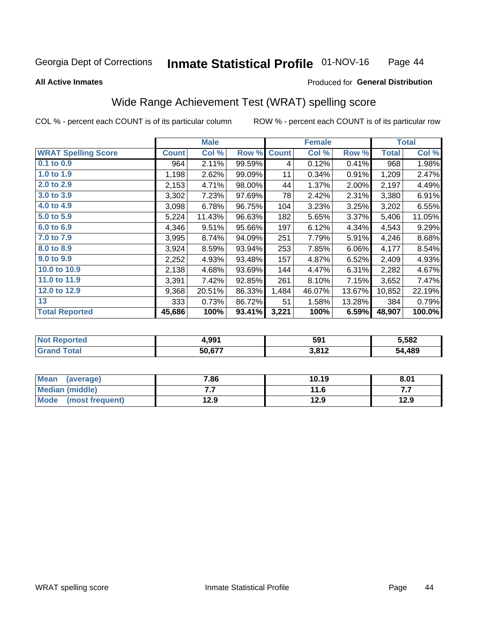#### **Inmate Statistical Profile 01-NOV-16** Page 44

**All Active Inmates** 

### Produced for General Distribution

## Wide Range Achievement Test (WRAT) spelling score

COL % - percent each COUNT is of its particular column

|                            |              | <b>Male</b> |        |              | <b>Female</b> |        |        | <b>Total</b> |
|----------------------------|--------------|-------------|--------|--------------|---------------|--------|--------|--------------|
| <b>WRAT Spelling Score</b> | <b>Count</b> | Col %       | Row %  | <b>Count</b> | Col %         | Row %  | Total  | Col %        |
| $0.1$ to $0.9$             | 964          | 2.11%       | 99.59% | 4            | 0.12%         | 0.41%  | 968    | 1.98%        |
| 1.0 to 1.9                 | 1,198        | 2.62%       | 99.09% | 11           | 0.34%         | 0.91%  | 1,209  | 2.47%        |
| 2.0 to 2.9                 | 2,153        | 4.71%       | 98.00% | 44           | 1.37%         | 2.00%  | 2,197  | 4.49%        |
| 3.0 to 3.9                 | 3,302        | 7.23%       | 97.69% | 78           | 2.42%         | 2.31%  | 3,380  | 6.91%        |
| 4.0 to 4.9                 | 3,098        | 6.78%       | 96.75% | 104          | 3.23%         | 3.25%  | 3,202  | 6.55%        |
| 5.0 to 5.9                 | 5,224        | 11.43%      | 96.63% | 182          | 5.65%         | 3.37%  | 5,406  | 11.05%       |
| 6.0 to 6.9                 | 4,346        | 9.51%       | 95.66% | 197          | 6.12%         | 4.34%  | 4,543  | 9.29%        |
| 7.0 to 7.9                 | 3,995        | 8.74%       | 94.09% | 251          | 7.79%         | 5.91%  | 4,246  | 8.68%        |
| 8.0 to 8.9                 | 3,924        | 8.59%       | 93.94% | 253          | 7.85%         | 6.06%  | 4,177  | 8.54%        |
| 9.0 to 9.9                 | 2,252        | 4.93%       | 93.48% | 157          | 4.87%         | 6.52%  | 2,409  | 4.93%        |
| 10.0 to 10.9               | 2,138        | 4.68%       | 93.69% | 144          | 4.47%         | 6.31%  | 2,282  | 4.67%        |
| 11.0 to 11.9               | 3,391        | 7.42%       | 92.85% | 261          | 8.10%         | 7.15%  | 3,652  | 7.47%        |
| 12.0 to 12.9               | 9,368        | 20.51%      | 86.33% | 1,484        | 46.07%        | 13.67% | 10,852 | 22.19%       |
| 13                         | 333          | 0.73%       | 86.72% | 51           | 1.58%         | 13.28% | 384    | 0.79%        |
| <b>Total Reported</b>      | 45,686       | 100%        | 93.41% | 3,221        | 100%          | 6.59%  | 48,907 | 100.0%       |

| тес.<br>NO | 4,991                     | 591   | 5,582      |
|------------|---------------------------|-------|------------|
|            | $E \cap E \neq \emptyset$ | 3,812 | .489<br>54 |

| Mean<br>(average)    | 7.86 | 10.19 | 8.01 |
|----------------------|------|-------|------|
| Median (middle)      | .    | 11.6  | .    |
| Mode (most frequent) | 12.9 | 12.9  | 12.9 |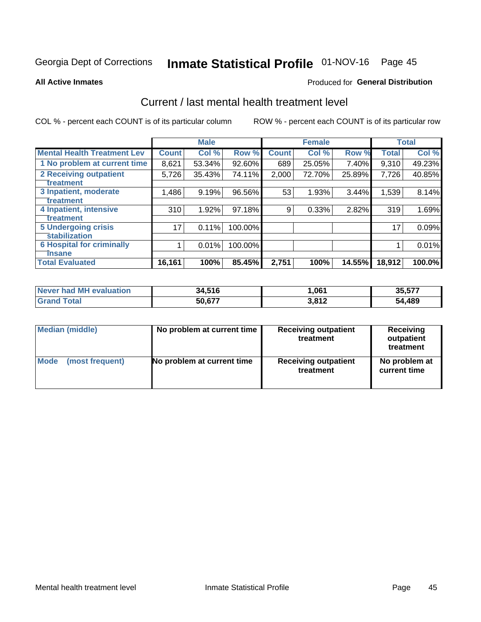# Inmate Statistical Profile 01-NOV-16 Page 45

#### **All Active Inmates**

### **Produced for General Distribution**

## Current / last mental health treatment level

COL % - percent each COUNT is of its particular column

|                                    |                    | <b>Male</b> |         |              | <b>Female</b> |        |              | <b>Total</b> |
|------------------------------------|--------------------|-------------|---------|--------------|---------------|--------|--------------|--------------|
| <b>Mental Health Treatment Lev</b> | Count <sup>1</sup> | Col %       | Row %   | <b>Count</b> | Col %         | Row %  | <b>Total</b> | Col %        |
| 1 No problem at current time       | 8,621              | 53.34%      | 92.60%  | 689          | 25.05%        | 7.40%  | 9,310        | 49.23%       |
| 2 Receiving outpatient             | 5,726              | 35.43%      | 74.11%  | 2,000        | 72.70%        | 25.89% | 7,726        | 40.85%       |
| <b>Treatment</b>                   |                    |             |         |              |               |        |              |              |
| 3 Inpatient, moderate              | 1,486              | 9.19%       | 96.56%  | 53           | 1.93%         | 3.44%  | 1,539        | 8.14%        |
| Treatment                          |                    |             |         |              |               |        |              |              |
| 4 Inpatient, intensive             | 310                | 1.92%       | 97.18%  | 9            | 0.33%         | 2.82%  | 319          | 1.69%        |
| <b>Treatment</b>                   |                    |             |         |              |               |        |              |              |
| <b>5 Undergoing crisis</b>         | 17 <sub>1</sub>    | 0.11%       | 100.00% |              |               |        | 17           | 0.09%        |
| <b>Stabilization</b>               |                    |             |         |              |               |        |              |              |
| <b>6 Hospital for criminally</b>   |                    | 0.01%       | 100.00% |              |               |        |              | 0.01%        |
| <b>Tinsane</b>                     |                    |             |         |              |               |        |              |              |
| <b>Total Evaluated</b>             | 16,161             | 100%        | 85.45%  | 2,751        | 100%          | 14.55% | 18,912       | 100.0%       |

| Never had MH evaluation | 34,516 | 061. ا | 35,577 |
|-------------------------|--------|--------|--------|
| <b>Grand Total</b>      | 50,677 | 3,812  | 54,489 |

| Median (middle) | No problem at current time | <b>Receiving outpatient</b><br>treatment | <b>Receiving</b><br>outpatient<br>treatment |
|-----------------|----------------------------|------------------------------------------|---------------------------------------------|
| <b>Mode</b>     | No problem at current time | <b>Receiving outpatient</b>              | No problem at                               |
| (most frequent) |                            | treatment                                | current time                                |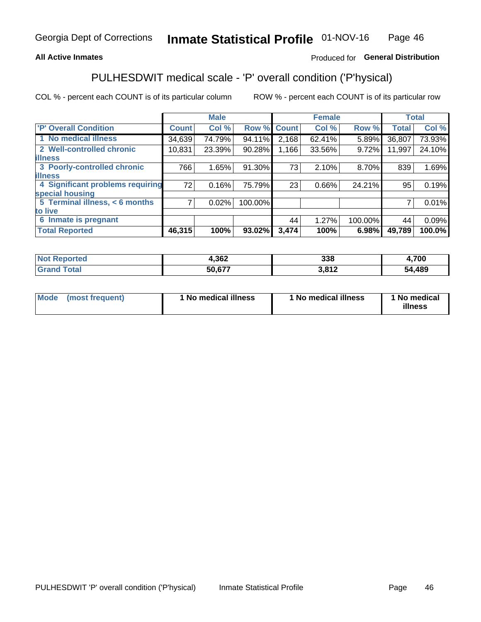### **All Active Inmates**

### Produced for General Distribution

## PULHESDWIT medical scale - 'P' overall condition ('P'hysical)

COL % - percent each COUNT is of its particular column

|                                  |              | <b>Male</b> |         |              | <b>Female</b> |         |              | <b>Total</b> |
|----------------------------------|--------------|-------------|---------|--------------|---------------|---------|--------------|--------------|
| 'P' Overall Condition            | <b>Count</b> | Col %       | Row %   | <b>Count</b> | Col %         | Row %   | <b>Total</b> | Col %        |
| 1 No medical illness             | 34,639       | 74.79%      | 94.11%  | 2,168        | 62.41%        | 5.89%   | 36,807       | 73.93%       |
| 2 Well-controlled chronic        | 10,831       | 23.39%      | 90.28%  | 1,166        | 33.56%        | 9.72%   | 11,997       | 24.10%       |
| <b>illness</b>                   |              |             |         |              |               |         |              |              |
| 3 Poorly-controlled chronic      | 766          | 1.65%       | 91.30%  | 73           | 2.10%         | 8.70%   | 839          | 1.69%        |
| <b>illness</b>                   |              |             |         |              |               |         |              |              |
| 4 Significant problems requiring | 72           | 0.16%       | 75.79%  | 23           | 0.66%         | 24.21%  | 95           | 0.19%        |
| special housing                  |              |             |         |              |               |         |              |              |
| 5 Terminal illness, < 6 months   | 7            | 0.02%       | 100.00% |              |               |         | 7            | 0.01%        |
| to live                          |              |             |         |              |               |         |              |              |
| 6 Inmate is pregnant             |              |             |         | 44           | 1.27%         | 100.00% | 44           | 0.09%        |
| <b>Total Reported</b>            | 46,315       | 100%        | 93.02%  | 3,474        | 100%          | 6.98%   | 49,789       | 100.0%       |

| тео | 1,362  | 338  | ,700       |
|-----|--------|------|------------|
|     | EN 277 | າດ4າ | ,489<br>БΔ |

| Mode | (most frequent) | 1 No medical illness | 1 No medical illness | 1 No medical<br>illness |
|------|-----------------|----------------------|----------------------|-------------------------|
|------|-----------------|----------------------|----------------------|-------------------------|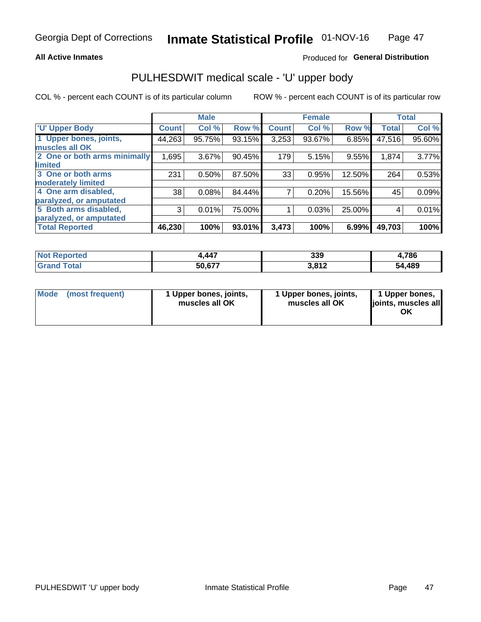### **All Active Inmates**

### Produced for General Distribution

## PULHESDWIT medical scale - 'U' upper body

COL % - percent each COUNT is of its particular column

|                                                  |              | <b>Male</b> |        |              | <b>Female</b> |        |              | <b>Total</b> |
|--------------------------------------------------|--------------|-------------|--------|--------------|---------------|--------|--------------|--------------|
| <b>'U' Upper Body</b>                            | <b>Count</b> | Col %       | Row %  | <b>Count</b> | Col %         | Row %  | <b>Total</b> | Col %        |
| 1 Upper bones, joints,<br>muscles all OK         | 44,263       | 95.75%      | 93.15% | 3,253        | 93.67%        | 6.85%  | 47,516       | 95.60%       |
| 2 One or both arms minimally<br>limited          | 1,695        | 3.67%       | 90.45% | 179          | 5.15%         | 9.55%  | 1,874        | 3.77%        |
| 3 One or both arms<br><b>moderately limited</b>  | 231          | 0.50%       | 87.50% | 33           | 0.95%         | 12.50% | 264          | 0.53%        |
| 4 One arm disabled,<br>paralyzed, or amputated   | 38           | 0.08%       | 84.44% | 7            | 0.20%         | 15.56% | 45           | 0.09%        |
| 5 Both arms disabled,<br>paralyzed, or amputated | 3            | 0.01%       | 75.00% |              | 0.03%         | 25.00% | 4            | 0.01%        |
| <b>Total Reported</b>                            | 46,230       | 100%        | 93.01% | 3,473        | 100%          | 6.99%  | 49,703       | 100%         |

| <b>Not Reported</b>   | 1,447  | 339             | 4,786  |
|-----------------------|--------|-----------------|--------|
| <b>Total</b><br>Grand | 50,677 | 2012<br>J.O I Z | 54,489 |

|  | Mode (most frequent) | 1 Upper bones, joints,<br>muscles all OK | 1 Upper bones, joints,<br>muscles all OK | 1 Upper bones,<br>ljoints, muscles all<br>ΟK |
|--|----------------------|------------------------------------------|------------------------------------------|----------------------------------------------|
|--|----------------------|------------------------------------------|------------------------------------------|----------------------------------------------|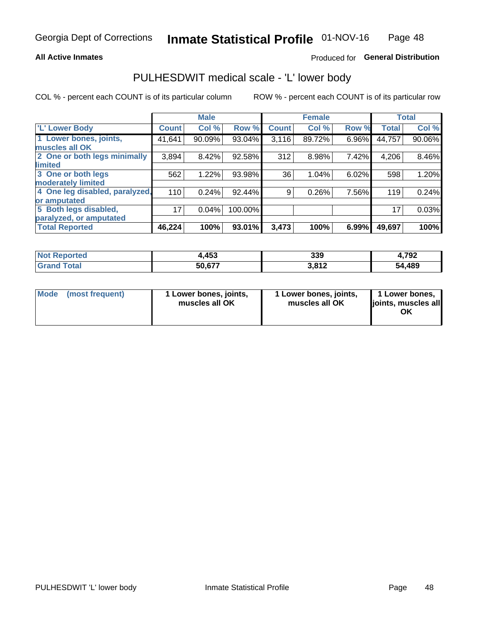### **All Active Inmates**

### Produced for General Distribution

## PULHESDWIT medical scale - 'L' lower body

COL % - percent each COUNT is of its particular column

|                                |              | <b>Male</b> |         |              | <b>Female</b> |       |              | <b>Total</b> |
|--------------------------------|--------------|-------------|---------|--------------|---------------|-------|--------------|--------------|
| 'L' Lower Body                 | <b>Count</b> | Col %       | Row %   | <b>Count</b> | Col %         | Row % | <b>Total</b> | Col %        |
| 1 Lower bones, joints,         | 41,641       | 90.09%      | 93.04%  | 3,116        | 89.72%        | 6.96% | 44,757       | 90.06%       |
| muscles all OK                 |              |             |         |              |               |       |              |              |
| 2 One or both legs minimally   | 3,894        | 8.42%       | 92.58%  | 312          | 8.98%         | 7.42% | 4,206        | 8.46%        |
| limited                        |              |             |         |              |               |       |              |              |
| 3 One or both legs             | 562          | 1.22%       | 93.98%  | 36           | 1.04%         | 6.02% | 598          | 1.20%        |
| moderately limited             |              |             |         |              |               |       |              |              |
| 4 One leg disabled, paralyzed, | 110          | 0.24%       | 92.44%  | 9            | 0.26%         | 7.56% | 119          | 0.24%        |
| or amputated                   |              |             |         |              |               |       |              |              |
| 5 Both legs disabled,          | 17           | 0.04%       | 100.00% |              |               |       | 17           | 0.03%        |
| paralyzed, or amputated        |              |             |         |              |               |       |              |              |
| <b>Total Reported</b>          | 46,224       | 100%        | 93.01%  | 3,473        | 100%          | 6.99% | 49,697       | 100%         |

| <b>Not Reported</b> | 4,453  | 339             | 1,792  |
|---------------------|--------|-----------------|--------|
| Total<br>'Grand     | 50,677 | 2017<br>J.O I Z | 54,489 |

| Mode | (most frequent) | 1 Lower bones, joints,<br>muscles all OK | 1 Lower bones, joints,<br>muscles all OK | 1 Lower bones,<br>joints, muscles all<br>ΟK |
|------|-----------------|------------------------------------------|------------------------------------------|---------------------------------------------|
|------|-----------------|------------------------------------------|------------------------------------------|---------------------------------------------|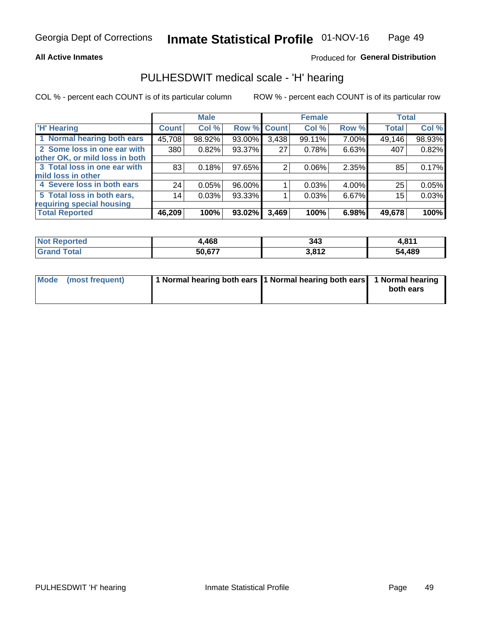### **All Active Inmates**

### Produced for General Distribution

### PULHESDWIT medical scale - 'H' hearing

COL % - percent each COUNT is of its particular column

|                                |              | <b>Male</b> |                    |       | <b>Female</b> |       | <b>Total</b> |        |
|--------------------------------|--------------|-------------|--------------------|-------|---------------|-------|--------------|--------|
| <b>'H' Hearing</b>             | <b>Count</b> | Col %       | <b>Row % Count</b> |       | Col %         | Row % | <b>Total</b> | Col %  |
| 1 Normal hearing both ears     | 45,708       | 98.92%      | 93.00%             | 3,438 | 99.11%        | 7.00% | 49,146       | 98.93% |
| 2 Some loss in one ear with    | 380          | 0.82%       | 93.37%             | 27    | 0.78%         | 6.63% | 407          | 0.82%  |
| other OK, or mild loss in both |              |             |                    |       |               |       |              |        |
| 3 Total loss in one ear with   | 83           | 0.18%       | 97.65%             | 2     | $0.06\%$      | 2.35% | 85           | 0.17%  |
| mild loss in other             |              |             |                    |       |               |       |              |        |
| 4 Severe loss in both ears     | 24           | 0.05%       | 96.00%             |       | 0.03%         | 4.00% | 25           | 0.05%  |
| 5 Total loss in both ears,     | 14           | 0.03%       | 93.33%             |       | 0.03%         | 6.67% | 15           | 0.03%  |
| requiring special housing      |              |             |                    |       |               |       |              |        |
| <b>Total Reported</b>          | 46,209       | 100%        | 93.02%             | 3,469 | 100%          | 6.98% | 49,678       | 100%   |

| <b>Not Reno</b><br>ື∩rted | <b>AGO</b><br>,400 | 343   | . 647  |
|---------------------------|--------------------|-------|--------|
| ™otal                     | 50,677             | 3,812 | 54,489 |

| Mode (most frequent) | 1 Normal hearing both ears 11 Normal hearing both ears 1 Normal hearing | both ears |
|----------------------|-------------------------------------------------------------------------|-----------|
|                      |                                                                         |           |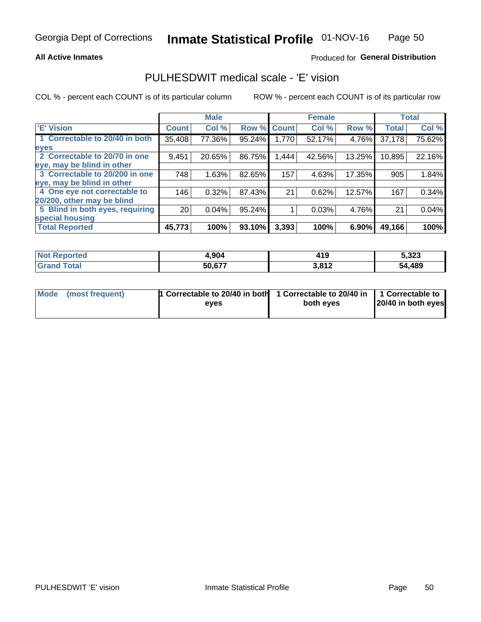### **All Active Inmates**

### Produced for General Distribution

### PULHESDWIT medical scale - 'E' vision

COL % - percent each COUNT is of its particular column

|                                 |                 | <b>Male</b> |        |              | <b>Female</b> |        |              | <b>Total</b> |
|---------------------------------|-----------------|-------------|--------|--------------|---------------|--------|--------------|--------------|
| <b>E' Vision</b>                | <b>Count</b>    | Col %       | Row %  | <b>Count</b> | Col %         | Row %  | <b>Total</b> | Col %        |
| 1 Correctable to 20/40 in both  | 35,408          | 77.36%      | 95.24% | 1,770        | 52.17%        | 4.76%  | 37,178       | 75.62%       |
| eyes                            |                 |             |        |              |               |        |              |              |
| 2 Correctable to 20/70 in one   | 9,451           | 20.65%      | 86.75% | 1,444        | 42.56%        | 13.25% | 10,895       | 22.16%       |
| eye, may be blind in other      |                 |             |        |              |               |        |              |              |
| 3 Correctable to 20/200 in one  | 748             | 1.63%       | 82.65% | 157          | 4.63%         | 17.35% | 905          | 1.84%        |
| eye, may be blind in other      |                 |             |        |              |               |        |              |              |
| 4 One eye not correctable to    | 146             | 0.32%       | 87.43% | 21           | 0.62%         | 12.57% | 167          | 0.34%        |
| 20/200, other may be blind      |                 |             |        |              |               |        |              |              |
| 5 Blind in both eyes, requiring | 20 <sub>1</sub> | 0.04%       | 95.24% |              | 0.03%         | 4.76%  | 21           | 0.04%        |
| special housing                 |                 |             |        |              |               |        |              |              |
| <b>Total Reported</b>           | 45,773          | 100%        | 93.10% | 3,393        | 100%          | 6.90%  | 49,166       | 100%         |

| <b>Not Reported</b> | 4,904  | 11 <sup>7</sup><br>- 1 2 | 5,323  |
|---------------------|--------|--------------------------|--------|
| Гоtа                | 50,677 | ר ום כ<br>0.014          | 54,489 |

| Mode (most frequent) | 1 Correctable to 20/40 in both<br>eves | 1 Correctable to 20/40 in   1 Correctable to  <br>both eves | 20/40 in both eyes |  |
|----------------------|----------------------------------------|-------------------------------------------------------------|--------------------|--|
|                      |                                        |                                                             |                    |  |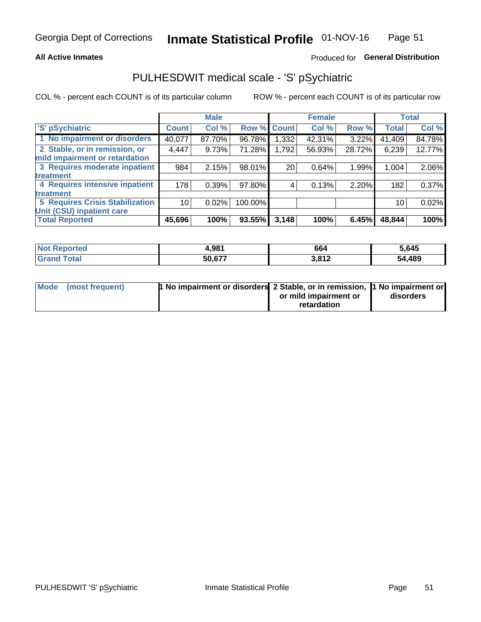### **All Active Inmates**

### Produced for General Distribution

## PULHESDWIT medical scale - 'S' pSychiatric

COL % - percent each COUNT is of its particular column

|                                        |              | <b>Male</b> |         |                    | <b>Female</b> |        |              | <b>Total</b> |
|----------------------------------------|--------------|-------------|---------|--------------------|---------------|--------|--------------|--------------|
| 'S' pSychiatric                        | <b>Count</b> | Col %       |         | <b>Row % Count</b> | Col %         | Row %  | <b>Total</b> | Col %        |
| 1 No impairment or disorders           | 40,077       | 87.70%      | 96.78%  | .332.              | 42.31%        | 3.22%  | 41,409       | 84.78%       |
| 2 Stable, or in remission, or          | 4,447        | 9.73%       | 71.28%  | 1,792              | 56.93%        | 28.72% | 6,239        | 12.77%       |
| mild impairment or retardation         |              |             |         |                    |               |        |              |              |
| 3 Requires moderate inpatient          | 984          | 2.15%       | 98.01%  | 20                 | 0.64%         | 1.99%  | 1,004        | 2.06%        |
| treatment                              |              |             |         |                    |               |        |              |              |
| 4 Requires intensive inpatient         | 178          | 0.39%       | 97.80%  | 4                  | 0.13%         | 2.20%  | 182          | 0.37%        |
| treatment                              |              |             |         |                    |               |        |              |              |
| <b>5 Requires Crisis Stabilization</b> | 10           | 0.02%       | 100.00% |                    |               |        | 10           | 0.02%        |
| Unit (CSU) inpatient care              |              |             |         |                    |               |        |              |              |
| <b>Total Reported</b>                  | 45,696       | 100%        | 93.55%  | 3,148              | 100%          | 6.45%  | 48,844       | 100%         |

| <b>Not Reported</b>     | 4,981  | 664   | 5,645  |
|-------------------------|--------|-------|--------|
| ' Grand<br><b>Total</b> | 50,677 | 3,812 | 54,489 |

| Mode (most frequent) | <b>t No impairment or disorders 2 Stable, or in remission, 1 No impairment or</b> |                       |           |
|----------------------|-----------------------------------------------------------------------------------|-----------------------|-----------|
|                      |                                                                                   | or mild impairment or | disorders |
|                      |                                                                                   | retardation           |           |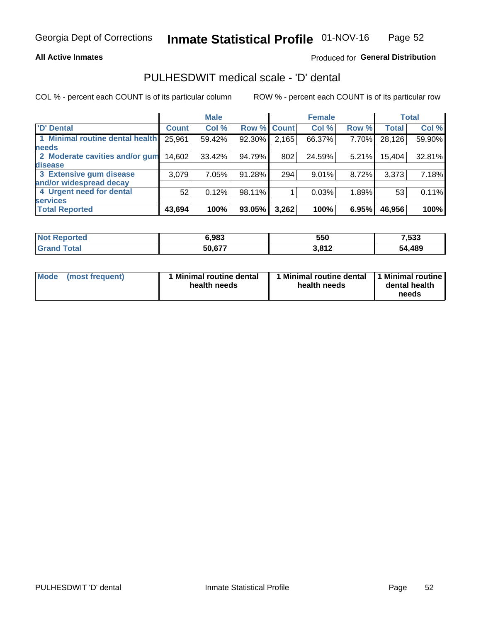### **All Active Inmates**

### Produced for General Distribution

## PULHESDWIT medical scale - 'D' dental

COL % - percent each COUNT is of its particular column

|                                 |              | <b>Male</b> |        |              | <b>Female</b> |       |              | <b>Total</b> |
|---------------------------------|--------------|-------------|--------|--------------|---------------|-------|--------------|--------------|
| <b>D'</b> Dental                | <b>Count</b> | Col %       | Row %  | <b>Count</b> | Col %         | Row % | <b>Total</b> | Col %        |
| 1 Minimal routine dental health | 25,961       | 59.42%      | 92.30% | 2,165        | 66.37%        | 7.70% | 28,126       | 59.90%       |
| <b>needs</b>                    |              |             |        |              |               |       |              |              |
| 2 Moderate cavities and/or gum  | 14,602       | 33.42%      | 94.79% | 802          | 24.59%        | 5.21% | 15,404       | 32.81%       |
| disease                         |              |             |        |              |               |       |              |              |
| 3 Extensive gum disease         | 3,079        | 7.05%       | 91.28% | 294          | 9.01%         | 8.72% | 3,373        | 7.18%        |
| and/or widespread decay         |              |             |        |              |               |       |              |              |
| 4 Urgent need for dental        | 52           | 0.12%       | 98.11% |              | 0.03%         | 1.89% | 53           | 0.11%        |
| <b>services</b>                 |              |             |        |              |               |       |              |              |
| <b>Total Reported</b>           | 43,694       | 100%        | 93.05% | 3,262        | 100%          | 6.95% | 46,956       | 100%         |

| <b>Not Renc</b><br><b>orted</b> | 5.983  | 550   | 533.       |
|---------------------------------|--------|-------|------------|
| ⊺otal                           | 50,677 | 3,812 | ,489<br>54 |

| <b>Mode</b> | (most frequent) | <b>Minimal routine dental</b><br>health needs | 1 Minimal routine dental   1 Minimal routine  <br>health needs | dental health<br>needs |
|-------------|-----------------|-----------------------------------------------|----------------------------------------------------------------|------------------------|
|-------------|-----------------|-----------------------------------------------|----------------------------------------------------------------|------------------------|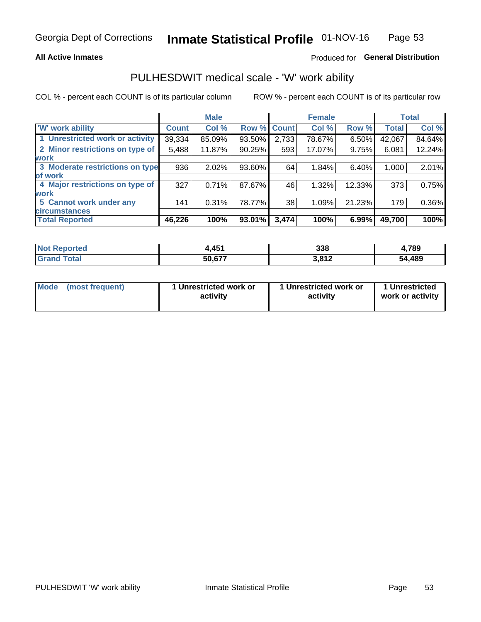### **All Active Inmates**

### Produced for General Distribution

## PULHESDWIT medical scale - 'W' work ability

COL % - percent each COUNT is of its particular column

|                                 |              | <b>Male</b> |        |             | <b>Female</b> |        |              | <b>Total</b> |
|---------------------------------|--------------|-------------|--------|-------------|---------------|--------|--------------|--------------|
| <b>W' work ability</b>          | <b>Count</b> | Col %       |        | Row % Count | Col %         | Row %  | <b>Total</b> | Col %        |
| 1 Unrestricted work or activity | 39,334       | 85.09%      | 93.50% | 2,733       | 78.67%        | 6.50%  | 42,067       | 84.64%       |
| 2 Minor restrictions on type of | 5,488        | 11.87%      | 90.25% | 593         | 17.07%        | 9.75%  | 6,081        | 12.24%       |
| <b>work</b>                     |              |             |        |             |               |        |              |              |
| 3 Moderate restrictions on type | 936          | 2.02%       | 93.60% | 64          | 1.84%         | 6.40%  | 1,000        | 2.01%        |
| lof work                        |              |             |        |             |               |        |              |              |
| 4 Major restrictions on type of | 327          | 0.71%       | 87.67% | 46          | 1.32%         | 12.33% | 373          | 0.75%        |
| <b>work</b>                     |              |             |        |             |               |        |              |              |
| 5 Cannot work under any         | 141          | 0.31%       | 78.77% | 38          | 1.09%         | 21.23% | 179          | 0.36%        |
| <b>circumstances</b>            |              |             |        |             |               |        |              |              |
| <b>Total Reported</b>           | 46,226       | 100%        | 93.01% | 3,474       | 100%          | 6.99%  | 49,700       | 100%         |

| <b>Not Reported</b> | 1,451  | 338   | 4,789  |
|---------------------|--------|-------|--------|
| ' Grand<br>Total    | 50,677 | 3,812 | 54,489 |

| Mode            | 1 Unrestricted work or | 1 Unrestricted work or | 1 Unrestricted   |
|-----------------|------------------------|------------------------|------------------|
| (most frequent) | activity               | activity               | work or activity |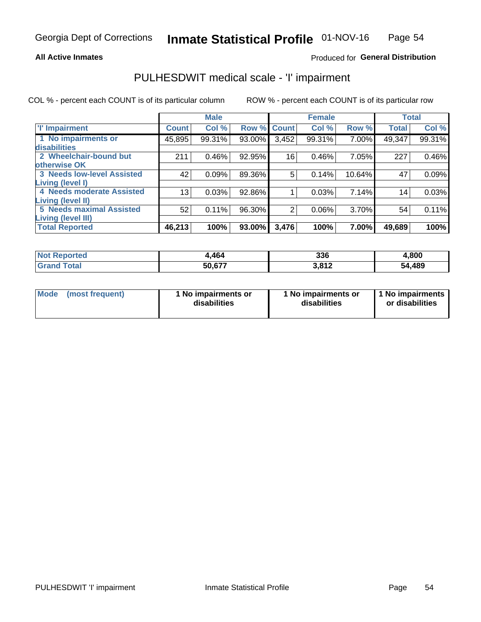### **All Active Inmates**

### Produced for General Distribution

## PULHESDWIT medical scale - 'I' impairment

COL % - percent each COUNT is of its particular column

|                                                              |              | <b>Male</b> |        |             | <b>Female</b> |        |              | <b>Total</b> |
|--------------------------------------------------------------|--------------|-------------|--------|-------------|---------------|--------|--------------|--------------|
| <b>T' Impairment</b>                                         | <b>Count</b> | Col %       |        | Row % Count | Col %         | Row %  | <b>Total</b> | Col %        |
| 1 No impairments or<br>disabilities                          | 45,895       | 99.31%      | 93.00% | 3,452       | 99.31%        | 7.00%  | 49,347       | 99.31%       |
| 2 Wheelchair-bound but<br>otherwise OK                       | 211          | 0.46%       | 92.95% | 16          | 0.46%         | 7.05%  | 227          | 0.46%        |
| <b>3 Needs low-level Assisted</b><br>Living (level I)        | 42           | 0.09%       | 89.36% | 5           | 0.14%         | 10.64% | 47           | 0.09%        |
| 4 Needs moderate Assisted<br><b>Living (level II)</b>        | 13           | 0.03%       | 92.86% |             | 0.03%         | 7.14%  | 14           | 0.03%        |
| <b>5 Needs maximal Assisted</b><br><b>Living (level III)</b> | 52           | 0.11%       | 96.30% | 2           | 0.06%         | 3.70%  | 54           | 0.11%        |
| <b>Total Reported</b>                                        | 46,213       | 100%        | 93.00% | 3,476       | 100%          | 7.00%  | 49,689       | 100%         |

| $^{\mathrm{t}}$ Not $_{\mathrm{L}}$<br>Reported | .464   | 336   | 4,800       |
|-------------------------------------------------|--------|-------|-------------|
| <b>Total</b><br><b>Grand</b>                    | 50,677 | 3,812 | ,489<br>54. |

| Mode | (most frequent) | 1 No impairments or<br>disabilities | 1 No impairments or<br>disabilities | 1 No impairments<br>or disabilities |
|------|-----------------|-------------------------------------|-------------------------------------|-------------------------------------|
|------|-----------------|-------------------------------------|-------------------------------------|-------------------------------------|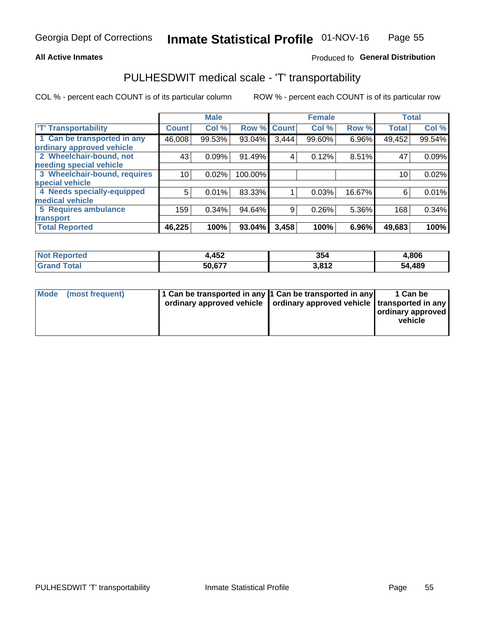### **All Active Inmates**

### Produced fo General Distribution

## PULHESDWIT medical scale - 'T' transportability

COL % - percent each COUNT is of its particular column

|                              |              | <b>Male</b> |         |              | <b>Female</b> |        |              | <b>Total</b> |
|------------------------------|--------------|-------------|---------|--------------|---------------|--------|--------------|--------------|
| <b>T' Transportability</b>   | <b>Count</b> | Col %       | Row %   | <b>Count</b> | Col %         | Row %  | <b>Total</b> | Col %        |
| 1 Can be transported in any  | 46,008       | 99.53%      | 93.04%  | 3,444        | 99.60%        | 6.96%  | 49,452       | 99.54%       |
| ordinary approved vehicle    |              |             |         |              |               |        |              |              |
| 2 Wheelchair-bound, not      | 43           | 0.09%       | 91.49%  | 4            | 0.12%         | 8.51%  | 47           | 0.09%        |
| needing special vehicle      |              |             |         |              |               |        |              |              |
| 3 Wheelchair-bound, requires | 10           | 0.02%       | 100.00% |              |               |        | 10           | 0.02%        |
| special vehicle              |              |             |         |              |               |        |              |              |
| 4 Needs specially-equipped   | 5            | 0.01%       | 83.33%  |              | 0.03%         | 16.67% | 6            | 0.01%        |
| medical vehicle              |              |             |         |              |               |        |              |              |
| <b>5 Requires ambulance</b>  | 159          | 0.34%       | 94.64%  | 9            | 0.26%         | 5.36%  | 168          | 0.34%        |
| transport                    |              |             |         |              |               |        |              |              |
| <b>Total Reported</b>        | 46,225       | 100%        | 93.04%  | 3,458        | 100%          | 6.96%  | 49,683       | 100%         |

| <b>Not</b><br>Reported | l,452  | 354   | 4,806  |
|------------------------|--------|-------|--------|
| Total                  | 50.677 | 3,812 | 54,489 |

|  | Mode (most frequent) | 1 Can be transported in any 1 Can be transported in any<br>ordinary approved vehicle   ordinary approved vehicle   transported in any |  | 1 Can be<br>  ordinary approved  <br>vehicle |
|--|----------------------|---------------------------------------------------------------------------------------------------------------------------------------|--|----------------------------------------------|
|--|----------------------|---------------------------------------------------------------------------------------------------------------------------------------|--|----------------------------------------------|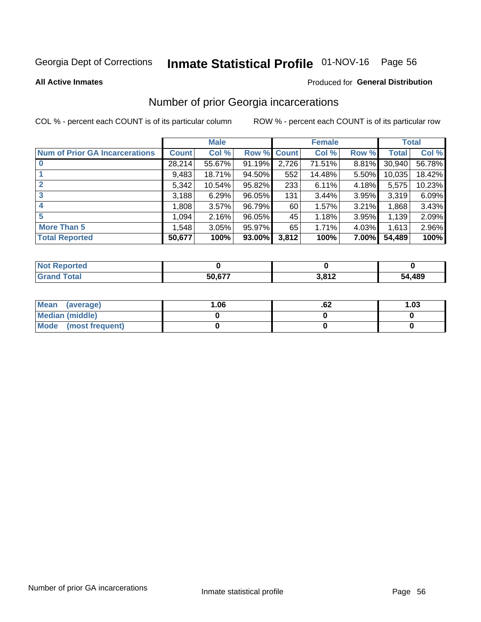# Inmate Statistical Profile 01-NOV-16 Page 56

#### **All Active Inmates**

### Produced for General Distribution

### Number of prior Georgia incarcerations

COL % - percent each COUNT is of its particular column

|                                       |              | <b>Male</b> |             |       | <b>Female</b> |       |        | <b>Total</b> |
|---------------------------------------|--------------|-------------|-------------|-------|---------------|-------|--------|--------------|
| <b>Num of Prior GA Incarcerations</b> | <b>Count</b> | Col %       | Row % Count |       | Col %         | Row % | Total  | Col %        |
|                                       | 28,214       | 55.67%      | 91.19%      | 2,726 | 71.51%        | 8.81% | 30,940 | 56.78%       |
|                                       | 9,483        | 18.71%      | 94.50%      | 552   | 14.48%        | 5.50% | 10,035 | 18.42%       |
| $\overline{2}$                        | 5,342        | 10.54%      | 95.82%      | 233   | 6.11%         | 4.18% | 5,575  | 10.23%       |
| 3                                     | 3,188        | 6.29%       | $96.05\%$   | 131   | 3.44%         | 3.95% | 3,319  | 6.09%        |
| $\boldsymbol{4}$                      | 1,808        | 3.57%       | 96.79%      | 60    | 1.57%         | 3.21% | 1,868  | 3.43%        |
| 5                                     | 1,094        | 2.16%       | 96.05%      | 45    | 1.18%         | 3.95% | 1,139  | 2.09%        |
| <b>More Than 5</b>                    | 1,548        | 3.05%       | 95.97%      | 65    | 1.71%         | 4.03% | 1,613  | 2.96%        |
| <b>Total Reported</b>                 | 50,677       | 100%        | $93.00\%$   | 3,812 | 100%          | 7.00% | 54,489 | 100%         |

| orted<br>'Nr |                    |              |            |
|--------------|--------------------|--------------|------------|
| Gr           | <b>EO C77</b><br>- | 2.042<br>. . | ,489<br>54 |

| Mean (average)       | 06.، | .oz | 1.03 |
|----------------------|------|-----|------|
| Median (middle)      |      |     |      |
| Mode (most frequent) |      |     |      |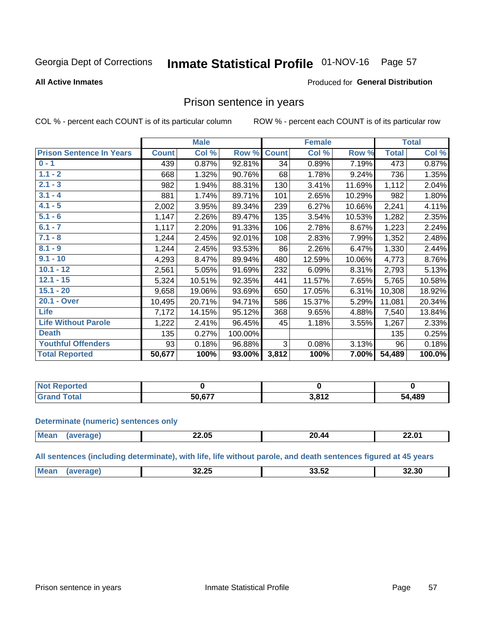# Inmate Statistical Profile 01-NOV-16 Page 57

### **All Active Inmates**

### Produced for General Distribution

### Prison sentence in years

COL % - percent each COUNT is of its particular column

ROW % - percent each COUNT is of its particular row

|                                 |              | <b>Male</b> |           |              | <b>Female</b> |        |              | <b>Total</b> |
|---------------------------------|--------------|-------------|-----------|--------------|---------------|--------|--------------|--------------|
| <b>Prison Sentence In Years</b> | <b>Count</b> | Col %       | Row %     | <b>Count</b> | Col %         | Row %  | <b>Total</b> | Col %        |
| $0 - 1$                         | 439          | 0.87%       | 92.81%    | 34           | 0.89%         | 7.19%  | 473          | 0.87%        |
| $1.1 - 2$                       | 668          | 1.32%       | 90.76%    | 68           | 1.78%         | 9.24%  | 736          | 1.35%        |
| $2.1 - 3$                       | 982          | 1.94%       | 88.31%    | 130          | 3.41%         | 11.69% | 1,112        | 2.04%        |
| $3.1 - 4$                       | 881          | 1.74%       | 89.71%    | 101          | 2.65%         | 10.29% | 982          | 1.80%        |
| $4.1 - 5$                       | 2,002        | 3.95%       | 89.34%    | 239          | 6.27%         | 10.66% | 2,241        | 4.11%        |
| $5.1 - 6$                       | 1,147        | 2.26%       | 89.47%    | 135          | 3.54%         | 10.53% | 1,282        | 2.35%        |
| $6.1 - 7$                       | 1,117        | 2.20%       | 91.33%    | 106          | 2.78%         | 8.67%  | 1,223        | 2.24%        |
| $7.1 - 8$                       | 1,244        | 2.45%       | 92.01%    | 108          | 2.83%         | 7.99%  | 1,352        | 2.48%        |
| $8.1 - 9$                       | 1,244        | 2.45%       | 93.53%    | 86           | 2.26%         | 6.47%  | 1,330        | 2.44%        |
| $9.1 - 10$                      | 4,293        | 8.47%       | 89.94%    | 480          | 12.59%        | 10.06% | 4,773        | 8.76%        |
| $10.1 - 12$                     | 2,561        | 5.05%       | 91.69%    | 232          | 6.09%         | 8.31%  | 2,793        | 5.13%        |
| $12.1 - 15$                     | 5,324        | 10.51%      | 92.35%    | 441          | 11.57%        | 7.65%  | 5,765        | 10.58%       |
| $15.1 - 20$                     | 9,658        | 19.06%      | 93.69%    | 650          | 17.05%        | 6.31%  | 10,308       | 18.92%       |
| 20.1 - Over                     | 10,495       | 20.71%      | 94.71%    | 586          | 15.37%        | 5.29%  | 11,081       | 20.34%       |
| <b>Life</b>                     | 7,172        | 14.15%      | 95.12%    | 368          | 9.65%         | 4.88%  | 7,540        | 13.84%       |
| <b>Life Without Parole</b>      | 1,222        | 2.41%       | 96.45%    | 45           | 1.18%         | 3.55%  | 1,267        | 2.33%        |
| <b>Death</b>                    | 135          | 0.27%       | 100.00%   |              |               |        | 135          | 0.25%        |
| <b>Youthful Offenders</b>       | 93           | 0.18%       | 96.88%    | 3            | 0.08%         | 3.13%  | 96           | 0.18%        |
| <b>Total Reported</b>           | 50,677       | 100%        | $93.00\%$ | 3,812        | 100%          | 7.00%  | 54,489       | 100.0%       |

| ported<br>I NOT |                             |           |        |
|-----------------|-----------------------------|-----------|--------|
| `∩tal           | $\tau \wedge \gamma \gamma$ | 2012<br>. | 54,489 |

#### **Determinate (numeric) sentences only**

| <b>Mean</b> | 22.05 | 20 44 | 22.01 |
|-------------|-------|-------|-------|
|             |       |       |       |

All sentences (including determinate), with life, life without parole, and death sentences figured at 45 years

| <b>Mear</b><br>חה הה<br>-- --<br>32.30<br>-,,<br>ں ے ۔<br>_____ |  |  |  |
|-----------------------------------------------------------------|--|--|--|
|                                                                 |  |  |  |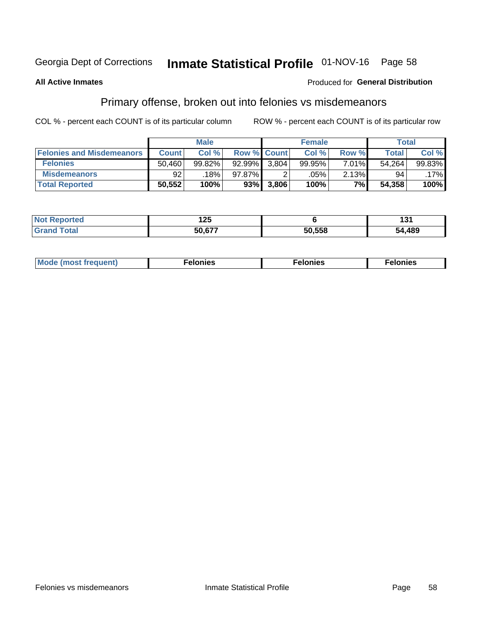## Inmate Statistical Profile 01-NOV-16 Page 58

### **All Active Inmates**

### **Produced for General Distribution**

## Primary offense, broken out into felonies vs misdemeanors

COL % - percent each COUNT is of its particular column

|                                  |              | <b>Male</b> |           |                    | <b>Female</b> |       | Total  |        |
|----------------------------------|--------------|-------------|-----------|--------------------|---------------|-------|--------|--------|
| <b>Felonies and Misdemeanors</b> | <b>Count</b> | Col%        |           | <b>Row % Count</b> | Col%          | Row % | Total, | Col %  |
| <b>Felonies</b>                  | 50.460       | 99.82%      | $92.99\%$ | 3.804              | 99.95%        | 7.01% | 54.264 | 99.83% |
| <b>Misdemeanors</b>              | 92           | 18%         | 97.87%    |                    | .05%          | 2.13% | 94     | .17%   |
| <b>Total Reported</b>            | 50,552       | 100%        | 93%       | 3,806              | 100%          | $7\%$ | 54,358 | 100%   |

| <b>Not</b><br>Reported | .<br>16J |        | וטו    |
|------------------------|----------|--------|--------|
| Grand<br>™otal         | דדה ה־   | 50.558 | 54,489 |

| Mo | ____ | 11 C.S<br>. | onies<br>. |
|----|------|-------------|------------|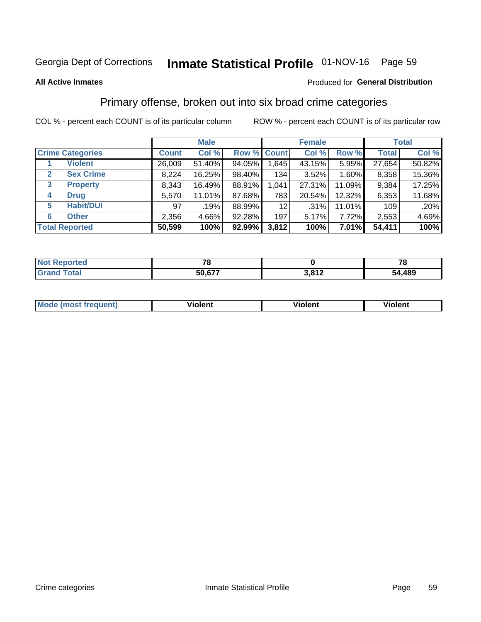## Inmate Statistical Profile 01-NOV-16 Page 59

### **All Active Inmates**

### Produced for General Distribution

### Primary offense, broken out into six broad crime categories

COL % - percent each COUNT is of its particular column

|                                 |              | <b>Male</b> |        |                 | <b>Female</b> |          |              | <b>Total</b> |
|---------------------------------|--------------|-------------|--------|-----------------|---------------|----------|--------------|--------------|
| <b>Crime Categories</b>         | <b>Count</b> | Col %       |        | Row % Count     | Col %         | Row %    | <b>Total</b> | Col %        |
| <b>Violent</b>                  | 26,009       | 51.40%      | 94.05% | 1,645           | 43.15%        | 5.95%    | 27,654       | 50.82%       |
| <b>Sex Crime</b><br>2           | 8,224        | 16.25%      | 98.40% | 134             | 3.52%         | 1.60%    | 8,358        | 15.36%       |
| $\mathbf{3}$<br><b>Property</b> | 8,343        | 16.49%      | 88.91% | 1,041           | 27.31%        | 11.09%   | 9,384        | 17.25%       |
| <b>Drug</b><br>4                | 5,570        | 11.01%      | 87.68% | 783             | 20.54%        | 12.32%   | 6,353        | 11.68%       |
| <b>Habit/DUI</b><br>5           | 97           | .19%        | 88.99% | 12 <sub>2</sub> | .31%          | 11.01%   | 109          | .20%         |
| <b>Other</b><br>6               | 2,356        | 4.66%       | 92.28% | 197             | 5.17%         | 7.72%    | 2,553        | 4.69%        |
| <b>Total Reported</b>           | 50,599       | 100%        | 92.99% | 3,812           | 100%          | $7.01\%$ | 54,411       | 100%         |

| rtea<br>NO |        |                      | - -<br>$\mathbf \sigma$ |
|------------|--------|----------------------|-------------------------|
|            | 50.677 | 2012<br><b>VIVIL</b> | 54,489                  |

| Mc | .<br>$\cdots$ | VIOIEM |
|----|---------------|--------|
|    |               |        |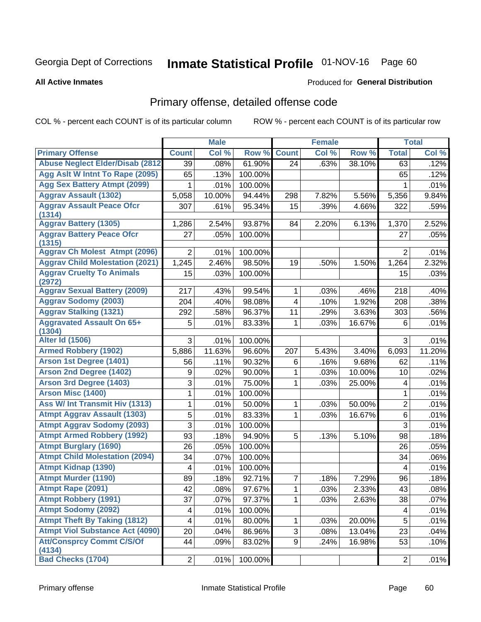# Inmate Statistical Profile 01-NOV-16 Page 60

**All Active Inmates** 

### Produced for General Distribution

## Primary offense, detailed offense code

COL % - percent each COUNT is of its particular column

|                                            |                | <b>Male</b> |         |                | <b>Female</b> |        |                | <b>Total</b> |
|--------------------------------------------|----------------|-------------|---------|----------------|---------------|--------|----------------|--------------|
| <b>Primary Offense</b>                     | <b>Count</b>   | Col %       | Row %   | <b>Count</b>   | Col %         | Row %  | <b>Total</b>   | Col %        |
| <b>Abuse Neglect Elder/Disab (2812)</b>    | 39             | .08%        | 61.90%  | 24             | .63%          | 38.10% | 63             | .12%         |
| Agg Aslt W Intnt To Rape (2095)            | 65             | .13%        | 100.00% |                |               |        | 65             | .12%         |
| <b>Agg Sex Battery Atmpt (2099)</b>        | 1              | .01%        | 100.00% |                |               |        | 1              | .01%         |
| <b>Aggrav Assault (1302)</b>               | 5,058          | 10.00%      | 94.44%  | 298            | 7.82%         | 5.56%  | 5,356          | 9.84%        |
| <b>Aggrav Assault Peace Ofcr</b><br>(1314) | 307            | .61%        | 95.34%  | 15             | .39%          | 4.66%  | 322            | .59%         |
| <b>Aggrav Battery (1305)</b>               | 1,286          | 2.54%       | 93.87%  | 84             | 2.20%         | 6.13%  | 1,370          | 2.52%        |
| <b>Aggrav Battery Peace Ofcr</b><br>(1315) | 27             | .05%        | 100.00% |                |               |        | 27             | .05%         |
| <b>Aggrav Ch Molest Atmpt (2096)</b>       | $\overline{2}$ | .01%        | 100.00% |                |               |        | $\overline{2}$ | .01%         |
| <b>Aggrav Child Molestation (2021)</b>     | 1,245          | 2.46%       | 98.50%  | 19             | .50%          | 1.50%  | 1,264          | 2.32%        |
| <b>Aggrav Cruelty To Animals</b><br>(2972) | 15             | .03%        | 100.00% |                |               |        | 15             | .03%         |
| <b>Aggrav Sexual Battery (2009)</b>        | 217            | .43%        | 99.54%  | 1              | .03%          | .46%   | 218            | .40%         |
| <b>Aggrav Sodomy (2003)</b>                | 204            | .40%        | 98.08%  | 4              | .10%          | 1.92%  | 208            | .38%         |
| <b>Aggrav Stalking (1321)</b>              | 292            | .58%        | 96.37%  | 11             | .29%          | 3.63%  | 303            | .56%         |
| <b>Aggravated Assault On 65+</b><br>(1304) | 5              | .01%        | 83.33%  | 1              | .03%          | 16.67% | 6              | .01%         |
| <b>Alter Id (1506)</b>                     | 3              | .01%        | 100.00% |                |               |        | 3              | .01%         |
| <b>Armed Robbery (1902)</b>                | 5,886          | 11.63%      | 96.60%  | 207            | 5.43%         | 3.40%  | 6,093          | 11.20%       |
| Arson 1st Degree (1401)                    | 56             | .11%        | 90.32%  | 6              | .16%          | 9.68%  | 62             | .11%         |
| <b>Arson 2nd Degree (1402)</b>             | 9              | .02%        | 90.00%  | $\mathbf{1}$   | .03%          | 10.00% | 10             | .02%         |
| <b>Arson 3rd Degree (1403)</b>             | 3              | .01%        | 75.00%  | 1              | .03%          | 25.00% | 4              | .01%         |
| <b>Arson Misc (1400)</b>                   | 1              | .01%        | 100.00% |                |               |        | 1              | .01%         |
| Ass W/ Int Transmit Hiv (1313)             | 1              | .01%        | 50.00%  | 1              | .03%          | 50.00% | $\overline{2}$ | .01%         |
| <b>Atmpt Aggrav Assault (1303)</b>         | 5              | .01%        | 83.33%  | $\mathbf{1}$   | .03%          | 16.67% | 6              | .01%         |
| <b>Atmpt Aggrav Sodomy (2093)</b>          | 3              | .01%        | 100.00% |                |               |        | 3              | .01%         |
| <b>Atmpt Armed Robbery (1992)</b>          | 93             | .18%        | 94.90%  | 5              | .13%          | 5.10%  | 98             | .18%         |
| <b>Atmpt Burglary (1690)</b>               | 26             | .05%        | 100.00% |                |               |        | 26             | .05%         |
| <b>Atmpt Child Molestation (2094)</b>      | 34             | .07%        | 100.00% |                |               |        | 34             | .06%         |
| <b>Atmpt Kidnap (1390)</b>                 | 4              | .01%        | 100.00% |                |               |        | 4              | .01%         |
| <b>Atmpt Murder (1190)</b>                 | 89             | .18%        | 92.71%  | $\overline{7}$ | .18%          | 7.29%  | 96             | .18%         |
| Atmpt Rape (2091)                          | 42             | .08%        | 97.67%  | $\mathbf 1$    | .03%          | 2.33%  | 43             | .08%         |
| <b>Atmpt Robbery (1991)</b>                | 37             | .07%        | 97.37%  | 1              | .03%          | 2.63%  | 38             | .07%         |
| <b>Atmpt Sodomy (2092)</b>                 | 4              | .01%        | 100.00% |                |               |        | 4              | .01%         |
| <b>Atmpt Theft By Taking (1812)</b>        | 4              | .01%        | 80.00%  | 1              | .03%          | 20.00% | 5              | .01%         |
| <b>Atmpt Viol Substance Act (4090)</b>     | 20             | .04%        | 86.96%  | 3              | .08%          | 13.04% | 23             | .04%         |
| <b>Att/Consprcy Commt C/S/Of</b><br>(4134) | 44             | .09%        | 83.02%  | 9 <sup>1</sup> | .24%          | 16.98% | 53             | .10%         |
| <b>Bad Checks (1704)</b>                   | 2              | .01%        | 100.00% |                |               |        | $\overline{2}$ | .01%         |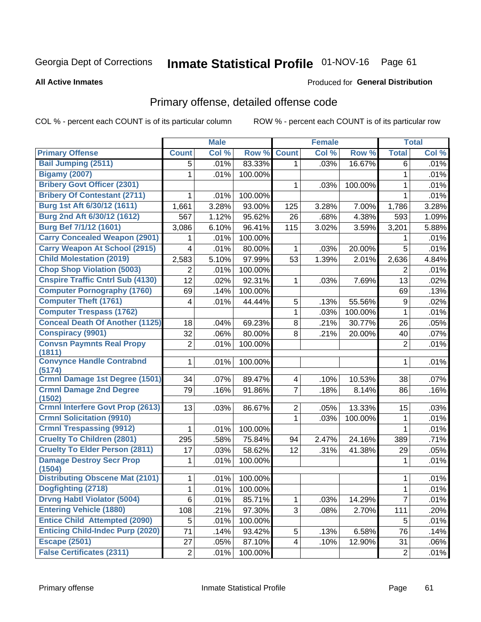## Inmate Statistical Profile 01-NOV-16 Page 61

#### **All Active Inmates**

### **Produced for General Distribution**

### Primary offense, detailed offense code

COL % - percent each COUNT is of its particular column

|                                                          |                | <b>Male</b> |         |                         | <b>Female</b> |         |                | <b>Total</b> |
|----------------------------------------------------------|----------------|-------------|---------|-------------------------|---------------|---------|----------------|--------------|
| <b>Primary Offense</b>                                   | <b>Count</b>   | Col %       | Row %   | <b>Count</b>            | Col %         | Row %   | <b>Total</b>   | Col %        |
| <b>Bail Jumping (2511)</b>                               | 5              | .01%        | 83.33%  | $\mathbf{1}$            | .03%          | 16.67%  | 6              | .01%         |
| <b>Bigamy (2007)</b>                                     | 1              | .01%        | 100.00% |                         |               |         | 1              | .01%         |
| <b>Bribery Govt Officer (2301)</b>                       |                |             |         | 1                       | .03%          | 100.00% | 1              | .01%         |
| <b>Bribery Of Contestant (2711)</b>                      | 1              | .01%        | 100.00% |                         |               |         | $\mathbf{1}$   | .01%         |
| Burg 1st Aft 6/30/12 (1611)                              | 1,661          | 3.28%       | 93.00%  | 125                     | 3.28%         | 7.00%   | 1,786          | 3.28%        |
| Burg 2nd Aft 6/30/12 (1612)                              | 567            | 1.12%       | 95.62%  | 26                      | .68%          | 4.38%   | 593            | 1.09%        |
| Burg Bef 7/1/12 (1601)                                   | 3,086          | 6.10%       | 96.41%  | 115                     | 3.02%         | 3.59%   | 3,201          | 5.88%        |
| <b>Carry Concealed Weapon (2901)</b>                     | 1.             | .01%        | 100.00% |                         |               |         | 1              | .01%         |
| <b>Carry Weapon At School (2915)</b>                     | 4              | .01%        | 80.00%  | 1                       | .03%          | 20.00%  | 5              | .01%         |
| <b>Child Molestation (2019)</b>                          | 2,583          | 5.10%       | 97.99%  | 53                      | 1.39%         | 2.01%   | 2,636          | 4.84%        |
| <b>Chop Shop Violation (5003)</b>                        | 2              | .01%        | 100.00% |                         |               |         | 2              | .01%         |
| <b>Cnspire Traffic Cntrl Sub (4130)</b>                  | 12             | .02%        | 92.31%  | $\mathbf{1}$            | .03%          | 7.69%   | 13             | .02%         |
| <b>Computer Pornography (1760)</b>                       | 69             | .14%        | 100.00% |                         |               |         | 69             | .13%         |
| <b>Computer Theft (1761)</b>                             | 4              | .01%        | 44.44%  | 5                       | .13%          | 55.56%  | 9              | .02%         |
| <b>Computer Trespass (1762)</b>                          |                |             |         | 1                       | .03%          | 100.00% | 1              | .01%         |
| <b>Conceal Death Of Another (1125)</b>                   | 18             | .04%        | 69.23%  | 8                       | .21%          | 30.77%  | 26             | .05%         |
| <b>Conspiracy (9901)</b>                                 | 32             | .06%        | 80.00%  | 8                       | .21%          | 20.00%  | 40             | .07%         |
| <b>Convsn Paymnts Real Propy</b>                         | 2              | .01%        | 100.00% |                         |               |         | $\overline{2}$ | .01%         |
| (1811)                                                   |                |             |         |                         |               |         |                |              |
| <b>Convynce Handle Contrabnd</b><br>(5174)               | 1              | .01%        | 100.00% |                         |               |         | 1              | .01%         |
| Crmnl Damage 1st Degree (1501)                           | 34             | .07%        | 89.47%  | $\overline{\mathbf{4}}$ | .10%          | 10.53%  | 38             | .07%         |
| <b>Crmnl Damage 2nd Degree</b>                           | 79             | .16%        | 91.86%  | $\overline{7}$          | .18%          | 8.14%   | 86             | .16%         |
| (1502)                                                   |                |             |         |                         |               |         |                |              |
| <b>Crmnl Interfere Govt Prop (2613)</b>                  | 13             | .03%        | 86.67%  | $\overline{2}$          | .05%          | 13.33%  | 15             | .03%         |
| <b>Crmnl Solicitation (9910)</b>                         |                |             |         | 1                       | .03%          | 100.00% | 1              | .01%         |
| <b>Crmnl Trespassing (9912)</b>                          | 1              | .01%        | 100.00% |                         |               |         | 1              | .01%         |
| <b>Cruelty To Children (2801)</b>                        | 295            | .58%        | 75.84%  | 94                      | 2.47%         | 24.16%  | 389            | .71%         |
| <b>Cruelty To Elder Person (2811)</b>                    | 17             | .03%        | 58.62%  | 12                      | .31%          | 41.38%  | 29             | .05%         |
| <b>Damage Destroy Secr Prop</b>                          | 1              | .01%        | 100.00% |                         |               |         | 1              | .01%         |
| (1504)<br><b>Distributing Obscene Mat (2101)</b>         |                |             |         |                         |               |         |                |              |
|                                                          | 1              | .01%        | 100.00% |                         |               |         | 1              | .01%         |
| Dogfighting (2718)<br><b>Drvng Habtl Violator (5004)</b> | $\overline{1}$ | .01%        | 100.00% |                         |               |         | $\overline{1}$ | .01%         |
| <b>Entering Vehicle (1880)</b>                           | 6              | .01%        | 85.71%  | 1                       | .03%          | 14.29%  | $\overline{7}$ | .01%         |
| <b>Entice Child Attempted (2090)</b>                     | 108            | .21%        | 97.30%  | 3                       | .08%          | 2.70%   | 111            | .20%         |
|                                                          | 5              | .01%        | 100.00% |                         |               |         | 5              | .01%         |
| <b>Enticing Child-Indec Purp (2020)</b>                  | 71             | .14%        | 93.42%  | 5                       | .13%          | 6.58%   | 76             | .14%         |
| <b>Escape (2501)</b>                                     | 27             | .05%        | 87.10%  | $\overline{\mathbf{4}}$ | .10%          | 12.90%  | 31             | .06%         |
| <b>False Certificates (2311)</b>                         | $\overline{2}$ | .01%        | 100.00% |                         |               |         | $\overline{c}$ | .01%         |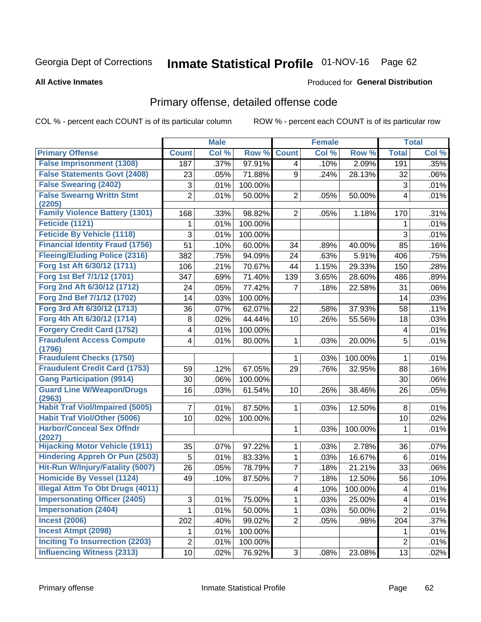# Inmate Statistical Profile 01-NOV-16 Page 62

#### **All Active Inmates**

### Produced for General Distribution

### Primary offense, detailed offense code

COL % - percent each COUNT is of its particular column

|                                            |                 | <b>Male</b> |         |                | <b>Female</b> |         |                         | <b>Total</b> |
|--------------------------------------------|-----------------|-------------|---------|----------------|---------------|---------|-------------------------|--------------|
| <b>Primary Offense</b>                     | <b>Count</b>    | Col %       | Row %   | <b>Count</b>   | Col %         | Row %   | <b>Total</b>            | Col %        |
| <b>False Imprisonment (1308)</b>           | 187             | .37%        | 97.91%  | $\overline{4}$ | .10%          | 2.09%   | 191                     | .35%         |
| <b>False Statements Govt (2408)</b>        | 23              | .05%        | 71.88%  | 9              | .24%          | 28.13%  | 32                      | .06%         |
| <b>False Swearing (2402)</b>               | 3               | .01%        | 100.00% |                |               |         | 3                       | .01%         |
| <b>False Swearng Writtn Stmt</b>           | $\overline{2}$  | .01%        | 50.00%  | $\overline{2}$ | .05%          | 50.00%  | 4                       | .01%         |
| (2205)                                     |                 |             |         |                |               |         |                         |              |
| <b>Family Violence Battery (1301)</b>      | 168             | .33%        | 98.82%  | $\overline{2}$ | .05%          | 1.18%   | 170                     | .31%         |
| Feticide (1121)                            | 1               | .01%        | 100.00% |                |               |         | 1                       | .01%         |
| <b>Feticide By Vehicle (1118)</b>          | 3               | .01%        | 100.00% |                |               |         | 3                       | .01%         |
| <b>Financial Identity Fraud (1756)</b>     | 51              | .10%        | 60.00%  | 34             | .89%          | 40.00%  | 85                      | .16%         |
| <b>Fleeing/Eluding Police (2316)</b>       | 382             | .75%        | 94.09%  | 24             | .63%          | 5.91%   | 406                     | .75%         |
| Forg 1st Aft 6/30/12 (1711)                | 106             | .21%        | 70.67%  | 44             | 1.15%         | 29.33%  | 150                     | .28%         |
| Forg 1st Bef 7/1/12 (1701)                 | 347             | .69%        | 71.40%  | 139            | 3.65%         | 28.60%  | 486                     | .89%         |
| Forg 2nd Aft 6/30/12 (1712)                | 24              | .05%        | 77.42%  | 7              | .18%          | 22.58%  | 31                      | .06%         |
| Forg 2nd Bef 7/1/12 (1702)                 | 14              | .03%        | 100.00% |                |               |         | 14                      | .03%         |
| Forg 3rd Aft 6/30/12 (1713)                | 36              | .07%        | 62.07%  | 22             | .58%          | 37.93%  | 58                      | .11%         |
| Forg 4th Aft 6/30/12 (1714)                | 8               | .02%        | 44.44%  | 10             | .26%          | 55.56%  | 18                      | .03%         |
| <b>Forgery Credit Card (1752)</b>          | 4               | .01%        | 100.00% |                |               |         | 4                       | .01%         |
| <b>Fraudulent Access Compute</b><br>(1796) | 4               | .01%        | 80.00%  | 1              | .03%          | 20.00%  | 5                       | .01%         |
| <b>Fraudulent Checks (1750)</b>            |                 |             |         | 1              | .03%          | 100.00% | 1                       | .01%         |
| <b>Fraudulent Credit Card (1753)</b>       | 59              | .12%        | 67.05%  | 29             | .76%          | 32.95%  | 88                      | .16%         |
| <b>Gang Participation (9914)</b>           | 30              | .06%        | 100.00% |                |               |         | 30                      | .06%         |
| <b>Guard Line W/Weapon/Drugs</b>           | 16              | .03%        | 61.54%  | 10             | .26%          | 38.46%  | 26                      | .05%         |
| (2963)                                     |                 |             |         |                |               |         |                         |              |
| <b>Habit Traf Viol/Impaired (5005)</b>     | $\overline{7}$  | .01%        | 87.50%  | 1              | .03%          | 12.50%  | 8                       | .01%         |
| <b>Habit Traf Viol/Other (5006)</b>        | 10 <sup>1</sup> | .02%        | 100.00% |                |               |         | 10                      | .02%         |
| <b>Harbor/Conceal Sex Offndr</b><br>(2027) |                 |             |         | 1              | .03%          | 100.00% | 1                       | .01%         |
| <b>Hijacking Motor Vehicle (1911)</b>      | 35              | .07%        | 97.22%  | 1              | .03%          | 2.78%   | 36                      | .07%         |
| <b>Hindering Appreh Or Pun (2503)</b>      | 5               | .01%        | 83.33%  | 1              | .03%          | 16.67%  | 6                       | .01%         |
| Hit-Run W/Injury/Fatality (5007)           | 26              | .05%        | 78.79%  | 7              | .18%          | 21.21%  | 33                      | .06%         |
| <b>Homicide By Vessel (1124)</b>           | 49              | .10%        | 87.50%  | 7              | .18%          | 12.50%  | 56                      | .10%         |
| <b>Illegal Attm To Obt Drugs (4011)</b>    |                 |             |         | 4              | .10%          | 100.00% | $\overline{\mathbf{4}}$ | .01%         |
| <b>Impersonating Officer (2405)</b>        | 3               | .01%        | 75.00%  | 1              | .03%          | 25.00%  | 4                       | .01%         |
| <b>Impersonation (2404)</b>                | 1               | .01%        | 50.00%  | 1              | .03%          | 50.00%  | $\overline{2}$          | .01%         |
| <b>Incest (2006)</b>                       | 202             | .40%        | 99.02%  | $\overline{2}$ | .05%          | .98%    | 204                     | .37%         |
| <b>Incest Atmpt (2098)</b>                 | $\mathbf 1$     | .01%        | 100.00% |                |               |         | 1.                      | .01%         |
| <b>Inciting To Insurrection (2203)</b>     | $\overline{2}$  | .01%        | 100.00% |                |               |         | $\overline{2}$          | .01%         |
| <b>Influencing Witness (2313)</b>          | 10 <sup>1</sup> | .02%        | 76.92%  | 3              | .08%          | 23.08%  | 13                      | .02%         |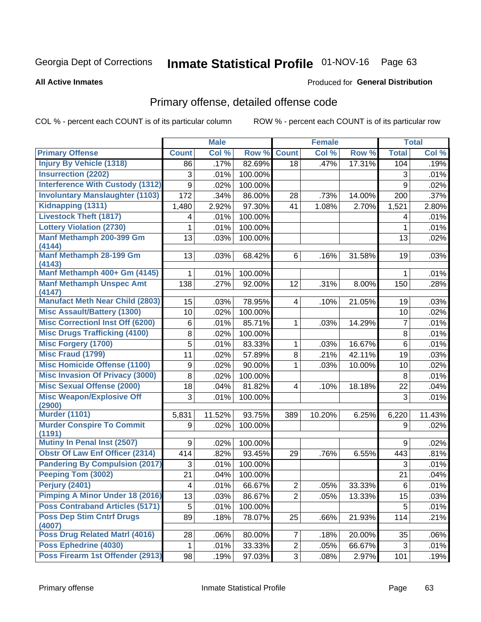# Inmate Statistical Profile 01-NOV-16 Page 63

### **All Active Inmates**

### **Produced for General Distribution**

### Primary offense, detailed offense code

COL % - percent each COUNT is of its particular column

|                                            |                         | <b>Male</b> |         |                         | <b>Female</b> |        |                | <b>Total</b> |
|--------------------------------------------|-------------------------|-------------|---------|-------------------------|---------------|--------|----------------|--------------|
| <b>Primary Offense</b>                     | <b>Count</b>            | Col %       | Row %   | <b>Count</b>            | Col %         | Row %  | <b>Total</b>   | Col %        |
| <b>Injury By Vehicle (1318)</b>            | 86                      | .17%        | 82.69%  | 18                      | .47%          | 17.31% | 104            | .19%         |
| <b>Insurrection (2202)</b>                 | 3                       | .01%        | 100.00% |                         |               |        | 3              | .01%         |
| <b>Interference With Custody (1312)</b>    | 9                       | .02%        | 100.00% |                         |               |        | 9              | .02%         |
| <b>Involuntary Manslaughter (1103)</b>     | 172                     | .34%        | 86.00%  | 28                      | .73%          | 14.00% | 200            | .37%         |
| Kidnapping (1311)                          | 1,480                   | 2.92%       | 97.30%  | 41                      | 1.08%         | 2.70%  | 1,521          | 2.80%        |
| <b>Livestock Theft (1817)</b>              | 4                       | .01%        | 100.00% |                         |               |        | 4              | .01%         |
| <b>Lottery Violation (2730)</b>            | 1                       | .01%        | 100.00% |                         |               |        | 1              | .01%         |
| Manf Methamph 200-399 Gm<br>(4144)         | 13                      | .03%        | 100.00% |                         |               |        | 13             | .02%         |
| Manf Methamph 28-199 Gm<br>(4143)          | 13                      | .03%        | 68.42%  | 6                       | .16%          | 31.58% | 19             | .03%         |
| Manf Methamph 400+ Gm (4145)               | 1.                      | .01%        | 100.00% |                         |               |        | 1              | .01%         |
| <b>Manf Methamph Unspec Amt</b><br>(4147)  | 138                     | .27%        | 92.00%  | 12                      | .31%          | 8.00%  | 150            | .28%         |
| <b>Manufact Meth Near Child (2803)</b>     | 15                      | .03%        | 78.95%  | $\overline{\mathbf{4}}$ | .10%          | 21.05% | 19             | .03%         |
| <b>Misc Assault/Battery (1300)</b>         | 10                      | .02%        | 100.00% |                         |               |        | 10             | .02%         |
| <b>Misc Correctionl Inst Off (6200)</b>    | 6                       | .01%        | 85.71%  | 1                       | .03%          | 14.29% | $\overline{7}$ | .01%         |
| <b>Misc Drugs Trafficking (4100)</b>       | 8                       | .02%        | 100.00% |                         |               |        | 8              | .01%         |
| <b>Misc Forgery (1700)</b>                 | 5                       | .01%        | 83.33%  | 1                       | .03%          | 16.67% | 6              | .01%         |
| <b>Misc Fraud (1799)</b>                   | 11                      | .02%        | 57.89%  | 8                       | .21%          | 42.11% | 19             | .03%         |
| <b>Misc Homicide Offense (1100)</b>        | 9                       | .02%        | 90.00%  | 1                       | .03%          | 10.00% | 10             | .02%         |
| <b>Misc Invasion Of Privacy (3000)</b>     | 8                       | .02%        | 100.00% |                         |               |        | 8              | .01%         |
| <b>Misc Sexual Offense (2000)</b>          | 18                      | .04%        | 81.82%  | $\overline{\mathbf{4}}$ | .10%          | 18.18% | 22             | .04%         |
| <b>Misc Weapon/Explosive Off</b><br>(2900) | 3                       | .01%        | 100.00% |                         |               |        | $\mathbf{3}$   | .01%         |
| <b>Murder (1101)</b>                       | 5,831                   | 11.52%      | 93.75%  | 389                     | 10.20%        | 6.25%  | 6,220          | 11.43%       |
| <b>Murder Conspire To Commit</b><br>(1191) | 9                       | .02%        | 100.00% |                         |               |        | 9              | .02%         |
| Mutiny In Penal Inst (2507)                | 9                       | .02%        | 100.00% |                         |               |        | 9              | .02%         |
| <b>Obstr Of Law Enf Officer (2314)</b>     | 414                     | .82%        | 93.45%  | 29                      | .76%          | 6.55%  | 443            | .81%         |
| <b>Pandering By Compulsion (2017)</b>      | 3                       | .01%        | 100.00% |                         |               |        | 3              | .01%         |
| Peeping Tom (3002)                         | 21                      | .04%        | 100.00% |                         |               |        | 21             | .04%         |
| Perjury (2401)                             | $\overline{\mathbf{4}}$ | .01%        | 66.67%  | $\overline{2}$          | .05%          | 33.33% | 6              | .01%         |
| <b>Pimping A Minor Under 18 (2016)</b>     | 13                      | .03%        | 86.67%  | $\overline{2}$          | .05%          | 13.33% | 15             | .03%         |
| <b>Poss Contraband Articles (5171)</b>     | 5                       | .01%        | 100.00% |                         |               |        | 5              | .01%         |
| <b>Poss Dep Stim Cntrf Drugs</b><br>(4007) | 89                      | .18%        | 78.07%  | 25                      | .66%          | 21.93% | 114            | .21%         |
| <b>Poss Drug Related Matri (4016)</b>      | 28                      | .06%        | 80.00%  | $\overline{7}$          | .18%          | 20.00% | 35             | .06%         |
| Poss Ephedrine (4030)                      | $\mathbf 1$             | .01%        | 33.33%  | $\overline{2}$          | .05%          | 66.67% | 3              | .01%         |
| Poss Firearm 1st Offender (2913)           | 98                      | .19%        | 97.03%  | 3 <sup>1</sup>          | .08%          | 2.97%  | 101            | .19%         |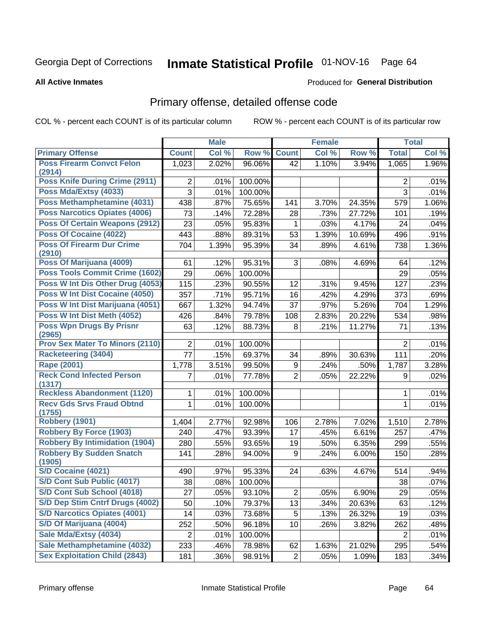# Inmate Statistical Profile 01-NOV-16 Page 64

#### **All Active Inmates**

### Produced for General Distribution

## Primary offense, detailed offense code

COL % - percent each COUNT is of its particular column

|                                           |                 | <b>Male</b> |         |                | <b>Female</b> |        |                | <b>Total</b> |
|-------------------------------------------|-----------------|-------------|---------|----------------|---------------|--------|----------------|--------------|
| <b>Primary Offense</b>                    | <b>Count</b>    | Col %       | Row %   | <b>Count</b>   | Col %         | Row %  | <b>Total</b>   | Col %        |
| <b>Poss Firearm Convct Felon</b>          | 1,023           | 2.02%       | 96.06%  | 42             | 1.10%         | 3.94%  | 1,065          | 1.96%        |
| (2914)                                    |                 |             |         |                |               |        |                |              |
| Poss Knife During Crime (2911)            | 2               | .01%        | 100.00% |                |               |        | $\overline{2}$ | .01%         |
| Poss Mda/Extsy (4033)                     | 3               | .01%        | 100.00% |                |               |        | 3              | .01%         |
| Poss Methamphetamine (4031)               | 438             | .87%        | 75.65%  | 141            | 3.70%         | 24.35% | 579            | 1.06%        |
| <b>Poss Narcotics Opiates (4006)</b>      | 73              | .14%        | 72.28%  | 28             | .73%          | 27.72% | 101            | .19%         |
| <b>Poss Of Certain Weapons (2912)</b>     | 23              | .05%        | 95.83%  | 1              | .03%          | 4.17%  | 24             | .04%         |
| Poss Of Cocaine (4022)                    | 443             | .88%        | 89.31%  | 53             | 1.39%         | 10.69% | 496            | .91%         |
| <b>Poss Of Firearm Dur Crime</b>          | 704             | 1.39%       | 95.39%  | 34             | .89%          | 4.61%  | 738            | 1.36%        |
| (2910)<br>Poss Of Marijuana (4009)        | 61              | .12%        | 95.31%  | 3              | .08%          | 4.69%  | 64             | .12%         |
| Poss Tools Commit Crime (1602)            | 29              | .06%        | 100.00% |                |               |        | 29             | .05%         |
| Poss W Int Dis Other Drug (4053)          |                 |             |         |                |               |        |                |              |
|                                           | 115             | .23%        | 90.55%  | 12             | .31%          | 9.45%  | 127            | .23%         |
| <b>Poss W Int Dist Cocaine (4050)</b>     | 357             | .71%        | 95.71%  | 16             | .42%          | 4.29%  | 373            | .69%         |
| Poss W Int Dist Marijuana (4051)          | 667             | 1.32%       | 94.74%  | 37             | .97%          | 5.26%  | 704            | 1.29%        |
| Poss W Int Dist Meth (4052)               | 426             | .84%        | 79.78%  | 108            | 2.83%         | 20.22% | 534            | .98%         |
| <b>Poss Wpn Drugs By Prisnr</b><br>(2965) | 63              | .12%        | 88.73%  | 8              | .21%          | 11.27% | 71             | .13%         |
| <b>Prov Sex Mater To Minors (2110)</b>    | $\overline{2}$  | .01%        | 100.00% |                |               |        | $\overline{2}$ | .01%         |
| <b>Racketeering (3404)</b>                | $\overline{77}$ | .15%        | 69.37%  | 34             | .89%          | 30.63% | 111            | .20%         |
| <b>Rape (2001)</b>                        | 1,778           | 3.51%       | 99.50%  | 9              | .24%          | .50%   | 1,787          | 3.28%        |
| <b>Reck Cond Infected Person</b>          | 7               | .01%        | 77.78%  | $\overline{2}$ | .05%          | 22.22% | 9              | .02%         |
| (1317)                                    |                 |             |         |                |               |        |                |              |
| <b>Reckless Abandonment (1120)</b>        | 1               | .01%        | 100.00% |                |               |        | 1              | .01%         |
| <b>Recv Gds Srvs Fraud Obtnd</b>          | $\mathbf{1}$    | .01%        | 100.00% |                |               |        | $\mathbf{1}$   | .01%         |
| (1755)<br><b>Robbery (1901)</b>           | 1,404           | 2.77%       | 92.98%  | 106            | 2.78%         | 7.02%  | 1,510          | 2.78%        |
| <b>Robbery By Force (1903)</b>            | 240             | .47%        | 93.39%  | 17             | .45%          | 6.61%  | 257            | .47%         |
| <b>Robbery By Intimidation (1904)</b>     | 280             | .55%        | 93.65%  | 19             | .50%          | 6.35%  | 299            | .55%         |
| <b>Robbery By Sudden Snatch</b>           | 141             | .28%        | 94.00%  | 9              | .24%          | 6.00%  | 150            | .28%         |
| (1905)                                    |                 |             |         |                |               |        |                |              |
| S/D Cocaine (4021)                        | 490             | .97%        | 95.33%  | 24             | .63%          | 4.67%  | 514            | .94%         |
| S/D Cont Sub Public (4017)                | 38              | .08%        | 100.00% |                |               |        | 38             | .07%         |
| S/D Cont Sub School (4018)                | 27              | .05%        | 93.10%  | $\overline{2}$ | .05%          | 6.90%  | 29             | .05%         |
| S/D Dep Stim Cntrf Drugs (4002)           | 50              | .10%        | 79.37%  | 13             | .34%          | 20.63% | 63             | .12%         |
| <b>S/D Narcotics Opiates (4001)</b>       | 14              | .03%        | 73.68%  | 5              | .13%          | 26.32% | 19             | .03%         |
| S/D Of Marijuana (4004)                   | 252             | .50%        | 96.18%  | 10             | .26%          | 3.82%  | 262            | .48%         |
| Sale Mda/Extsy (4034)                     | 2               | .01%        | 100.00% |                |               |        | 2              | .01%         |
| Sale Methamphetamine (4032)               | 233             | .46%        | 78.98%  | 62             | 1.63%         | 21.02% | 295            | .54%         |
| <b>Sex Exploitation Child (2843)</b>      | 181             | .36%        | 98.91%  | $\overline{2}$ | .05%          | 1.09%  | 183            | .34%         |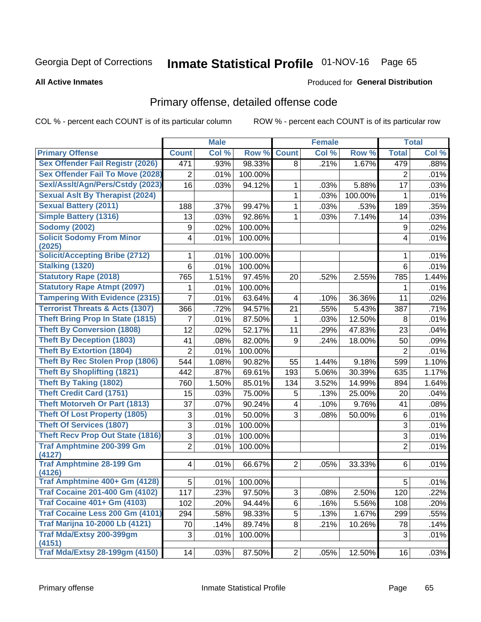# Inmate Statistical Profile 01-NOV-16 Page 65

### **All Active Inmates**

### Produced for General Distribution

### Primary offense, detailed offense code

COL % - percent each COUNT is of its particular column

|                                            |                  | <b>Male</b> |         |                         | <b>Female</b> |         |                | <b>Total</b> |
|--------------------------------------------|------------------|-------------|---------|-------------------------|---------------|---------|----------------|--------------|
| <b>Primary Offense</b>                     | <b>Count</b>     | Col %       | Row %   | <b>Count</b>            | Col %         | Row %   | <b>Total</b>   | Col %        |
| <b>Sex Offender Fail Registr (2026)</b>    | 471              | .93%        | 98.33%  | 8                       | .21%          | 1.67%   | 479            | .88%         |
| <b>Sex Offender Fail To Move (2028)</b>    | 2                | .01%        | 100.00% |                         |               |         | $\overline{2}$ | .01%         |
| Sexl/Asslt/Agn/Pers/Cstdy (2023)           | 16               | .03%        | 94.12%  | 1                       | .03%          | 5.88%   | 17             | .03%         |
| <b>Sexual Aslt By Therapist (2024)</b>     |                  |             |         | $\mathbf{1}$            | .03%          | 100.00% | 1              | .01%         |
| <b>Sexual Battery (2011)</b>               | 188              | .37%        | 99.47%  | 1                       | .03%          | .53%    | 189            | .35%         |
| <b>Simple Battery (1316)</b>               | 13               | .03%        | 92.86%  | 1                       | .03%          | 7.14%   | 14             | .03%         |
| <b>Sodomy (2002)</b>                       | $\boldsymbol{9}$ | .02%        | 100.00% |                         |               |         | 9              | .02%         |
| <b>Solicit Sodomy From Minor</b><br>(2025) | 4                | .01%        | 100.00% |                         |               |         | 4              | .01%         |
| <b>Solicit/Accepting Bribe (2712)</b>      | 1                | .01%        | 100.00% |                         |               |         | 1              | .01%         |
| <b>Stalking (1320)</b>                     | 6                | .01%        | 100.00% |                         |               |         | 6              | .01%         |
| <b>Statutory Rape (2018)</b>               | 765              | 1.51%       | 97.45%  | 20                      | .52%          | 2.55%   | 785            | 1.44%        |
| <b>Statutory Rape Atmpt (2097)</b>         | 1                | .01%        | 100.00% |                         |               |         | 1              | .01%         |
| <b>Tampering With Evidence (2315)</b>      | 7                | .01%        | 63.64%  | 4                       | .10%          | 36.36%  | 11             | .02%         |
| <b>Terrorist Threats &amp; Acts (1307)</b> | 366              | .72%        | 94.57%  | 21                      | .55%          | 5.43%   | 387            | .71%         |
| <b>Theft Bring Prop In State (1815)</b>    | 7                | .01%        | 87.50%  | 1                       | .03%          | 12.50%  | 8              | .01%         |
| <b>Theft By Conversion (1808)</b>          | 12               | .02%        | 52.17%  | 11                      | .29%          | 47.83%  | 23             | .04%         |
| <b>Theft By Deception (1803)</b>           | 41               | .08%        | 82.00%  | 9                       | .24%          | 18.00%  | 50             | .09%         |
| <b>Theft By Extortion (1804)</b>           | $\overline{2}$   | .01%        | 100.00% |                         |               |         | $\overline{2}$ | .01%         |
| <b>Theft By Rec Stolen Prop (1806)</b>     | 544              | 1.08%       | 90.82%  | 55                      | 1.44%         | 9.18%   | 599            | 1.10%        |
| <b>Theft By Shoplifting (1821)</b>         | 442              | .87%        | 69.61%  | 193                     | 5.06%         | 30.39%  | 635            | 1.17%        |
| Theft By Taking (1802)                     | 760              | 1.50%       | 85.01%  | 134                     | 3.52%         | 14.99%  | 894            | 1.64%        |
| <b>Theft Credit Card (1751)</b>            | 15               | .03%        | 75.00%  | 5                       | .13%          | 25.00%  | 20             | .04%         |
| <b>Theft Motorveh Or Part (1813)</b>       | 37               | .07%        | 90.24%  | $\overline{\mathbf{4}}$ | .10%          | 9.76%   | 41             | .08%         |
| <b>Theft Of Lost Property (1805)</b>       | 3                | .01%        | 50.00%  | 3                       | .08%          | 50.00%  | $\,6$          | .01%         |
| <b>Theft Of Services (1807)</b>            | $\overline{3}$   | .01%        | 100.00% |                         |               |         | 3              | .01%         |
| <b>Theft Recv Prop Out State (1816)</b>    | 3                | .01%        | 100.00% |                         |               |         | 3              | .01%         |
| <b>Traf Amphtmine 200-399 Gm</b><br>(4127) | $\overline{2}$   | .01%        | 100.00% |                         |               |         | $\overline{2}$ | .01%         |
| <b>Traf Amphtmine 28-199 Gm</b><br>(4126)  | 4                | .01%        | 66.67%  | $\overline{2}$          | .05%          | 33.33%  | 6              | .01%         |
| Traf Amphtmine 400+ Gm (4128)              | 5                | .01%        | 100.00% |                         |               |         | 5              | .01%         |
| <b>Traf Cocaine 201-400 Gm (4102)</b>      | 117              | .23%        | 97.50%  | 3                       | .08%          | 2.50%   | 120            | .22%         |
| <b>Traf Cocaine 401+ Gm (4103)</b>         | 102              | .20%        | 94.44%  | 6                       | .16%          | 5.56%   | 108            | .20%         |
| Traf Cocaine Less 200 Gm (4101)            | 294              | .58%        | 98.33%  | 5                       | .13%          | 1.67%   | 299            | .55%         |
| <b>Traf Marijna 10-2000 Lb (4121)</b>      | 70               | .14%        | 89.74%  | 8                       | .21%          | 10.26%  | 78             | .14%         |
| Traf Mda/Extsy 200-399gm<br>(4151)         | 3                | .01%        | 100.00% |                         |               |         | 3              | .01%         |
| <b>Traf Mda/Extsy 28-199gm (4150)</b>      | 14               | .03%        | 87.50%  | 2                       | .05%          | 12.50%  | 16             | .03%         |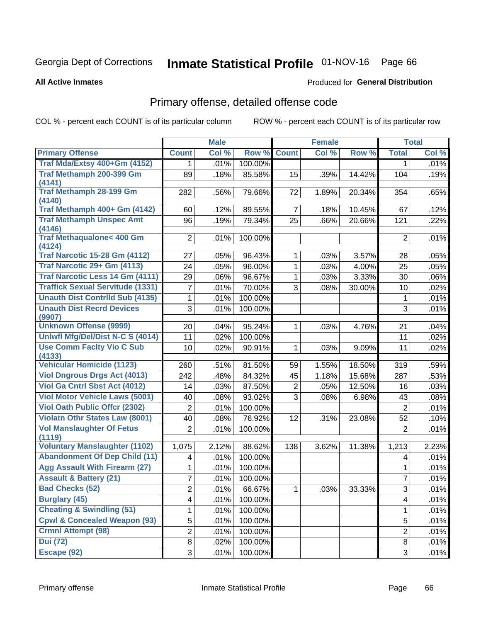# Inmate Statistical Profile 01-NOV-16 Page 66

#### **All Active Inmates**

### **Produced for General Distribution**

## Primary offense, detailed offense code

COL % - percent each COUNT is of its particular column

|                                               |                | <b>Male</b> |         |                | <b>Female</b> |        |                | <b>Total</b> |
|-----------------------------------------------|----------------|-------------|---------|----------------|---------------|--------|----------------|--------------|
| <b>Primary Offense</b>                        | <b>Count</b>   | Col %       | Row %   | <b>Count</b>   | Col %         | Row %  | <b>Total</b>   | Col %        |
| Traf Mda/Extsy 400+Gm (4152)                  | 1              | .01%        | 100.00% |                |               |        | 1.             | .01%         |
| Traf Methamph 200-399 Gm<br>(4141)            | 89             | .18%        | 85.58%  | 15             | .39%          | 14.42% | 104            | .19%         |
| <b>Traf Methamph 28-199 Gm</b><br>(4140)      | 282            | .56%        | 79.66%  | 72             | 1.89%         | 20.34% | 354            | .65%         |
| Traf Methamph 400+ Gm (4142)                  | 60             | .12%        | 89.55%  | $\overline{7}$ | .18%          | 10.45% | 67             | .12%         |
| <b>Traf Methamph Unspec Amt</b><br>(4146)     | 96             | .19%        | 79.34%  | 25             | .66%          | 20.66% | 121            | .22%         |
| <b>Traf Methaqualone&lt; 400 Gm</b><br>(4124) | $\overline{2}$ | .01%        | 100.00% |                |               |        | 2              | .01%         |
| <b>Traf Narcotic 15-28 Gm (4112)</b>          | 27             | .05%        | 96.43%  | 1              | .03%          | 3.57%  | 28             | .05%         |
| Traf Narcotic 29+ Gm (4113)                   | 24             | .05%        | 96.00%  | $\mathbf 1$    | .03%          | 4.00%  | 25             | .05%         |
| <b>Traf Narcotic Less 14 Gm (4111)</b>        | 29             | .06%        | 96.67%  | $\mathbf{1}$   | .03%          | 3.33%  | 30             | $.06\%$      |
| <b>Traffick Sexual Servitude (1331)</b>       | 7              | .01%        | 70.00%  | 3              | .08%          | 30.00% | 10             | .02%         |
| <b>Unauth Dist Contrild Sub (4135)</b>        | 1              | .01%        | 100.00% |                |               |        | 1              | .01%         |
| <b>Unauth Dist Recrd Devices</b><br>(9907)    | $\overline{3}$ | .01%        | 100.00% |                |               |        | 3              | .01%         |
| <b>Unknown Offense (9999)</b>                 | 20             | .04%        | 95.24%  | $\mathbf 1$    | .03%          | 4.76%  | 21             | .04%         |
| Uniwfl Mfg/Del/Dist N-C S (4014)              | 11             | .02%        | 100.00% |                |               |        | 11             | .02%         |
| <b>Use Comm Facity Vio C Sub</b>              | 10             | .02%        | 90.91%  | $\mathbf{1}$   | .03%          | 9.09%  | 11             | .02%         |
| (4133)                                        |                |             |         |                |               |        |                |              |
| <b>Vehicular Homicide (1123)</b>              | 260            | .51%        | 81.50%  | 59             | 1.55%         | 18.50% | 319            | .59%         |
| <b>Viol Dngrous Drgs Act (4013)</b>           | 242            | .48%        | 84.32%  | 45             | 1.18%         | 15.68% | 287            | .53%         |
| Viol Ga Cntrl Sbst Act (4012)                 | 14             | .03%        | 87.50%  | $\overline{c}$ | .05%          | 12.50% | 16             | .03%         |
| <b>Viol Motor Vehicle Laws (5001)</b>         | 40             | .08%        | 93.02%  | 3              | .08%          | 6.98%  | 43             | .08%         |
| <b>Viol Oath Public Offcr (2302)</b>          | $\overline{2}$ | .01%        | 100.00% |                |               |        | $\overline{2}$ | .01%         |
| <b>Violatn Othr States Law (8001)</b>         | 40             | .08%        | 76.92%  | 12             | .31%          | 23.08% | 52             | .10%         |
| <b>Vol Manslaughter Of Fetus</b><br>(1119)    | $\overline{2}$ | .01%        | 100.00% |                |               |        | $\overline{2}$ | .01%         |
| <b>Voluntary Manslaughter (1102)</b>          | 1,075          | 2.12%       | 88.62%  | 138            | 3.62%         | 11.38% | 1,213          | 2.23%        |
| <b>Abandonment Of Dep Child (11)</b>          | 4              | .01%        | 100.00% |                |               |        | 4              | .01%         |
| <b>Agg Assault With Firearm (27)</b>          | 1              | .01%        | 100.00% |                |               |        | 1              | .01%         |
| <b>Assault &amp; Battery (21)</b>             | 7              | .01%        | 100.00% |                |               |        | 7              | .01%         |
| <b>Bad Checks (52)</b>                        | $\overline{2}$ | .01%        | 66.67%  | $\mathbf{1}$   | .03%          | 33.33% | $\overline{3}$ | .01%         |
| <b>Burglary (45)</b>                          | 4              | .01%        | 100.00% |                |               |        | 4              | .01%         |
| <b>Cheating &amp; Swindling (51)</b>          | 1              | .01%        | 100.00% |                |               |        | 1              | .01%         |
| <b>Cpwl &amp; Concealed Weapon (93)</b>       | 5              | .01%        | 100.00% |                |               |        | 5              | .01%         |
| <b>Crmnl Attempt (98)</b>                     | 2              | .01%        | 100.00% |                |               |        | $\overline{2}$ | .01%         |
| <b>Dui</b> (72)                               | 8              | .02%        | 100.00% |                |               |        | 8              | .01%         |
| Escape (92)                                   | 3              | .01%        | 100.00% |                |               |        | 3              | .01%         |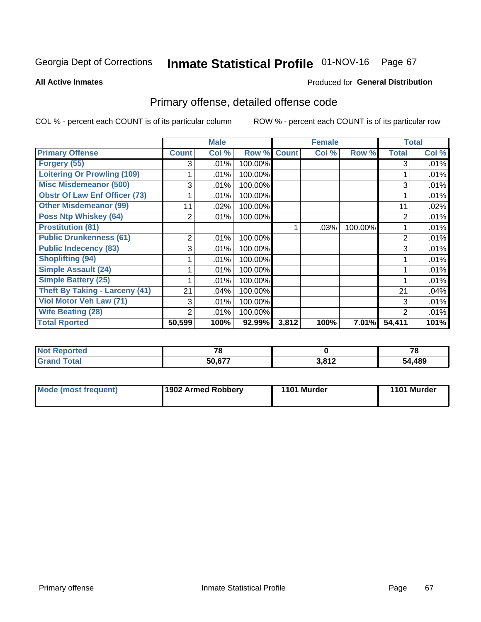# Inmate Statistical Profile 01-NOV-16 Page 67

**All Active Inmates** 

### **Produced for General Distribution**

## Primary offense, detailed offense code

COL % - percent each COUNT is of its particular column

|                                      |              | <b>Male</b> |         |              | <b>Female</b> |          |              | <b>Total</b> |
|--------------------------------------|--------------|-------------|---------|--------------|---------------|----------|--------------|--------------|
| <b>Primary Offense</b>               | <b>Count</b> | Col %       | Row %   | <b>Count</b> | Col %         | Row %    | <b>Total</b> | Col %        |
| Forgery (55)                         | 3            | .01%        | 100.00% |              |               |          | 3            | .01%         |
| <b>Loitering Or Prowling (109)</b>   |              | .01%        | 100.00% |              |               |          |              | .01%         |
| <b>Misc Misdemeanor (500)</b>        | 3            | .01%        | 100.00% |              |               |          | 3            | .01%         |
| <b>Obstr Of Law Enf Officer (73)</b> |              | .01%        | 100.00% |              |               |          |              | .01%         |
| <b>Other Misdemeanor (99)</b>        | 11           | .02%        | 100.00% |              |               |          | 11           | .02%         |
| <b>Poss Ntp Whiskey (64)</b>         | 2            | .01%        | 100.00% |              |               |          | 2            | .01%         |
| <b>Prostitution (81)</b>             |              |             |         |              | .03%          | 100.00%  |              | .01%         |
| <b>Public Drunkenness (61)</b>       | 2            | .01%        | 100.00% |              |               |          | 2            | .01%         |
| <b>Public Indecency (83)</b>         | 3            | .01%        | 100.00% |              |               |          | 3            | .01%         |
| <b>Shoplifting (94)</b>              |              | .01%        | 100.00% |              |               |          |              | .01%         |
| <b>Simple Assault (24)</b>           |              | .01%        | 100.00% |              |               |          |              | .01%         |
| <b>Simple Battery (25)</b>           |              | .01%        | 100.00% |              |               |          |              | .01%         |
| Theft By Taking - Larceny (41)       | 21           | .04%        | 100.00% |              |               |          | 21           | .04%         |
| Viol Motor Veh Law (71)              | 3            | .01%        | 100.00% |              |               |          | 3            | .01%         |
| <b>Wife Beating (28)</b>             | 2            | .01%        | 100.00% |              |               |          | 2            | .01%         |
| <b>Total Rported</b>                 | 50,599       | 100%        | 92.99%  | 3,812        | 100%          | $7.01\%$ | 54,411       | 101%         |

| нео | 70            |                            | $-$<br>1 O |
|-----|---------------|----------------------------|------------|
|     | <b>50.077</b> | <b>2.042</b><br>ა.ი<br>◝▮▴ | ,489       |

| Mode (most frequent) | 1902 Armed Robbery | 1101 Murder | 1101 Murder |
|----------------------|--------------------|-------------|-------------|
|                      |                    |             |             |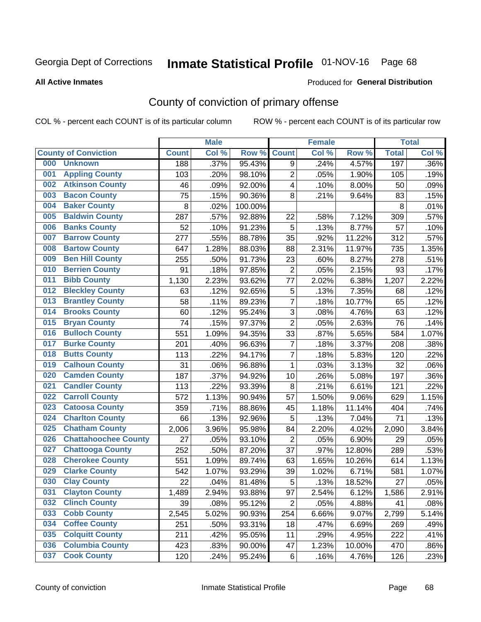## Inmate Statistical Profile 01-NOV-16 Page 68

#### **All Active Inmates**

### Produced for General Distribution

## County of conviction of primary offense

COL % - percent each COUNT is of its particular column

|     |                             |              | <b>Male</b> |         |                | <b>Female</b> |        |              | <b>Total</b> |
|-----|-----------------------------|--------------|-------------|---------|----------------|---------------|--------|--------------|--------------|
|     | <b>County of Conviction</b> | <b>Count</b> | Col %       | Row %   | <b>Count</b>   | Col %         | Row %  | <b>Total</b> | Col %        |
| 000 | <b>Unknown</b>              | 188          | .37%        | 95.43%  | 9              | .24%          | 4.57%  | 197          | .36%         |
| 001 | <b>Appling County</b>       | 103          | .20%        | 98.10%  | $\overline{c}$ | .05%          | 1.90%  | 105          | .19%         |
| 002 | <b>Atkinson County</b>      | 46           | .09%        | 92.00%  | 4              | .10%          | 8.00%  | 50           | .09%         |
| 003 | <b>Bacon County</b>         | 75           | .15%        | 90.36%  | 8              | .21%          | 9.64%  | 83           | .15%         |
| 004 | <b>Baker County</b>         | 8            | .02%        | 100.00% |                |               |        | 8            | .01%         |
| 005 | <b>Baldwin County</b>       | 287          | .57%        | 92.88%  | 22             | .58%          | 7.12%  | 309          | .57%         |
| 006 | <b>Banks County</b>         | 52           | .10%        | 91.23%  | 5              | .13%          | 8.77%  | 57           | .10%         |
| 007 | <b>Barrow County</b>        | 277          | .55%        | 88.78%  | 35             | .92%          | 11.22% | 312          | .57%         |
| 008 | <b>Bartow County</b>        | 647          | 1.28%       | 88.03%  | 88             | 2.31%         | 11.97% | 735          | 1.35%        |
| 009 | <b>Ben Hill County</b>      | 255          | .50%        | 91.73%  | 23             | .60%          | 8.27%  | 278          | .51%         |
| 010 | <b>Berrien County</b>       | 91           | .18%        | 97.85%  | $\mathbf 2$    | .05%          | 2.15%  | 93           | .17%         |
| 011 | <b>Bibb County</b>          | 1,130        | 2.23%       | 93.62%  | 77             | 2.02%         | 6.38%  | 1,207        | 2.22%        |
| 012 | <b>Bleckley County</b>      | 63           | .12%        | 92.65%  | $\sqrt{5}$     | .13%          | 7.35%  | 68           | .12%         |
| 013 | <b>Brantley County</b>      | 58           | .11%        | 89.23%  | $\overline{7}$ | .18%          | 10.77% | 65           | .12%         |
| 014 | <b>Brooks County</b>        | 60           | .12%        | 95.24%  | 3              | .08%          | 4.76%  | 63           | .12%         |
| 015 | <b>Bryan County</b>         | 74           | .15%        | 97.37%  | $\overline{2}$ | .05%          | 2.63%  | 76           | .14%         |
| 016 | <b>Bulloch County</b>       | 551          | 1.09%       | 94.35%  | 33             | .87%          | 5.65%  | 584          | 1.07%        |
| 017 | <b>Burke County</b>         | 201          | .40%        | 96.63%  | $\overline{7}$ | .18%          | 3.37%  | 208          | .38%         |
| 018 | <b>Butts County</b>         | 113          | .22%        | 94.17%  | $\overline{7}$ | .18%          | 5.83%  | 120          | .22%         |
| 019 | <b>Calhoun County</b>       | 31           | .06%        | 96.88%  | $\mathbf{1}$   | .03%          | 3.13%  | 32           | .06%         |
| 020 | <b>Camden County</b>        | 187          | .37%        | 94.92%  | 10             | .26%          | 5.08%  | 197          | .36%         |
| 021 | <b>Candler County</b>       | 113          | .22%        | 93.39%  | 8              | .21%          | 6.61%  | 121          | .22%         |
| 022 | <b>Carroll County</b>       | 572          | 1.13%       | 90.94%  | 57             | 1.50%         | 9.06%  | 629          | 1.15%        |
| 023 | <b>Catoosa County</b>       | 359          | .71%        | 88.86%  | 45             | 1.18%         | 11.14% | 404          | .74%         |
| 024 | <b>Charlton County</b>      | 66           | .13%        | 92.96%  | 5              | .13%          | 7.04%  | 71           | .13%         |
| 025 | <b>Chatham County</b>       | 2,006        | 3.96%       | 95.98%  | 84             | 2.20%         | 4.02%  | 2,090        | 3.84%        |
| 026 | <b>Chattahoochee County</b> | 27           | .05%        | 93.10%  | $\overline{2}$ | .05%          | 6.90%  | 29           | .05%         |
| 027 | <b>Chattooga County</b>     | 252          | .50%        | 87.20%  | 37             | .97%          | 12.80% | 289          | .53%         |
| 028 | <b>Cherokee County</b>      | 551          | 1.09%       | 89.74%  | 63             | 1.65%         | 10.26% | 614          | 1.13%        |
| 029 | <b>Clarke County</b>        | 542          | 1.07%       | 93.29%  | 39             | 1.02%         | 6.71%  | 581          | 1.07%        |
| 030 | <b>Clay County</b>          | 22           | .04%        | 81.48%  | 5              | .13%          | 18.52% | 27           | .05%         |
| 031 | <b>Clayton County</b>       | 1,489        | 2.94%       | 93.88%  | 97             | 2.54%         | 6.12%  | 1,586        | 2.91%        |
| 032 | <b>Clinch County</b>        | 39           | .08%        | 95.12%  | $\overline{2}$ | .05%          | 4.88%  | 41           | .08%         |
| 033 | <b>Cobb County</b>          | 2,545        | 5.02%       | 90.93%  | 254            | 6.66%         | 9.07%  | 2,799        | 5.14%        |
| 034 | <b>Coffee County</b>        | 251          | .50%        | 93.31%  | 18             | .47%          | 6.69%  | 269          | .49%         |
| 035 | <b>Colquitt County</b>      | 211          | .42%        | 95.05%  | 11             | .29%          | 4.95%  | 222          | .41%         |
| 036 | <b>Columbia County</b>      | 423          | .83%        | 90.00%  | 47             | 1.23%         | 10.00% | 470          | .86%         |
| 037 | <b>Cook County</b>          | 120          | .24%        | 95.24%  | 6              | .16%          | 4.76%  | 126          | .23%         |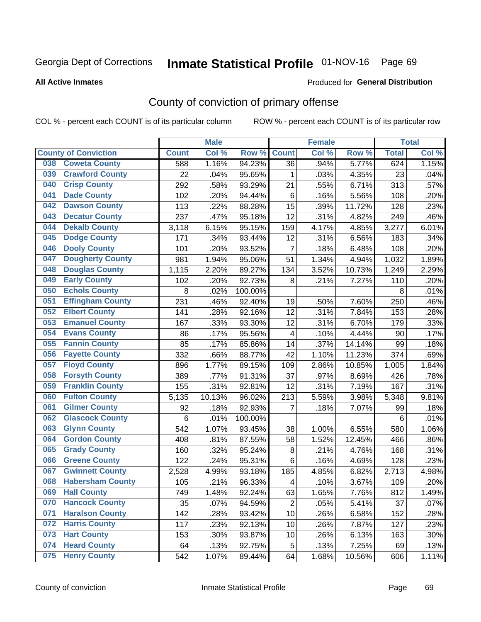## Inmate Statistical Profile 01-NOV-16 Page 69

#### **All Active Inmates**

### Produced for General Distribution

## County of conviction of primary offense

COL % - percent each COUNT is of its particular column

|                                |                         |              | <b>Male</b> |         |                | <b>Female</b> |        |              | <b>Total</b> |
|--------------------------------|-------------------------|--------------|-------------|---------|----------------|---------------|--------|--------------|--------------|
| <b>County of Conviction</b>    |                         | <b>Count</b> | Col %       | Row %   | <b>Count</b>   | Col %         | Row %  | <b>Total</b> | Col %        |
| <b>Coweta County</b><br>038    |                         | 588          | 1.16%       | 94.23%  | 36             | .94%          | 5.77%  | 624          | 1.15%        |
| <b>Crawford County</b><br>039  |                         | 22           | .04%        | 95.65%  | 1              | .03%          | 4.35%  | 23           | .04%         |
| <b>Crisp County</b><br>040     |                         | 292          | .58%        | 93.29%  | 21             | .55%          | 6.71%  | 313          | .57%         |
| <b>Dade County</b><br>041      |                         | 102          | .20%        | 94.44%  | 6              | .16%          | 5.56%  | 108          | .20%         |
| <b>Dawson County</b><br>042    |                         | 113          | .22%        | 88.28%  | 15             | .39%          | 11.72% | 128          | .23%         |
| 043<br><b>Decatur County</b>   |                         | 237          | .47%        | 95.18%  | 12             | .31%          | 4.82%  | 249          | .46%         |
| <b>Dekalb County</b><br>044    |                         | 3,118        | 6.15%       | 95.15%  | 159            | 4.17%         | 4.85%  | 3,277        | 6.01%        |
| <b>Dodge County</b><br>045     |                         | 171          | .34%        | 93.44%  | 12             | .31%          | 6.56%  | 183          | .34%         |
| <b>Dooly County</b><br>046     |                         | 101          | .20%        | 93.52%  | $\overline{7}$ | .18%          | 6.48%  | 108          | .20%         |
| <b>Dougherty County</b><br>047 |                         | 981          | 1.94%       | 95.06%  | 51             | 1.34%         | 4.94%  | 1,032        | 1.89%        |
| <b>Douglas County</b><br>048   |                         | 1,115        | 2.20%       | 89.27%  | 134            | 3.52%         | 10.73% | 1,249        | 2.29%        |
| <b>Early County</b><br>049     |                         | 102          | .20%        | 92.73%  | 8              | .21%          | 7.27%  | 110          | .20%         |
| <b>Echols County</b><br>050    |                         | 8            | .02%        | 100.00% |                |               |        | 8            | .01%         |
| 051<br><b>Effingham County</b> |                         | 231          | .46%        | 92.40%  | 19             | .50%          | 7.60%  | 250          | .46%         |
| <b>Elbert County</b><br>052    |                         | 141          | .28%        | 92.16%  | 12             | .31%          | 7.84%  | 153          | .28%         |
| <b>Emanuel County</b><br>053   |                         | 167          | .33%        | 93.30%  | 12             | .31%          | 6.70%  | 179          | .33%         |
| <b>Evans County</b><br>054     |                         | 86           | .17%        | 95.56%  | 4              | .10%          | 4.44%  | 90           | .17%         |
| <b>Fannin County</b><br>055    |                         | 85           | .17%        | 85.86%  | 14             | .37%          | 14.14% | 99           | .18%         |
| <b>Fayette County</b><br>056   |                         | 332          | .66%        | 88.77%  | 42             | 1.10%         | 11.23% | 374          | .69%         |
| <b>Floyd County</b><br>057     |                         | 896          | 1.77%       | 89.15%  | 109            | 2.86%         | 10.85% | 1,005        | 1.84%        |
| <b>Forsyth County</b><br>058   |                         | 389          | .77%        | 91.31%  | 37             | .97%          | 8.69%  | 426          | .78%         |
| <b>Franklin County</b><br>059  |                         | 155          | .31%        | 92.81%  | 12             | .31%          | 7.19%  | 167          | .31%         |
| <b>Fulton County</b><br>060    |                         | 5,135        | 10.13%      | 96.02%  | 213            | 5.59%         | 3.98%  | 5,348        | 9.81%        |
| <b>Gilmer County</b><br>061    |                         | 92           | .18%        | 92.93%  | 7              | .18%          | 7.07%  | 99           | .18%         |
| <b>Glascock County</b><br>062  |                         | 6            | .01%        | 100.00% |                |               |        | 6            | .01%         |
| 063<br><b>Glynn County</b>     |                         | 542          | 1.07%       | 93.45%  | 38             | 1.00%         | 6.55%  | 580          | 1.06%        |
| <b>Gordon County</b><br>064    |                         | 408          | .81%        | 87.55%  | 58             | 1.52%         | 12.45% | 466          | .86%         |
| <b>Grady County</b><br>065     |                         | 160          | .32%        | 95.24%  | 8              | .21%          | 4.76%  | 168          | .31%         |
| <b>Greene County</b><br>066    |                         | 122          | .24%        | 95.31%  | 6              | .16%          | 4.69%  | 128          | .23%         |
| <b>Gwinnett County</b><br>067  |                         | 2,528        | 4.99%       | 93.18%  | 185            | 4.85%         | 6.82%  | 2,713        | 4.98%        |
| 068                            | <b>Habersham County</b> | 105          | .21%        | 96.33%  | 4              | .10%          | 3.67%  | 109          | .20%         |
| 069<br><b>Hall County</b>      |                         | 749          | 1.48%       | 92.24%  | 63             | 1.65%         | 7.76%  | 812          | 1.49%        |
| <b>Hancock County</b><br>070   |                         | 35           | .07%        | 94.59%  | $\overline{2}$ | .05%          | 5.41%  | 37           | .07%         |
| <b>Haralson County</b><br>071  |                         | 142          | .28%        | 93.42%  | 10             | .26%          | 6.58%  | 152          | .28%         |
| 072<br><b>Harris County</b>    |                         | 117          | .23%        | 92.13%  | 10             | .26%          | 7.87%  | 127          | .23%         |
| <b>Hart County</b><br>073      |                         | 153          | .30%        | 93.87%  | 10             | .26%          | 6.13%  | 163          | .30%         |
| <b>Heard County</b><br>074     |                         | 64           | .13%        | 92.75%  | 5              | .13%          | 7.25%  | 69           | .13%         |
| <b>Henry County</b><br>075     |                         | 542          | 1.07%       | 89.44%  | 64             | 1.68%         | 10.56% | 606          | 1.11%        |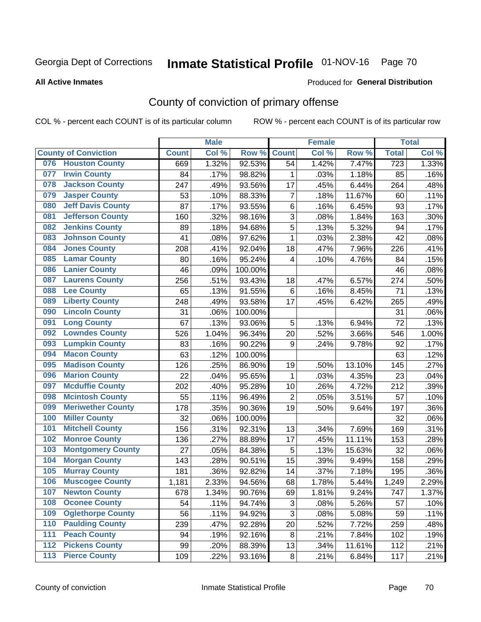## Inmate Statistical Profile 01-NOV-16 Page 70

#### **All Active Inmates**

### Produced for General Distribution

## County of conviction of primary offense

COL % - percent each COUNT is of its particular column

|       |                             |              | <b>Male</b> |         |                | <b>Female</b> |        |                  | <b>Total</b> |
|-------|-----------------------------|--------------|-------------|---------|----------------|---------------|--------|------------------|--------------|
|       | <b>County of Conviction</b> | <b>Count</b> | Col %       | Row %   | <b>Count</b>   | Col %         | Row %  | <b>Total</b>     | Col %        |
| 076   | <b>Houston County</b>       | 669          | 1.32%       | 92.53%  | 54             | 1.42%         | 7.47%  | $\overline{723}$ | 1.33%        |
| 077   | <b>Irwin County</b>         | 84           | .17%        | 98.82%  | 1              | .03%          | 1.18%  | 85               | .16%         |
| 078   | <b>Jackson County</b>       | 247          | .49%        | 93.56%  | 17             | .45%          | 6.44%  | 264              | .48%         |
| 079   | <b>Jasper County</b>        | 53           | .10%        | 88.33%  | $\overline{7}$ | .18%          | 11.67% | 60               | .11%         |
| 080   | <b>Jeff Davis County</b>    | 87           | .17%        | 93.55%  | 6              | .16%          | 6.45%  | 93               | .17%         |
| 081   | <b>Jefferson County</b>     | 160          | .32%        | 98.16%  | 3              | .08%          | 1.84%  | 163              | .30%         |
| 082   | <b>Jenkins County</b>       | 89           | .18%        | 94.68%  | 5              | .13%          | 5.32%  | 94               | .17%         |
| 083   | <b>Johnson County</b>       | 41           | .08%        | 97.62%  | $\mathbf 1$    | .03%          | 2.38%  | 42               | .08%         |
| 084   | <b>Jones County</b>         | 208          | .41%        | 92.04%  | 18             | .47%          | 7.96%  | 226              | .41%         |
| 085   | <b>Lamar County</b>         | 80           | .16%        | 95.24%  | 4              | .10%          | 4.76%  | 84               | .15%         |
| 086   | <b>Lanier County</b>        | 46           | .09%        | 100.00% |                |               |        | 46               | .08%         |
| 087   | <b>Laurens County</b>       | 256          | .51%        | 93.43%  | 18             | .47%          | 6.57%  | 274              | .50%         |
| 088   | <b>Lee County</b>           | 65           | .13%        | 91.55%  | 6              | .16%          | 8.45%  | 71               | .13%         |
| 089   | <b>Liberty County</b>       | 248          | .49%        | 93.58%  | 17             | .45%          | 6.42%  | 265              | .49%         |
| 090   | <b>Lincoln County</b>       | 31           | .06%        | 100.00% |                |               |        | 31               | .06%         |
| 091   | <b>Long County</b>          | 67           | .13%        | 93.06%  | 5              | .13%          | 6.94%  | 72               | .13%         |
| 092   | <b>Lowndes County</b>       | 526          | 1.04%       | 96.34%  | 20             | .52%          | 3.66%  | 546              | 1.00%        |
| 093   | <b>Lumpkin County</b>       | 83           | .16%        | 90.22%  | 9              | .24%          | 9.78%  | 92               | .17%         |
| 094   | <b>Macon County</b>         | 63           | .12%        | 100.00% |                |               |        | 63               | .12%         |
| 095   | <b>Madison County</b>       | 126          | .25%        | 86.90%  | 19             | .50%          | 13.10% | 145              | .27%         |
| 096   | <b>Marion County</b>        | 22           | .04%        | 95.65%  | $\mathbf{1}$   | .03%          | 4.35%  | 23               | .04%         |
| 097   | <b>Mcduffie County</b>      | 202          | .40%        | 95.28%  | 10             | .26%          | 4.72%  | 212              | .39%         |
| 098   | <b>Mcintosh County</b>      | 55           | .11%        | 96.49%  | $\overline{2}$ | .05%          | 3.51%  | 57               | .10%         |
| 099   | <b>Meriwether County</b>    | 178          | .35%        | 90.36%  | 19             | .50%          | 9.64%  | 197              | .36%         |
| 100   | <b>Miller County</b>        | 32           | .06%        | 100.00% |                |               |        | 32               | .06%         |
| 101   | <b>Mitchell County</b>      | 156          | .31%        | 92.31%  | 13             | .34%          | 7.69%  | 169              | .31%         |
| 102   | <b>Monroe County</b>        | 136          | .27%        | 88.89%  | 17             | .45%          | 11.11% | 153              | .28%         |
| 103   | <b>Montgomery County</b>    | 27           | .05%        | 84.38%  | 5              | .13%          | 15.63% | 32               | .06%         |
| 104   | <b>Morgan County</b>        | 143          | .28%        | 90.51%  | 15             | .39%          | 9.49%  | 158              | .29%         |
| 105   | <b>Murray County</b>        | 181          | .36%        | 92.82%  | 14             | .37%          | 7.18%  | 195              | .36%         |
| 106   | <b>Muscogee County</b>      | 1,181        | 2.33%       | 94.56%  | 68             | 1.78%         | 5.44%  | 1,249            | 2.29%        |
| 107   | <b>Newton County</b>        | 678          | 1.34%       | 90.76%  | 69             | 1.81%         | 9.24%  | 747              | 1.37%        |
| 108   | <b>Oconee County</b>        | 54           | .11%        | 94.74%  | 3              | .08%          | 5.26%  | 57               | .10%         |
| 109   | <b>Oglethorpe County</b>    | 56           | .11%        | 94.92%  | 3              | .08%          | 5.08%  | 59               | .11%         |
| 110   | <b>Paulding County</b>      | 239          | .47%        | 92.28%  | 20             | .52%          | 7.72%  | 259              | .48%         |
| 111   | <b>Peach County</b>         | 94           | .19%        | 92.16%  | 8              | .21%          | 7.84%  | 102              | .19%         |
| 112   | <b>Pickens County</b>       | 99           | .20%        | 88.39%  | 13             | .34%          | 11.61% | 112              | .21%         |
| $113$ | <b>Pierce County</b>        | 109          | .22%        | 93.16%  | 8              | .21%          | 6.84%  | 117              | .21%         |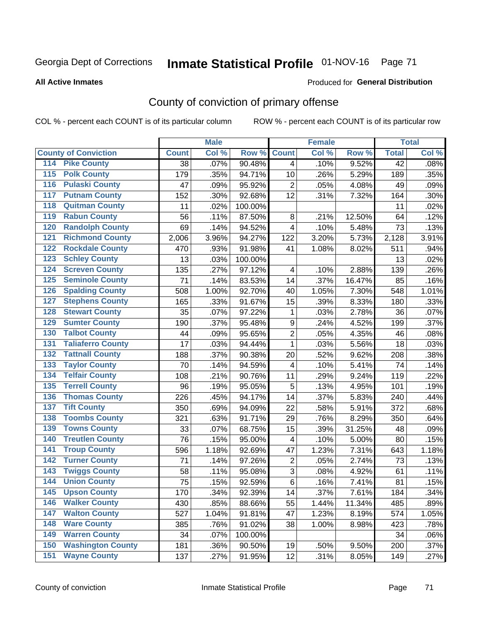# Inmate Statistical Profile 01-NOV-16 Page 71

### **All Active Inmates**

### **Produced for General Distribution**

### County of conviction of primary offense

COL % - percent each COUNT is of its particular column

|                                          |              | <b>Male</b> |         |                | <b>Female</b> |        |                 | <b>Total</b> |
|------------------------------------------|--------------|-------------|---------|----------------|---------------|--------|-----------------|--------------|
| <b>County of Conviction</b>              | <b>Count</b> | Col %       | Row %   | <b>Count</b>   | Col %         | Row %  | <b>Total</b>    | Col %        |
| <b>Pike County</b><br>114                | 38           | .07%        | 90.48%  | $\overline{4}$ | .10%          | 9.52%  | $\overline{42}$ | .08%         |
| <b>Polk County</b><br>$\overline{115}$   | 179          | .35%        | 94.71%  | 10             | .26%          | 5.29%  | 189             | .35%         |
| <b>Pulaski County</b><br>116             | 47           | .09%        | 95.92%  | $\overline{2}$ | .05%          | 4.08%  | 49              | .09%         |
| <b>Putnam County</b><br>117              | 152          | .30%        | 92.68%  | 12             | .31%          | 7.32%  | 164             | .30%         |
| <b>Quitman County</b><br>118             | 11           | .02%        | 100.00% |                |               |        | 11              | .02%         |
| <b>Rabun County</b><br>119               | 56           | .11%        | 87.50%  | 8              | .21%          | 12.50% | 64              | .12%         |
| <b>Randolph County</b><br>120            | 69           | .14%        | 94.52%  | 4              | .10%          | 5.48%  | 73              | .13%         |
| <b>Richmond County</b><br>121            | 2,006        | 3.96%       | 94.27%  | 122            | 3.20%         | 5.73%  | 2,128           | 3.91%        |
| <b>Rockdale County</b><br>122            | 470          | .93%        | 91.98%  | 41             | 1.08%         | 8.02%  | 511             | .94%         |
| <b>Schley County</b><br>123              | 13           | .03%        | 100.00% |                |               |        | 13              | .02%         |
| <b>Screven County</b><br>124             | 135          | .27%        | 97.12%  | 4              | .10%          | 2.88%  | 139             | .26%         |
| <b>Seminole County</b><br>125            | 71           | .14%        | 83.53%  | 14             | .37%          | 16.47% | 85              | .16%         |
| <b>Spalding County</b><br>126            | 508          | 1.00%       | 92.70%  | 40             | 1.05%         | 7.30%  | 548             | 1.01%        |
| <b>Stephens County</b><br>127            | 165          | .33%        | 91.67%  | 15             | .39%          | 8.33%  | 180             | .33%         |
| <b>Stewart County</b><br>128             | 35           | .07%        | 97.22%  | 1              | .03%          | 2.78%  | 36              | .07%         |
| <b>Sumter County</b><br>129              | 190          | .37%        | 95.48%  | 9              | .24%          | 4.52%  | 199             | .37%         |
| <b>Talbot County</b><br>130              | 44           | .09%        | 95.65%  | $\overline{2}$ | .05%          | 4.35%  | 46              | .08%         |
| <b>Taliaferro County</b><br>131          | 17           | .03%        | 94.44%  | 1              | .03%          | 5.56%  | 18              | .03%         |
| <b>Tattnall County</b><br>132            | 188          | .37%        | 90.38%  | 20             | .52%          | 9.62%  | 208             | .38%         |
| <b>Taylor County</b><br>133              | 70           | .14%        | 94.59%  | 4              | .10%          | 5.41%  | 74              | .14%         |
| <b>Telfair County</b><br>134             | 108          | .21%        | 90.76%  | 11             | .29%          | 9.24%  | 119             | .22%         |
| <b>Terrell County</b><br>135             | 96           | .19%        | 95.05%  | 5              | .13%          | 4.95%  | 101             | .19%         |
| <b>Thomas County</b><br>136              | 226          | .45%        | 94.17%  | 14             | .37%          | 5.83%  | 240             | .44%         |
| <b>Tift County</b><br>137                | 350          | .69%        | 94.09%  | 22             | .58%          | 5.91%  | 372             | .68%         |
| <b>Toombs County</b><br>138              | 321          | .63%        | 91.71%  | 29             | .76%          | 8.29%  | 350             | .64%         |
| <b>Towns County</b><br>139               | 33           | .07%        | 68.75%  | 15             | .39%          | 31.25% | 48              | .09%         |
| <b>Treutlen County</b><br>140            | 76           | .15%        | 95.00%  | 4              | .10%          | 5.00%  | 80              | .15%         |
| <b>Troup County</b><br>141               | 596          | 1.18%       | 92.69%  | 47             | 1.23%         | 7.31%  | 643             | 1.18%        |
| <b>Turner County</b><br>142              | 71           | .14%        | 97.26%  | $\overline{2}$ | .05%          | 2.74%  | 73              | .13%         |
| <b>Twiggs County</b><br>$\overline{143}$ | 58           | .11%        | 95.08%  | $\overline{3}$ | .08%          | 4.92%  | 61              | .11%         |
| <b>Union County</b><br>144               | 75           | .15%        | 92.59%  | 6              | .16%          | 7.41%  | 81              | .15%         |
| 145<br><b>Upson County</b>               | 170          | .34%        | 92.39%  | 14             | .37%          | 7.61%  | 184             | .34%         |
| <b>Walker County</b><br>146              | 430          | .85%        | 88.66%  | 55             | 1.44%         | 11.34% | 485             | .89%         |
| $\overline{147}$<br><b>Walton County</b> | 527          | 1.04%       | 91.81%  | 47             | 1.23%         | 8.19%  | 574             | 1.05%        |
| <b>Ware County</b><br>148                | 385          | .76%        | 91.02%  | 38             | 1.00%         | 8.98%  | 423             | .78%         |
| <b>Warren County</b><br>149              | 34           | .07%        | 100.00% |                |               |        | 34              | .06%         |
| <b>Washington County</b><br>150          | 181          | .36%        | 90.50%  | 19             | .50%          | 9.50%  | 200             | .37%         |
| <b>Wayne County</b><br>151               | 137          | .27%        | 91.95%  | 12             | .31%          | 8.05%  | 149             | .27%         |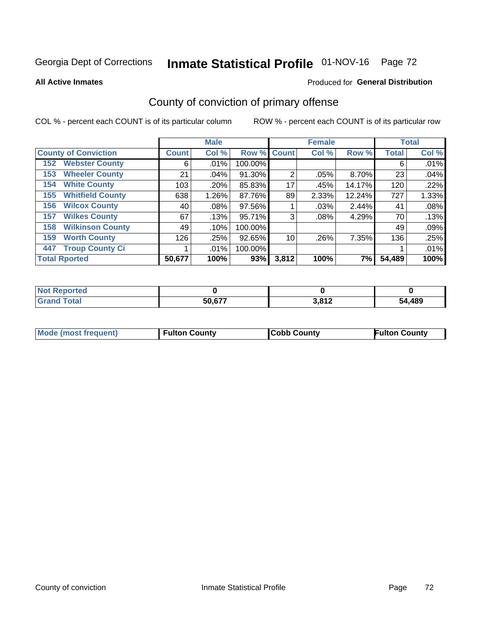# Inmate Statistical Profile 01-NOV-16 Page 72

**All Active Inmates** 

### Produced for General Distribution

## County of conviction of primary offense

COL % - percent each COUNT is of its particular column

|                                |              | <b>Male</b> |             |                | <b>Female</b> |        |              | <b>Total</b> |
|--------------------------------|--------------|-------------|-------------|----------------|---------------|--------|--------------|--------------|
| <b>County of Conviction</b>    | <b>Count</b> | Col %       | Row % Count |                | Col %         | Row %  | <b>Total</b> | Col %        |
| <b>Webster County</b><br>152   | 6            | .01%        | 100.00%     |                |               |        | 6            | .01%         |
| <b>Wheeler County</b><br>153   | 21           | .04%        | 91.30%      | $\overline{2}$ | .05%          | 8.70%  | 23           | .04%         |
| <b>White County</b><br>154     | 103          | .20%        | 85.83%      | 17             | .45%          | 14.17% | 120          | .22%         |
| <b>Whitfield County</b><br>155 | 638          | 1.26%       | 87.76%      | 89             | 2.33%         | 12.24% | 727          | 1.33%        |
| <b>Wilcox County</b><br>156    | 40           | $.08\%$     | 97.56%      |                | .03%          | 2.44%  | 41           | .08%         |
| <b>Wilkes County</b><br>157    | 67           | .13%        | 95.71%      | 3              | $.08\%$       | 4.29%  | 70           | .13%         |
| <b>Wilkinson County</b><br>158 | 49           | $.10\%$     | 100.00%     |                |               |        | 49           | .09%         |
| <b>Worth County</b><br>159     | 126          | .25%        | 92.65%      | 10             | .26%          | 7.35%  | 136          | .25%         |
| <b>Troup County Ci</b><br>447  |              | $.01\%$     | 100.00%     |                |               |        |              | .01%         |
| <b>Total Rported</b>           | 50,677       | 100%        | 93%         | 3,812          | 100%          | 7%     | 54,489       | 100%         |

| <b>Not Reported</b> |        |                        |        |
|---------------------|--------|------------------------|--------|
| <b>Grand Total</b>  | 50,677 | <b>2012</b><br>J.O I Z | 54,489 |

|  | <b>Mode (most frequent)</b> | <b>Fulton County</b> | <b>Cobb County</b> | <b>Fulton County</b> |
|--|-----------------------------|----------------------|--------------------|----------------------|
|--|-----------------------------|----------------------|--------------------|----------------------|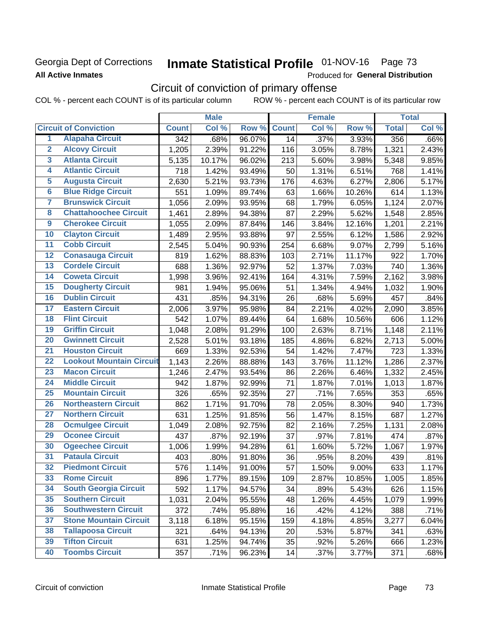### Georgia Dept of Corrections **All Active Inmates**

# Inmate Statistical Profile 01-NOV-16 Page 73

Produced for General Distribution

## Circuit of conviction of primary offense

COL % - percent each COUNT is of its particular column ROW % - percent each COUNT is of its particular row

|                         |                                 |                  | <b>Male</b> |        |              | <b>Female</b> |          |              | <b>Total</b> |
|-------------------------|---------------------------------|------------------|-------------|--------|--------------|---------------|----------|--------------|--------------|
|                         | <b>Circuit of Conviction</b>    | <b>Count</b>     | Col %       | Row %  | <b>Count</b> | Col %         | Row %    | <b>Total</b> | Col %        |
| 1                       | <b>Alapaha Circuit</b>          | $\overline{342}$ | .68%        | 96.07% | 14           | .37%          | 3.93%    | 356          | .66%         |
| $\overline{2}$          | <b>Alcovy Circuit</b>           | 1,205            | 2.39%       | 91.22% | 116          | 3.05%         | 8.78%    | 1,321        | 2.43%        |
| $\overline{\mathbf{3}}$ | <b>Atlanta Circuit</b>          | 5,135            | 10.17%      | 96.02% | 213          | 5.60%         | 3.98%    | 5,348        | 9.85%        |
| 4                       | <b>Atlantic Circuit</b>         | 718              | 1.42%       | 93.49% | 50           | 1.31%         | 6.51%    | 768          | 1.41%        |
| $\overline{5}$          | <b>Augusta Circuit</b>          | 2,630            | 5.21%       | 93.73% | 176          | 4.63%         | 6.27%    | 2,806        | 5.17%        |
| $\overline{\bf{6}}$     | <b>Blue Ridge Circuit</b>       | 551              | 1.09%       | 89.74% | 63           | 1.66%         | 10.26%   | 614          | 1.13%        |
| 7                       | <b>Brunswick Circuit</b>        | 1,056            | 2.09%       | 93.95% | 68           | 1.79%         | 6.05%    | 1,124        | 2.07%        |
| $\overline{\mathbf{8}}$ | <b>Chattahoochee Circuit</b>    | 1,461            | 2.89%       | 94.38% | 87           | 2.29%         | 5.62%    | 1,548        | 2.85%        |
| $\overline{9}$          | <b>Cherokee Circuit</b>         | 1,055            | 2.09%       | 87.84% | 146          | 3.84%         | 12.16%   | 1,201        | 2.21%        |
| 10                      | <b>Clayton Circuit</b>          | 1,489            | 2.95%       | 93.88% | 97           | 2.55%         | 6.12%    | 1,586        | 2.92%        |
| $\overline{11}$         | <b>Cobb Circuit</b>             | 2,545            | 5.04%       | 90.93% | 254          | 6.68%         | 9.07%    | 2,799        | 5.16%        |
| $\overline{12}$         | <b>Conasauga Circuit</b>        | 819              | 1.62%       | 88.83% | 103          | 2.71%         | 11.17%   | 922          | 1.70%        |
| 13                      | <b>Cordele Circuit</b>          | 688              | 1.36%       | 92.97% | 52           | 1.37%         | 7.03%    | 740          | 1.36%        |
| $\overline{14}$         | <b>Coweta Circuit</b>           | 1,998            | 3.96%       | 92.41% | 164          | 4.31%         | 7.59%    | 2,162        | 3.98%        |
| 15                      | <b>Dougherty Circuit</b>        | 981              | 1.94%       | 95.06% | 51           | 1.34%         | 4.94%    | 1,032        | 1.90%        |
| 16                      | <b>Dublin Circuit</b>           | 431              | .85%        | 94.31% | 26           | .68%          | 5.69%    | 457          | .84%         |
| 17                      | <b>Eastern Circuit</b>          | 2,006            | 3.97%       | 95.98% | 84           | 2.21%         | 4.02%    | 2,090        | 3.85%        |
| $\overline{18}$         | <b>Flint Circuit</b>            | 542              | 1.07%       | 89.44% | 64           | 1.68%         | 10.56%   | 606          | 1.12%        |
| 19                      | <b>Griffin Circuit</b>          | 1,048            | 2.08%       | 91.29% | 100          | 2.63%         | 8.71%    | 1,148        | 2.11%        |
| 20                      | <b>Gwinnett Circuit</b>         | 2,528            | 5.01%       | 93.18% | 185          | 4.86%         | 6.82%    | 2,713        | 5.00%        |
| $\overline{21}$         | <b>Houston Circuit</b>          | 669              | 1.33%       | 92.53% | 54           | 1.42%         | 7.47%    | 723          | 1.33%        |
| $\overline{22}$         | <b>Lookout Mountain Circuit</b> | 1,143            | 2.26%       | 88.88% | 143          | 3.76%         | 11.12%   | 1,286        | 2.37%        |
| 23                      | <b>Macon Circuit</b>            | 1,246            | 2.47%       | 93.54% | 86           | 2.26%         | 6.46%    | 1,332        | 2.45%        |
| $\overline{24}$         | <b>Middle Circuit</b>           | 942              | 1.87%       | 92.99% | 71           | 1.87%         | 7.01%    | 1,013        | 1.87%        |
| $\overline{25}$         | <b>Mountain Circuit</b>         | 326              | .65%        | 92.35% | 27           | .71%          | 7.65%    | 353          | .65%         |
| 26                      | <b>Northeastern Circuit</b>     | 862              | 1.71%       | 91.70% | 78           | 2.05%         | 8.30%    | 940          | 1.73%        |
| $\overline{27}$         | <b>Northern Circuit</b>         | 631              | 1.25%       | 91.85% | 56           | 1.47%         | 8.15%    | 687          | 1.27%        |
| 28                      | <b>Ocmulgee Circuit</b>         | 1,049            | 2.08%       | 92.75% | 82           | 2.16%         | 7.25%    | 1,131        | 2.08%        |
| 29                      | <b>Oconee Circuit</b>           | 437              | .87%        | 92.19% | 37           | .97%          | 7.81%    | 474          | .87%         |
| 30                      | <b>Ogeechee Circuit</b>         | 1,006            | 1.99%       | 94.28% | 61           | 1.60%         | 5.72%    | 1,067        | 1.97%        |
| $\overline{31}$         | <b>Pataula Circuit</b>          | 403              | .80%        | 91.80% | 36           | .95%          | 8.20%    | 439          | .81%         |
| 32                      | <b>Piedmont Circuit</b>         | 576              | 1.14%       | 91.00% | 57           | 1.50%         | $9.00\%$ | 633          | 1.17%        |
| 33                      | <b>Rome Circuit</b>             | 896              | 1.77%       | 89.15% | 109          | 2.87%         | 10.85%   | 1,005        | 1.85%        |
| 34                      | <b>South Georgia Circuit</b>    | 592              | 1.17%       | 94.57% | 34           | .89%          | 5.43%    | 626          | 1.15%        |
| 35                      | <b>Southern Circuit</b>         | 1,031            | 2.04%       | 95.55% | 48           | 1.26%         | 4.45%    | 1,079        | 1.99%        |
| 36                      | <b>Southwestern Circuit</b>     | 372              | .74%        | 95.88% | 16           | .42%          | 4.12%    | 388          | .71%         |
| 37                      | <b>Stone Mountain Circuit</b>   | 3,118            | 6.18%       | 95.15% | 159          | 4.18%         | 4.85%    | 3,277        | 6.04%        |
| 38                      | <b>Tallapoosa Circuit</b>       | 321              | .64%        | 94.13% | 20           | .53%          | 5.87%    | 341          | .63%         |
| 39                      | <b>Tifton Circuit</b>           | 631              | 1.25%       | 94.74% | 35           | .92%          | 5.26%    | 666          | 1.23%        |
| 40                      | <b>Toombs Circuit</b>           | 357              | .71%        | 96.23% | 14           | .37%          | 3.77%    | 371          | .68%         |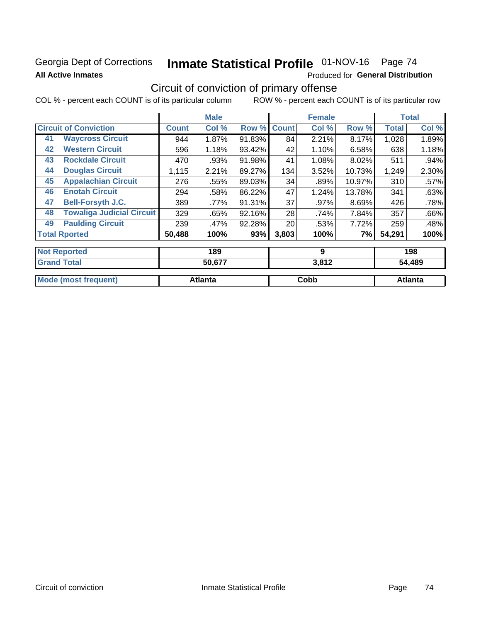## Georgia Dept of Corrections **All Active Inmates**

# Inmate Statistical Profile 01-NOV-16 Page 74

Produced for General Distribution

## Circuit of conviction of primary offense

COL % - percent each COUNT is of its particular column ROW % - percent each COUNT is of its particular row

|                                        |              | <b>Male</b> |        |              | <b>Female</b> |        |              | <b>Total</b> |
|----------------------------------------|--------------|-------------|--------|--------------|---------------|--------|--------------|--------------|
| <b>Circuit of Conviction</b>           | <b>Count</b> | Col %       | Row %  | <b>Count</b> | Col %         | Row %  | <b>Total</b> | Col %        |
| <b>Waycross Circuit</b><br>41          | 944          | 1.87%       | 91.83% | 84           | 2.21%         | 8.17%  | 1,028        | 1.89%        |
| <b>Western Circuit</b><br>42           | 596          | 1.18%       | 93.42% | 42           | 1.10%         | 6.58%  | 638          | 1.18%        |
| <b>Rockdale Circuit</b><br>43          | 470          | .93%        | 91.98% | 41           | 1.08%         | 8.02%  | 511          | $.94\%$      |
| <b>Douglas Circuit</b><br>44           | 1,115        | 2.21%       | 89.27% | 134          | 3.52%         | 10.73% | 1,249        | 2.30%        |
| <b>Appalachian Circuit</b><br>45       | 276          | .55%        | 89.03% | 34           | .89%          | 10.97% | 310          | .57%         |
| <b>Enotah Circuit</b><br>46            | 294          | .58%        | 86.22% | 47           | 1.24%         | 13.78% | 341          | .63%         |
| <b>Bell-Forsyth J.C.</b><br>47         | 389          | .77%        | 91.31% | 37           | .97%          | 8.69%  | 426          | .78%         |
| <b>Towaliga Judicial Circuit</b><br>48 | 329          | .65%        | 92.16% | 28           | .74%          | 7.84%  | 357          | .66%         |
| <b>Paulding Circuit</b><br>49          | 239          | .47%        | 92.28% | 20           | .53%          | 7.72%  | 259          | .48%         |
| <b>Total Rported</b>                   | 50,488       | 100%        | 93%    | 3,803        | 100%          | 7%     | 54,291       | 100%         |
| <b>Not Reported</b>                    |              | 189         |        |              | 9             |        |              | 198          |
| Cronal Total                           |              | EN C77      |        |              | 0.012         |        |              | EA AON       |

| ⊪Granr<br>Total             | 50,677         | . טיי<br>J.012 | 54,489  |
|-----------------------------|----------------|----------------|---------|
| <b>Mode (most frequent)</b> | <b>Atlanta</b> | Cobb           | Atlanta |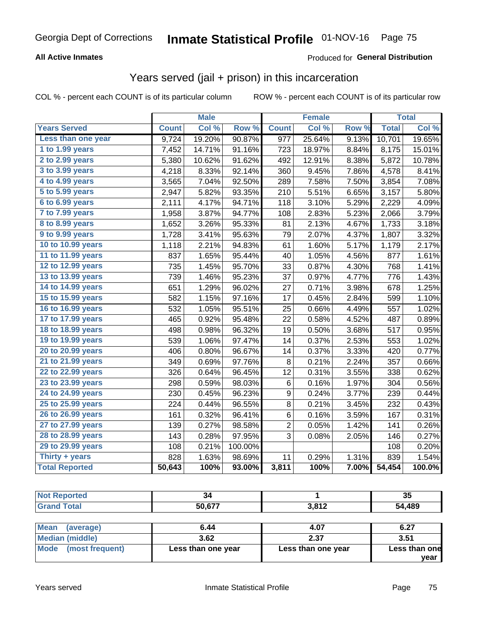### **All Active Inmates**

### Produced for **General Distribution**

## Years served (jail + prison) in this incarceration

|                       |              | <b>Male</b> |         |                  | <b>Female</b> |       |              | <b>Total</b> |
|-----------------------|--------------|-------------|---------|------------------|---------------|-------|--------------|--------------|
| <b>Years Served</b>   | <b>Count</b> | Col %       | Row %   | <b>Count</b>     | Col %         | Row % | <b>Total</b> | Col %        |
| Less than one year    | 9,724        | 19.20%      | 90.87%  | $\overline{977}$ | 25.64%        | 9.13% | 10,701       | 19.65%       |
| 1 to 1.99 years       | 7,452        | 14.71%      | 91.16%  | 723              | 18.97%        | 8.84% | 8,175        | 15.01%       |
| 2 to 2.99 years       | 5,380        | 10.62%      | 91.62%  | 492              | 12.91%        | 8.38% | 5,872        | 10.78%       |
| 3 to 3.99 years       | 4,218        | 8.33%       | 92.14%  | 360              | 9.45%         | 7.86% | 4,578        | 8.41%        |
| 4 to 4.99 years       | 3,565        | 7.04%       | 92.50%  | 289              | 7.58%         | 7.50% | 3,854        | 7.08%        |
| 5 to 5.99 years       | 2,947        | 5.82%       | 93.35%  | 210              | 5.51%         | 6.65% | 3,157        | 5.80%        |
| 6 to 6.99 years       | 2,111        | 4.17%       | 94.71%  | 118              | 3.10%         | 5.29% | 2,229        | 4.09%        |
| 7 to 7.99 years       | 1,958        | 3.87%       | 94.77%  | 108              | 2.83%         | 5.23% | 2,066        | 3.79%        |
| 8 to 8.99 years       | 1,652        | 3.26%       | 95.33%  | 81               | 2.13%         | 4.67% | 1,733        | 3.18%        |
| 9 to 9.99 years       | 1,728        | 3.41%       | 95.63%  | 79               | 2.07%         | 4.37% | 1,807        | 3.32%        |
| 10 to 10.99 years     | 1,118        | 2.21%       | 94.83%  | 61               | 1.60%         | 5.17% | 1,179        | 2.17%        |
| 11 to 11.99 years     | 837          | 1.65%       | 95.44%  | 40               | 1.05%         | 4.56% | 877          | 1.61%        |
| 12 to 12.99 years     | 735          | 1.45%       | 95.70%  | 33               | 0.87%         | 4.30% | 768          | 1.41%        |
| 13 to 13.99 years     | 739          | 1.46%       | 95.23%  | 37               | 0.97%         | 4.77% | 776          | 1.43%        |
| 14 to 14.99 years     | 651          | 1.29%       | 96.02%  | 27               | 0.71%         | 3.98% | 678          | 1.25%        |
| 15 to 15.99 years     | 582          | 1.15%       | 97.16%  | 17               | 0.45%         | 2.84% | 599          | 1.10%        |
| 16 to 16.99 years     | 532          | 1.05%       | 95.51%  | 25               | 0.66%         | 4.49% | 557          | 1.02%        |
| 17 to 17.99 years     | 465          | 0.92%       | 95.48%  | 22               | 0.58%         | 4.52% | 487          | 0.89%        |
| 18 to 18.99 years     | 498          | 0.98%       | 96.32%  | 19               | 0.50%         | 3.68% | 517          | 0.95%        |
| 19 to 19.99 years     | 539          | 1.06%       | 97.47%  | 14               | 0.37%         | 2.53% | 553          | 1.02%        |
| 20 to 20.99 years     | 406          | 0.80%       | 96.67%  | 14               | 0.37%         | 3.33% | 420          | 0.77%        |
| 21 to 21.99 years     | 349          | 0.69%       | 97.76%  | 8                | 0.21%         | 2.24% | 357          | 0.66%        |
| 22 to 22.99 years     | 326          | 0.64%       | 96.45%  | 12               | 0.31%         | 3.55% | 338          | 0.62%        |
| 23 to 23.99 years     | 298          | 0.59%       | 98.03%  | 6                | 0.16%         | 1.97% | 304          | 0.56%        |
| 24 to 24.99 years     | 230          | 0.45%       | 96.23%  | 9                | 0.24%         | 3.77% | 239          | 0.44%        |
| 25 to 25.99 years     | 224          | 0.44%       | 96.55%  | 8                | 0.21%         | 3.45% | 232          | 0.43%        |
| 26 to 26.99 years     | 161          | 0.32%       | 96.41%  | 6                | 0.16%         | 3.59% | 167          | 0.31%        |
| 27 to 27.99 years     | 139          | 0.27%       | 98.58%  | $\overline{c}$   | 0.05%         | 1.42% | 141          | 0.26%        |
| 28 to 28.99 years     | 143          | 0.28%       | 97.95%  | 3                | 0.08%         | 2.05% | 146          | 0.27%        |
| 29 to 29.99 years     | 108          | 0.21%       | 100.00% |                  |               |       | 108          | 0.20%        |
| Thirty + years        | 828          | 1.63%       | 98.69%  | 11               | 0.29%         | 1.31% | 839          | 1.54%        |
| <b>Total Reported</b> | 50,643       | 100%        | 93.00%  | 3,811            | 100%          | 7.00% | 54,454       | 100.0%       |

| -94        |                        | 35                 |
|------------|------------------------|--------------------|
| $E0$ $E77$ | 04 <sup>c</sup><br>ॱ▗▃ | 490<br>- 14<br>403 |

| ∣Mean<br>(average)   | 6.44               | 4.07               | 6.27          |
|----------------------|--------------------|--------------------|---------------|
| Median (middle)      | 3.62               | 2.37               | 3.51          |
| Mode (most frequent) | Less than one year | Less than one year | Less than one |
|                      |                    |                    | vear          |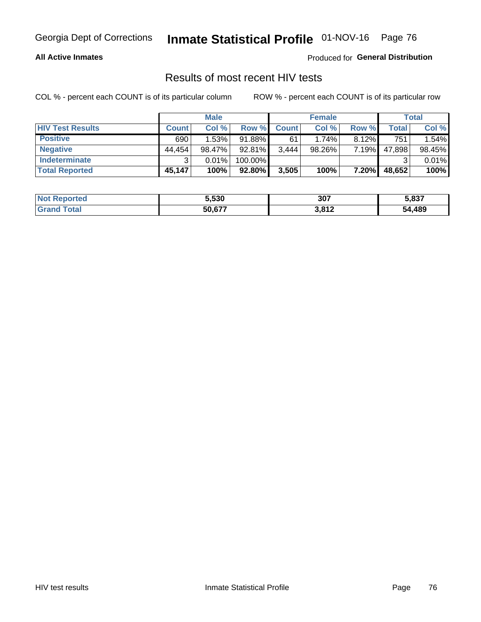### **All Active Inmates**

Produced for **General Distribution**

## Results of most recent HIV tests

|                         |              | <b>Male</b> |           |              | <b>Female</b> |          |        | Total  |
|-------------------------|--------------|-------------|-----------|--------------|---------------|----------|--------|--------|
| <b>HIV Test Results</b> | <b>Count</b> | Col %       | Row %I    | <b>Count</b> | Col %         | Row %    | Total  | Col %  |
| <b>Positive</b>         | 690          | 1.53%       | 91.88%    | 61           | 1.74%         | $8.12\%$ | 751    | 1.54%  |
| <b>Negative</b>         | 44.454       | 98.47%      | 92.81%    | 3,444        | 98.26%        | 7.19%    | 47,898 | 98.45% |
| Indeterminate           | ົ            | 0.01%       | 100.00%   |              |               |          |        | 0.01%  |
| <b>Total Reported</b>   | 45,147       | 100%        | $92.80\%$ | 3,505        | 100%          | 7.20%    | 48,652 | 100%   |

| <b>Not Reported</b> | 5,530  | 307               | 5,837      |
|---------------------|--------|-------------------|------------|
| ⊺otal               | 50,677 | 2017<br>- J,O I 4 | ,489<br>54 |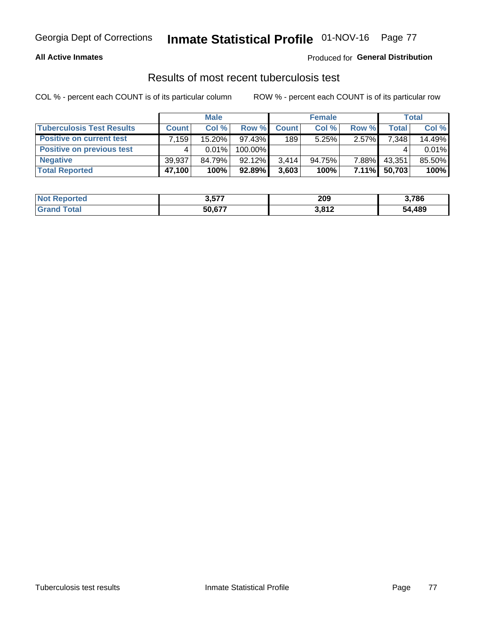### **All Active Inmates**

## Produced for **General Distribution**

## Results of most recent tuberculosis test

|                                  |              | <b>Male</b> |           |              | <b>Female</b> |          |        | Total  |
|----------------------------------|--------------|-------------|-----------|--------------|---------------|----------|--------|--------|
| <b>Tuberculosis Test Results</b> | <b>Count</b> | Col%        | Row %I    | <b>Count</b> | Col %         | Row %    | Total  | Col %  |
| <b>Positive on current test</b>  | ∫159.        | 15.20%      | $97.43\%$ | 189          | 5.25%         | $2.57\%$ | 7,348  | 14.49% |
| <b>Positive on previous test</b> | 4            | $0.01\%$    | 100.00%   |              |               |          |        | 0.01%  |
| <b>Negative</b>                  | 39,937       | 84.79%      | 92.12%    | 3.414        | 94.75%        | 7.88%    | 43,351 | 85.50% |
| <b>Total Reported</b>            | 47,100       | 100%        | $92.89\%$ | 3,603        | 100%          | $7.11\%$ | 50,703 | 100%   |

| <b>Not Reported</b> | 3,577  | 209   | 3,786        |
|---------------------|--------|-------|--------------|
| Total<br>Gran       | 50,677 | 3,812 | +,489<br>54. |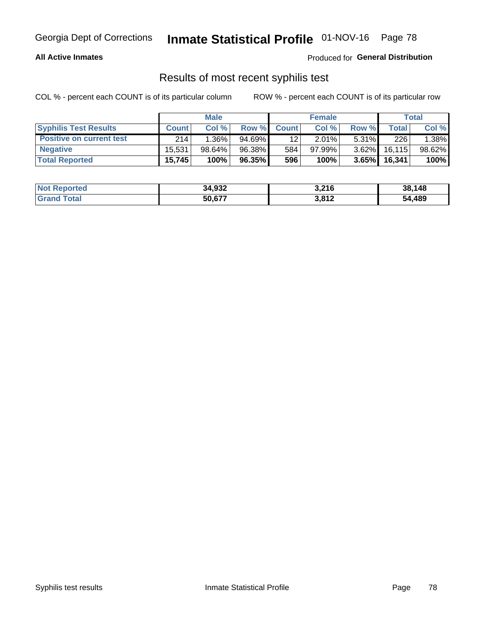### **All Active Inmates**

Produced for **General Distribution**

## Results of most recent syphilis test

|                                 | <b>Male</b>  |          |           | <b>Female</b>   |           |          | Total   |        |
|---------------------------------|--------------|----------|-----------|-----------------|-----------|----------|---------|--------|
| <b>Syphilis Test Results</b>    | <b>Count</b> | Col%     | Row %     | <b>Count</b>    | Col %     | Row %    | Total I | Col %  |
| <b>Positive on current test</b> | 214          | $1.36\%$ | $94.69\%$ | 12 <sub>1</sub> | $2.01\%$  | $5.31\%$ | 226     | 1.38%  |
| <b>Negative</b>                 | 15.531       | 98.64%   | 96.38%    | 584             | $97.99\%$ | $3.62\%$ | 16, 115 | 98.62% |
| <b>Total Reported</b>           | 15,745       | 100%     | 96.35%    | 596             | 100%      | $3.65\%$ | 16,341  | 100%   |

| <b>Not Reported</b> | 34,932 | 3,216 | 38,148 |
|---------------------|--------|-------|--------|
| <b>Grand Total</b>  | 50,677 | 3,812 | 54,489 |